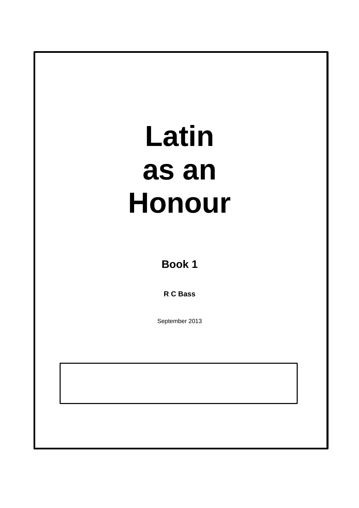**Book 1**

**R C Bass**

September 2013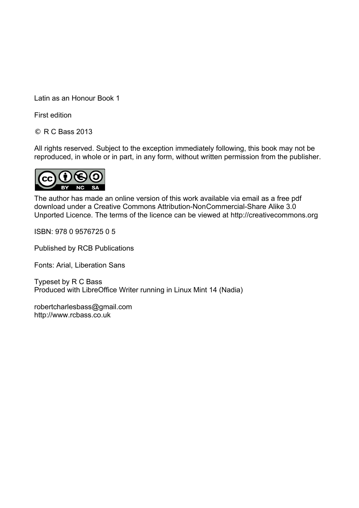Latin as an Honour Book 1

First edition

© R C Bass 2013

All rights reserved. Subject to the exception immediately following, this book may not be reproduced, in whole or in part, in any form, without written permission from the publisher.



The author has made an online version of this work available via email as a free pdf download under a Creative Commons Attribution-NonCommercial-Share Alike 3.0 Unported Licence. The terms of the licence can be viewed at http://creativecommons.org

ISBN: 978 0 9576725 0 5

Published by RCB Publications

Fonts: Arial, Liberation Sans

Typeset by R C Bass Produced with LibreOffice Writer running in Linux Mint 14 (Nadia)

robertcharlesbass@gmail.com http://www.rcbass.co.uk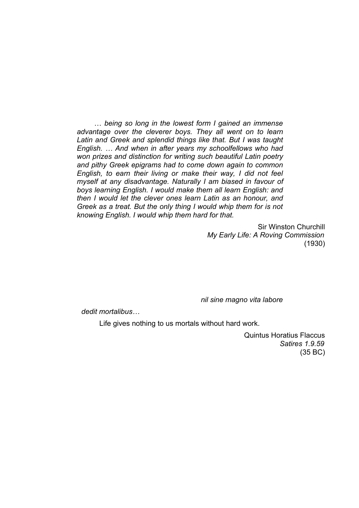… *being so long in the lowest form I gained an immense advantage over the cleverer boys. They all went on to learn Latin and Greek and splendid things like that. But I was taught English. … And when in after years my schoolfellows who had won prizes and distinction for writing such beautiful Latin poetry and pithy Greek epigrams had to come down again to common English, to earn their living or make their way, I did not feel myself at any disadvantage. Naturally I am biased in favour of boys learning English. I would make them all learn English: and then I would let the clever ones learn Latin as an honour, and Greek as a treat. But the only thing I would whip them for is not knowing English. I would whip them hard for that.*

> Sir Winston Churchill *My Early Life: A Roving Commission* (1930)

*nil sine magno vita labore*

*dedit mortalibus…*

Life gives nothing to us mortals without hard work.

Quintus Horatius Flaccus *Satires 1.9.59* (35 BC)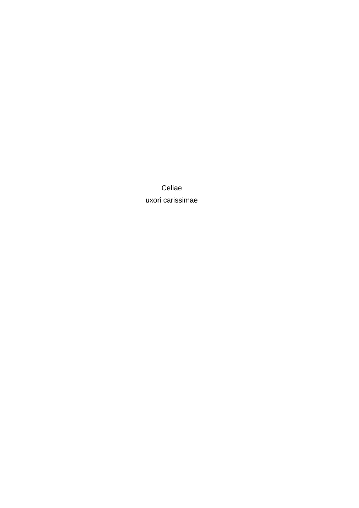Celiae uxori carissimae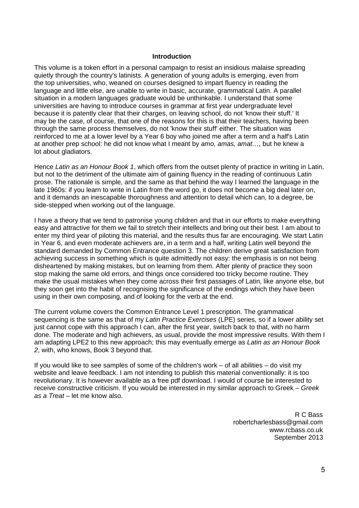#### **Introduction**

This volume is a token effort in a personal campaign to resist an insidious malaise spreading quietly through the country's latinists. A generation of young adults is emerging, even from the top universities, who, weaned on courses designed to impart fluency in reading the language and little else, are unable to write in basic, accurate, grammatical Latin. A parallel situation in a modern languages graduate would be unthinkable. I understand that some universities are having to introduce courses in grammar at first year undergraduate level because it is patently clear that their charges, on leaving school, do not 'know their stuff.' It may be the case, of course, that one of the reasons for this is that their teachers, having been through the same process themselves, do not 'know their stuff' either. The situation was reinforced to me at a lower level by a Year 6 boy who joined me after a term and a half's Latin at another prep school: he did not know what I meant by *amo, amas, amat…,* but he knew a lot about gladiators.

Hence *Latin as an Honour Book 1*, which offers from the outset plenty of practice in writing in Latin, but not to the detriment of the ultimate aim of gaining fluency in the reading of continuous Latin prose. The rationale is simple, and the same as that behind the way I learned the language in the late 1960s: if you learn to write in Latin from the word go, it does not become a big deal later on, and it demands an inescapable thoroughness and attention to detail which can, to a degree, be side-stepped when working out of the language.

I have a theory that we tend to patronise young children and that in our efforts to make everything easy and attractive for them we fail to stretch their intellects and bring out their best. I am about to enter my third year of piloting this material, and the results thus far are encouraging. We start Latin in Year 6, and even moderate achievers are, in a term and a half, writing Latin well beyond the standard demanded by Common Entrance question 3. The children derive great satisfaction from achieving success in something which is quite admittedly not easy: the emphasis is on not being disheartened by making mistakes, but on learning from them. After plenty of practice they soon stop making the same old errors, and things once considered too tricky become routine. They make the usual mistakes when they come across their first passages of Latin, like anyone else, but they soon get into the habit of recognising the significance of the endings which they have been using in their own composing, and of looking for the verb at the end.

The current volume covers the Common Entrance Level 1 prescription. The grammatical sequencing is the same as that of my *Latin Practice Exercises* (LPE) series, so if a lower ability set just cannot cope with this approach I can, after the first year, switch back to that, with no harm done. The moderate and high achievers, as usual, provide the most impressive results. With them I am adapting LPE2 to this new approach; this may eventually emerge as *Latin as an Honour Book 2*, with, who knows, Book 3 beyond that.

If you would like to see samples of some of the children's work  $-$  of all abilities  $-$  do visit my website and leave feedback. I am not intending to publish this material conventionally: it is too revolutionary. It is however available as a free pdf download. I would of course be interested to receive constructive criticism. If you would be interested in my similar approach to Greek – *Greek as a Treat* – let me know also.

> R C Bass robertcharlesbass@gmail.com www.rcbass.co.uk September 2013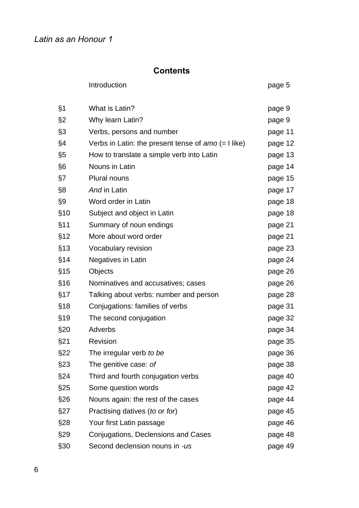# **Contents**

|       | Introduction                                          | page 5  |
|-------|-------------------------------------------------------|---------|
| $\S1$ | What is Latin?                                        | page 9  |
| $\S2$ | Why learn Latin?                                      | page 9  |
| §3    | Verbs, persons and number                             | page 11 |
| §4    | Verbs in Latin: the present tense of $amo$ (= I like) | page 12 |
| §5    | How to translate a simple verb into Latin             | page 13 |
| §6    | Nouns in Latin                                        | page 14 |
| §7    | Plural nouns                                          | page 15 |
| §8    | And in Latin                                          | page 17 |
| §9    | Word order in Latin                                   | page 18 |
| \$10  | Subject and object in Latin                           | page 18 |
| §11   | Summary of noun endings                               | page 21 |
| \$12  | More about word order                                 | page 21 |
| §13   | Vocabulary revision                                   | page 23 |
| §14   | Negatives in Latin                                    | page 24 |
| §15   | Objects                                               | page 26 |
| \$16  | Nominatives and accusatives; cases                    | page 26 |
| §17   | Talking about verbs: number and person                | page 28 |
| \$18  | Conjugations: families of verbs                       | page 31 |
| §19   | The second conjugation                                | page 32 |
| §20   | Adverbs                                               | page 34 |
| §21   | Revision                                              | page 35 |
| §22   | The irregular verb to be                              | page 36 |
| §23   | The genitive case: of                                 | page 38 |
| §24   | Third and fourth conjugation verbs                    | page 40 |
| §25   | Some question words                                   | page 42 |
| §26   | Nouns again: the rest of the cases                    | page 44 |
| §27   | Practising datives (to or for)                        | page 45 |
| §28   | Your first Latin passage                              | page 46 |
| §29   | Conjugations, Declensions and Cases                   | page 48 |
| §30   | Second declension nouns in -us                        | page 49 |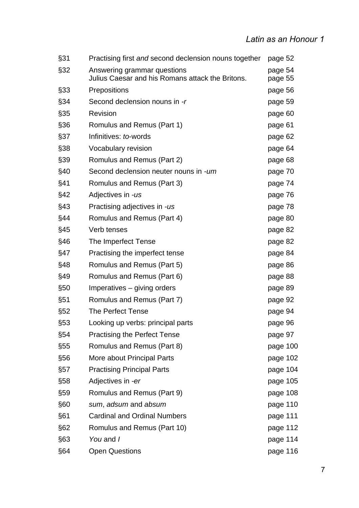| §31  | Practising first and second declension nouns together                           | page 52            |
|------|---------------------------------------------------------------------------------|--------------------|
| §32  | Answering grammar questions<br>Julius Caesar and his Romans attack the Britons. | page 54<br>page 55 |
| §33  | Prepositions                                                                    | page 56            |
| §34  | Second declension nouns in -r                                                   | page 59            |
| §35  | Revision                                                                        | page 60            |
| §36  | Romulus and Remus (Part 1)                                                      | page 61            |
| §37  | Infinitives: to-words                                                           | page 62            |
| \$38 | Vocabulary revision                                                             | page 64            |
| §39  | Romulus and Remus (Part 2)                                                      | page 68            |
| §40  | Second declension neuter nouns in -um                                           | page 70            |
| §41  | Romulus and Remus (Part 3)                                                      | page 74            |
| §42  | Adjectives in -us                                                               | page 76            |
| §43  | Practising adjectives in -us                                                    | page 78            |
| §44  | Romulus and Remus (Part 4)                                                      | page 80            |
| §45  | Verb tenses                                                                     | page 82            |
| §46  | The Imperfect Tense                                                             | page 82            |
| §47  | Practising the imperfect tense                                                  | page 84            |
| §48  | Romulus and Remus (Part 5)                                                      | page 86            |
| §49  | Romulus and Remus (Part 6)                                                      | page 88            |
| \$50 | Imperatives – giving orders                                                     | page 89            |
| §51  | Romulus and Remus (Part 7)                                                      | page 92            |
| §52  | The Perfect Tense                                                               | page 94            |
| §53  | Looking up verbs: principal parts                                               | page 96            |
| §54  | <b>Practising the Perfect Tense</b>                                             | page 97            |
| §55  | Romulus and Remus (Part 8)                                                      | page 100           |
| \$56 | More about Principal Parts                                                      | page 102           |
| §57  | <b>Practising Principal Parts</b>                                               | page 104           |
| \$58 | Adjectives in -er                                                               | page 105           |
| \$59 | Romulus and Remus (Part 9)                                                      | page 108           |
| §60  | sum, adsum and absum                                                            | page 110           |
| §61  | <b>Cardinal and Ordinal Numbers</b>                                             | page 111           |
| §62  | Romulus and Remus (Part 10)                                                     | page 112           |
| §63  | You and I                                                                       | page 114           |
| §64  | <b>Open Questions</b>                                                           | page 116           |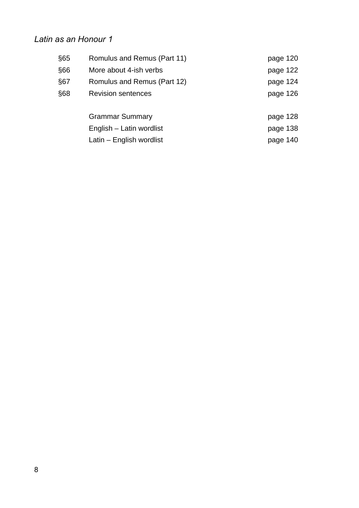| §65  | Romulus and Remus (Part 11) | page 120 |
|------|-----------------------------|----------|
| \$66 | More about 4-ish verbs      | page 122 |
| §67  | Romulus and Remus (Part 12) | page 124 |
| \$68 | <b>Revision sentences</b>   | page 126 |
|      |                             |          |
|      | <b>Grammar Summary</b>      | page 128 |
|      | English - Latin wordlist    | page 138 |
|      | Latin – English wordlist    | page 140 |
|      |                             |          |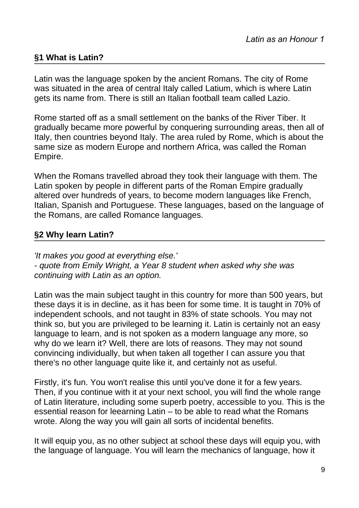# **§1 What is Latin?**

Latin was the language spoken by the ancient Romans. The city of Rome was situated in the area of central Italy called Latium, which is where Latin gets its name from. There is still an Italian football team called Lazio.

Rome started off as a small settlement on the banks of the River Tiber. It gradually became more powerful by conquering surrounding areas, then all of Italy, then countries beyond Italy. The area ruled by Rome, which is about the same size as modern Europe and northern Africa, was called the Roman Empire.

When the Romans travelled abroad they took their language with them. The Latin spoken by people in different parts of the Roman Empire gradually altered over hundreds of years, to become modern languages like French, Italian, Spanish and Portuguese. These languages, based on the language of the Romans, are called Romance languages.

# **§2 Why learn Latin?**

*'It makes you good at everything else.' - quote from Emily Wright, a Year 8 student when asked why she was continuing with Latin as an option.*

Latin was the main subject taught in this country for more than 500 years, but these days it is in decline, as it has been for some time. It is taught in 70% of independent schools, and not taught in 83% of state schools. You may not think so, but you are privileged to be learning it. Latin is certainly not an easy language to learn, and is not spoken as a modern language any more, so why do we learn it? Well, there are lots of reasons. They may not sound convincing individually, but when taken all together I can assure you that there's no other language quite like it, and certainly not as useful.

Firstly, it's fun. You won't realise this until you've done it for a few years. Then, if you continue with it at your next school, you will find the whole range of Latin literature, including some superb poetry, accessible to you. This is the essential reason for leearning Latin – to be able to read what the Romans wrote. Along the way you will gain all sorts of incidental benefits.

It will equip you, as no other subject at school these days will equip you, with the language of language. You will learn the mechanics of language, how it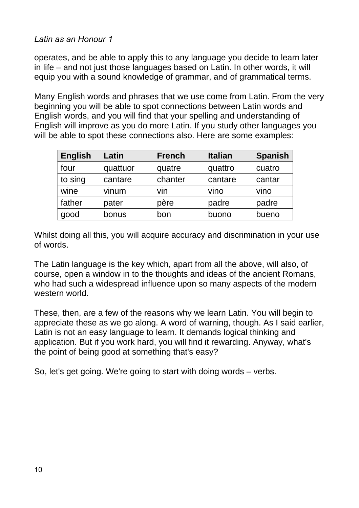operates, and be able to apply this to any language you decide to learn later in life – and not just those languages based on Latin. In other words, it will equip you with a sound knowledge of grammar, and of grammatical terms.

Many English words and phrases that we use come from Latin. From the very beginning you will be able to spot connections between Latin words and English words, and you will find that your spelling and understanding of English will improve as you do more Latin. If you study other languages you will be able to spot these connections also. Here are some examples:

| English | Latin    | <b>French</b> | <b>Italian</b> | <b>Spanish</b> |
|---------|----------|---------------|----------------|----------------|
| four    | quattuor | quatre        | quattro        | cuatro         |
| to sing | cantare  | chanter       | cantare        | cantar         |
| wine    | vinum    | vin           | vino           | vino           |
| father  | pater    | père          | padre          | padre          |
| good    | bonus    | bon           | buono          | bueno          |

Whilst doing all this, you will acquire accuracy and discrimination in your use of words.

The Latin language is the key which, apart from all the above, will also, of course, open a window in to the thoughts and ideas of the ancient Romans, who had such a widespread influence upon so many aspects of the modern western world.

These, then, are a few of the reasons why we learn Latin. You will begin to appreciate these as we go along. A word of warning, though. As I said earlier, Latin is not an easy language to learn. It demands logical thinking and application. But if you work hard, you will find it rewarding. Anyway, what's the point of being good at something that's easy?

So, let's get going. We're going to start with doing words – verbs.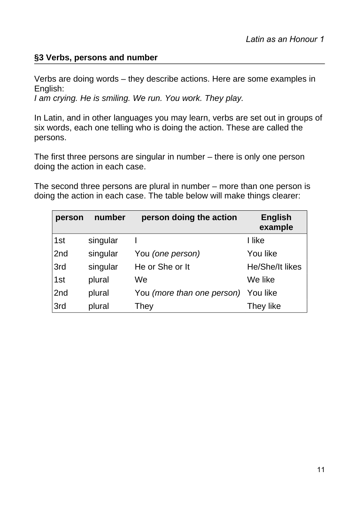# **§3 Verbs, persons and number**

Verbs are doing words – they describe actions. Here are some examples in English:

*I am crying. He is smiling. We run. You work. They play.*

In Latin, and in other languages you may learn, verbs are set out in groups of six words, each one telling who is doing the action. These are called the persons.

The first three persons are singular in number – there is only one person doing the action in each case.

The second three persons are plural in number – more than one person is doing the action in each case. The table below will make things clearer:

| person          | number   | person doing the action    | <b>English</b><br>example |
|-----------------|----------|----------------------------|---------------------------|
| 1st             | singular |                            | I like                    |
| 2nd             | singular | You (one person)           | You like                  |
| 3rd             | singular | He or She or It            | <b>He/She/It likes</b>    |
| 1st             | plural   | We                         | We like                   |
| 2 <sub>nd</sub> | plural   | You (more than one person) | You like                  |
| 3rd             | plural   | They                       | They like                 |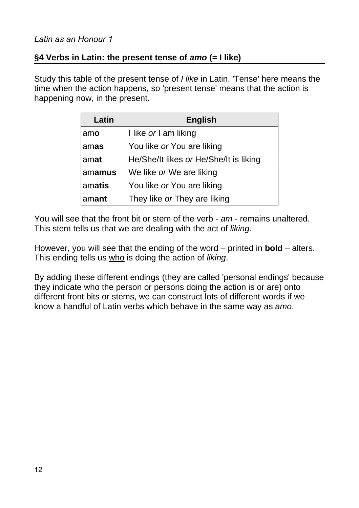# **§4 Verbs in Latin: the present tense of** *amo* **(= I like)**

Study this table of the present tense of *I like* in Latin. 'Tense' here means the time when the action happens, so 'present tense' means that the action is happening now, in the present.

| Latin  | <b>English</b>                         |
|--------|----------------------------------------|
| amo    | I like or I am liking                  |
| amas   | You like or You are liking             |
| amat   | He/She/It likes or He/She/It is liking |
| amamus | We like or We are liking               |
| amatis | You like or You are liking             |
| amant  | They like or They are liking           |

You will see that the front bit or stem of the verb - *am* - remains unaltered. This stem tells us that we are dealing with the act of *liking*.

However, you will see that the ending of the word – printed in **bold** – alters. This ending tells us who is doing the action of *liking*.

By adding these different endings (they are called 'personal endings' because they indicate who the person or persons doing the action is or are) onto different front bits or stems, we can construct lots of different words if we know a handful of Latin verbs which behave in the same way as *amo*.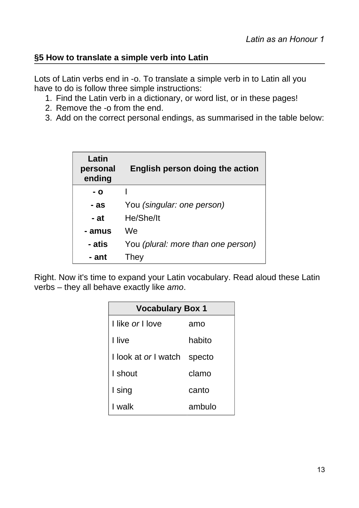# **§5 How to translate a simple verb into Latin**

Lots of Latin verbs end in -o. To translate a simple verb in to Latin all you have to do is follow three simple instructions:

- 1. Find the Latin verb in a dictionary, or word list, or in these pages!
- 2. Remove the -o from the end.
- 3. Add on the correct personal endings, as summarised in the table below:

| Latin<br>personal<br>ending | English person doing the action    |
|-----------------------------|------------------------------------|
| - 0                         |                                    |
| - as                        | You (singular: one person)         |
| - at                        | He/She/It                          |
| - amus                      | We                                 |
| - atis                      | You (plural: more than one person) |
| - ant                       | They                               |

Right. Now it's time to expand your Latin vocabulary. Read aloud these Latin verbs – they all behave exactly like *amo*.

| <b>Vocabulary Box 1</b>     |        |  |
|-----------------------------|--------|--|
| I like or Llove             | amo    |  |
| I live                      | habito |  |
| I look at <i>or</i> I watch | specto |  |
| I shout                     | clamo  |  |
| I sing                      | canto  |  |
| I walk                      | ambulo |  |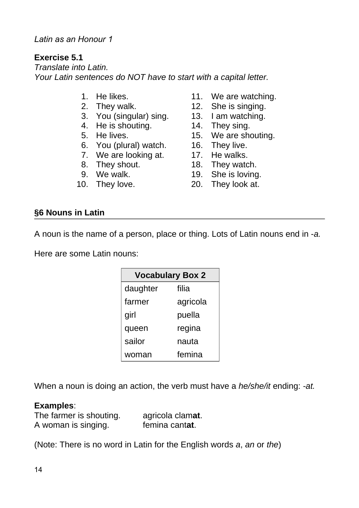#### **Exercise 5.1**

*Translate into Latin. Your Latin sentences do NOT have to start with a capital letter.*

- 
- 
- 3. You (singular) sing. 13. I am watching.
- 4. He is shouting. 14. They sing.
- 
- 6. You (plural) watch. 16. They live.
- 7. We are looking at. 17. He walks.
- 
- 
- 
- 1. He likes. 11. We are watching.
- 2. They walk. 12. She is singing.
	-
	-
- 5. He lives. 15. We are shouting.
	-
	-
- 8. They shout. 18. They watch.
- 9. We walk. 19. She is loving.
- 10. They love. 20. They look at.

#### **§6 Nouns in Latin**

A noun is the name of a person, place or thing. Lots of Latin nouns end in -*a.*

Here are some Latin nouns:

| <b>Vocabulary Box 2</b> |          |  |
|-------------------------|----------|--|
| daughter                | filia    |  |
| farmer                  | agricola |  |
| girl                    | puella   |  |
| queen                   | regina   |  |
| sailor                  | nauta    |  |
| woman                   | femina   |  |

When a noun is doing an action, the verb must have a *he/she/it* ending: *-at.*

#### **Examples**:

| The farmer is shouting. | agricola clamat. |
|-------------------------|------------------|
| A woman is singing.     | femina cantat.   |

(Note: There is no word in Latin for the English words *a*, *an* or *the*)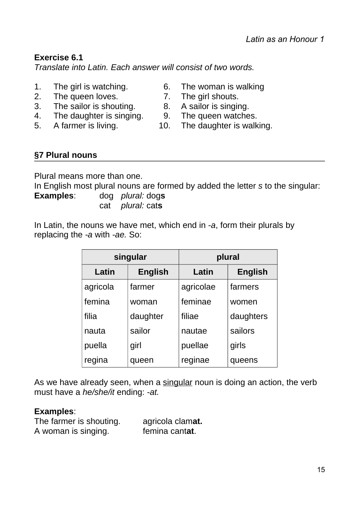# **Exercise 6.1**

*Translate into Latin. Each answer will consist of two words.*

- 1. The girl is watching. 6. The woman is walking
- 2. The queen loves. 2. The girl shouts.
- 3. The sailor is shouting. 8. A sailor is singing.
- 4. The daughter is singing. 9. The queen watches.
- 
- 
- 
- 
- 
- 5. A farmer is living. 10. The daughter is walking.

# **§7 Plural nouns**

Plural means more than one. In English most plural nouns are formed by added the letter *s* to the singular: **Examples**: dog *plural:* dog**s** cat *plural:* cat**s**

In Latin, the nouns we have met, which end in *-a*, form their plurals by replacing the *-a* with *-ae.* So:

| singular |                | plural    |                |
|----------|----------------|-----------|----------------|
| Latin    | <b>English</b> | Latin     | <b>English</b> |
| agricola | farmer         | agricolae | farmers        |
| femina   | woman          | feminae   | women          |
| filia    | daughter       | filiae    | daughters      |
| nauta    | sailor         | nautae    | sailors        |
| puella   | girl           | puellae   | girls          |
| regina   | queen          | reginae   | queens         |

As we have already seen, when a singular noun is doing an action, the verb must have a *he/she/it* ending: *-at.*

#### **Examples**:

| The farmer is shouting. | agricola clamat. |
|-------------------------|------------------|
| A woman is singing.     | femina cantat.   |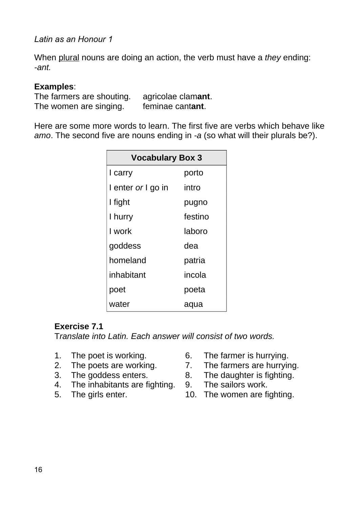When plural nouns are doing an action, the verb must have a *they* ending: *-ant.*

#### **Examples**:

The farmers are shouting. agricolae clam**ant**. The women are singing. feminae cant**ant**.

Here are some more words to learn. The first five are verbs which behave like *amo*. The second five are nouns ending in *-a* (so what will their plurals be?).

| <b>Vocabulary Box 3</b> |         |  |
|-------------------------|---------|--|
| I carry                 | porto   |  |
| I enter or I go in      | intro   |  |
| I fight                 | pugno   |  |
| I hurry                 | festino |  |
| I work                  | laboro  |  |
| goddess                 | dea     |  |
| homeland                | patria  |  |
| inhabitant              | incola  |  |
| poet                    | poeta   |  |
| water                   | aqua    |  |

#### **Exercise 7.1**

T*ranslate into Latin. Each answer will consist of two words.*

- 
- 
- 
- 4. The inhabitants are fighting. 9.
- 
- 1. The poet is working. 6. The farmer is hurrying.
- 2. The poets are working. 2. The farmers are hurrying.
- 3. The goddess enters.<br>4. The inhabitants are fighting. 9. The sailors work.
	-
- 5. The girls enter. 10. The women are fighting.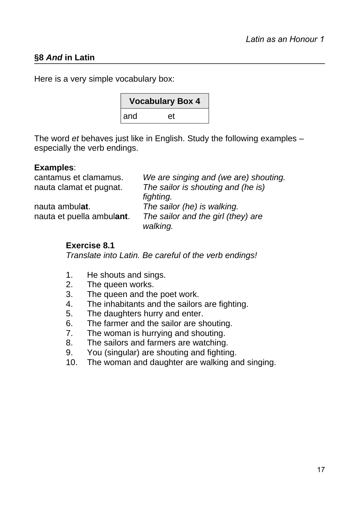# **§8** *And* **in Latin**

Here is a very simple vocabulary box:

| <b>Vocabulary Box 4</b> |    |  |
|-------------------------|----|--|
| ∣and                    | et |  |

The word *et* behaves just like in English. Study the following examples – especially the verb endings.

#### **Examples**:

| cantamus et clamamus.     | We are singing and (we are) shouting. |
|---------------------------|---------------------------------------|
| nauta clamat et pugnat.   | The sailor is shouting and (he is)    |
|                           | fighting.                             |
| nauta ambulat.            | The sailor (he) is walking.           |
| nauta et puella ambulant. | The sailor and the girl (they) are    |
|                           | walking.                              |

#### **Exercise 8.1**

*Translate into Latin. Be careful of the verb endings!*

- 1. He shouts and sings.
- 2. The queen works.
- 3. The queen and the poet work.
- 4. The inhabitants and the sailors are fighting.
- 5. The daughters hurry and enter.
- 6. The farmer and the sailor are shouting.
- 7. The woman is hurrying and shouting.
- 8. The sailors and farmers are watching.
- 9. You (singular) are shouting and fighting.
- 10. The woman and daughter are walking and singing.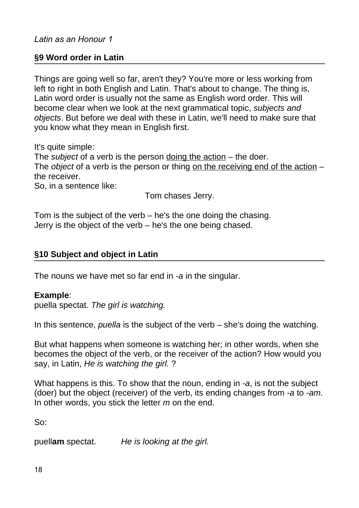#### **§9 Word order in Latin**

Things are going well so far, aren't they? You're more or less working from left to right in both English and Latin. That's about to change. The thing is, Latin word order is usually not the same as English word order. This will become clear when we look at the next grammatical topic, *subjects and objects*. But before we deal with these in Latin, we'll need to make sure that you know what they mean in English first.

It's quite simple:

The *subject* of a verb is the person doing the action – the doer. The *object* of a verb is the person or thing on the receiving end of the action – the receiver.

So, in a sentence like:

Tom chases Jerry.

Tom is the subject of the verb – he's the one doing the chasing. Jerry is the object of the verb – he's the one being chased.

#### **§10 Subject and object in Latin**

The nouns we have met so far end in *-a* in the singular.

#### **Example**:

puella spectat. *The girl is watching.*

In this sentence, *puella* is the subject of the verb – she's doing the watching.

But what happens when someone is watching her; in other words, when she becomes the object of the verb, or the receiver of the action? How would you say, in Latin, *He is watching the girl.* ?

What happens is this. To show that the noun, ending in *-a*, is not the subject (doer) but the object (receiver) of the verb, its ending changes from *-a* to *-am.* In other words, you stick the letter *m* on the end.

So:

puell**am** spectat. *He is looking at the girl.*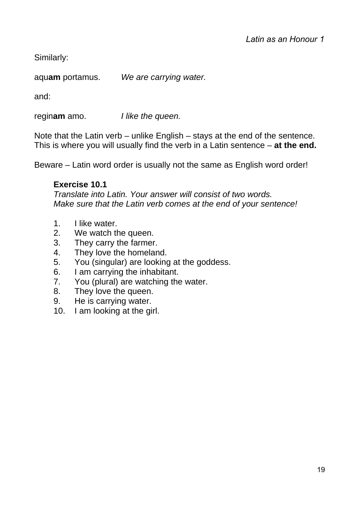Similarly:

aqu**am** portamus. *We are carrying water.*

and:

regin**am** amo. *I like the queen.*

Note that the Latin verb – unlike English – stays at the end of the sentence. This is where you will usually find the verb in a Latin sentence – **at the end.**

Beware – Latin word order is usually not the same as English word order!

# **Exercise 10.1**

*Translate into Latin. Your answer will consist of two words. Make sure that the Latin verb comes at the end of your sentence!*

- 1. I like water.
- 2. We watch the queen.
- 3. They carry the farmer.
- 4. They love the homeland.
- 5. You (singular) are looking at the goddess.
- 6. I am carrying the inhabitant.
- 7. You (plural) are watching the water.
- 8. They love the queen.
- 9. He is carrying water.
- 10. I am looking at the girl.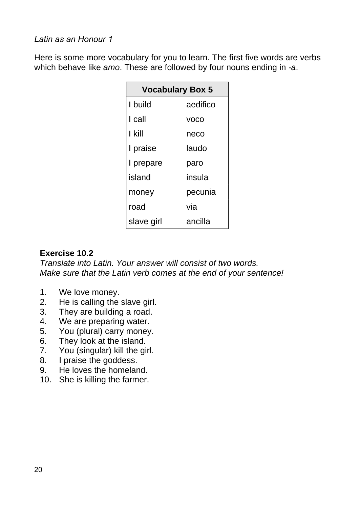Here is some more vocabulary for you to learn. The first five words are verbs which behave like *amo*. These are followed by four nouns ending in *-a*.

| <b>Vocabulary Box 5</b> |             |  |
|-------------------------|-------------|--|
| I build                 | aedifico    |  |
| I call                  | <b>VOCO</b> |  |
| I kill                  | neco        |  |
| I praise                | laudo       |  |
| I prepare               | paro        |  |
| island                  | insula      |  |
| money                   | pecunia     |  |
| road                    | via         |  |
| slave girl              | ancilla     |  |

# **Exercise 10.2**

*Translate into Latin. Your answer will consist of two words. Make sure that the Latin verb comes at the end of your sentence!*

- 1. We love money.
- 2. He is calling the slave girl.
- 3. They are building a road.
- 4. We are preparing water.
- 5. You (plural) carry money.
- 6. They look at the island.
- 7. You (singular) kill the girl.
- 8. I praise the goddess.
- 9. He loves the homeland.
- 10. She is killing the farmer.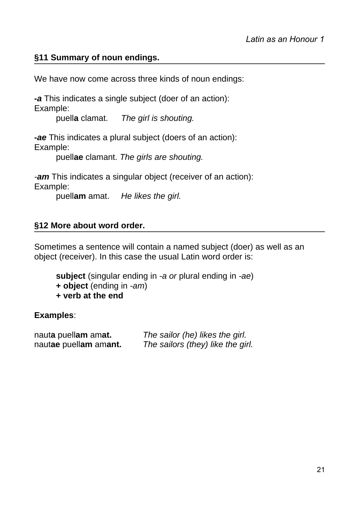# **§11 Summary of noun endings.**

We have now come across three kinds of noun endings:

*-a* This indicates a single subject (doer of an action): Example:

puell**a** clamat. *The girl is shouting.*

*-ae* This indicates a plural subject (doers of an action): Example:

puell**ae** clamant. *The girls are shouting.*

*-am* This indicates a singular object (receiver of an action): Example:

puell**am** amat. *He likes the girl.*

#### **§12 More about word order.**

Sometimes a sentence will contain a named subject (doer) as well as an object (receiver). In this case the usual Latin word order is:

**subject** (singular ending in *-a or* plural ending in *-ae*)

- **+ object** (ending in *-am*)
- **+ verb at the end**

#### **Examples**:

naut**a** puell**am** am**at.** *The sailor (he) likes the girl.* naut**ae** puell**am** am**ant.** *The sailors (they) like the girl.*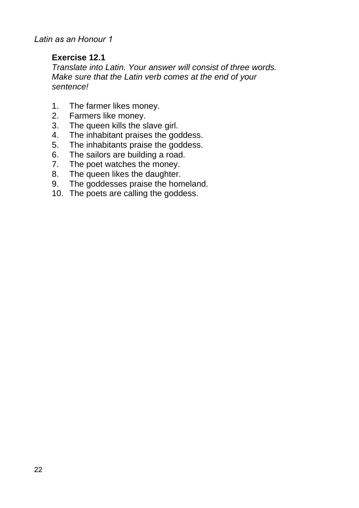### **Exercise 12.1**

*Translate into Latin. Your answer will consist of three words. Make sure that the Latin verb comes at the end of your sentence!*

- 1. The farmer likes money.
- 2. Farmers like money.
- 3. The queen kills the slave girl.
- 4. The inhabitant praises the goddess.
- 5. The inhabitants praise the goddess.
- 6. The sailors are building a road.
- 7. The poet watches the money.
- 8. The queen likes the daughter.
- 9. The goddesses praise the homeland.
- 10. The poets are calling the goddess.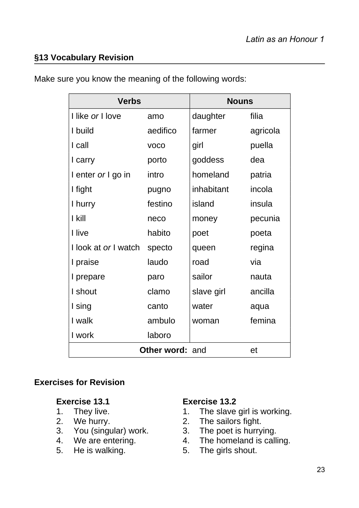# **§13 Vocabulary Revision**

| <b>Verbs</b>         |                        | <b>Nouns</b> |          |
|----------------------|------------------------|--------------|----------|
| I like or I love     | amo                    | daughter     | filia    |
| I build              | aedifico               | farmer       | agricola |
| I call               | <b>VOCO</b>            | girl         | puella   |
| I carry              | porto                  | goddess      | dea      |
| I enter or I go in   | intro                  | homeland     | patria   |
| I fight              | pugno                  | inhabitant   | incola   |
| I hurry              | festino                | island       | insula   |
| I kill               | neco                   | money        | pecunia  |
| I live               | habito                 | poet         | poeta    |
| I look at or I watch | specto                 | queen        | regina   |
| I praise             | laudo                  | road         | via      |
| I prepare            | paro                   | sailor       | nauta    |
| I shout              | clamo                  | slave girl   | ancilla  |
| I sing               | canto                  | water        | aqua     |
| I walk               | ambulo                 | woman        | femina   |
| I work               | laboro                 |              |          |
|                      | <b>Other word: and</b> |              | et       |

Make sure you know the meaning of the following words:

#### **Exercises for Revision**

- 
- 
- 3. You (singular) work. 3.<br>4. We are entering. 4.
- 
- 

#### **Exercise 13.1 Exercise 13.2**

- 1. They live. 1. The slave girl is working.
	-
- 2. We hurry. 2. The sailors fight.<br>3. You (singular) work. 3. The poet is hurrying.
	- 4. The homeland is calling.
- 5. He is walking. 5. The girls shout.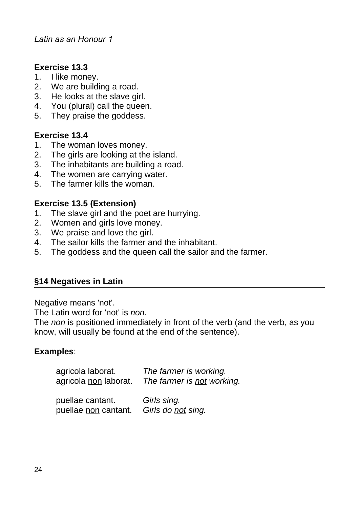#### **Exercise 13.3**

- 1. I like money.
- 2. We are building a road.
- 3. He looks at the slave girl.
- 4. You (plural) call the queen.
- 5. They praise the goddess.

#### **Exercise 13.4**

- 1. The woman loves money.
- 2. The girls are looking at the island.
- 3. The inhabitants are building a road.
- 4. The women are carrying water.
- 5. The farmer kills the woman.

#### **Exercise 13.5 (Extension)**

- 1. The slave girl and the poet are hurrying.
- 2. Women and girls love money.
- 3. We praise and love the girl.
- 4. The sailor kills the farmer and the inhabitant.
- 5. The goddess and the queen call the sailor and the farmer.

#### **§14 Negatives in Latin**

Negative means 'not'.

The Latin word for 'not' is *non*.

The *non* is positioned immediately in front of the verb (and the verb, as you know, will usually be found at the end of the sentence).

#### **Examples**:

| agricola laborat.     | The farmer is working.     |
|-----------------------|----------------------------|
| agricola non laborat. | The farmer is not working. |

puellae cantant. *Girls sing.* puellae non cantant. *Girls do not sing.*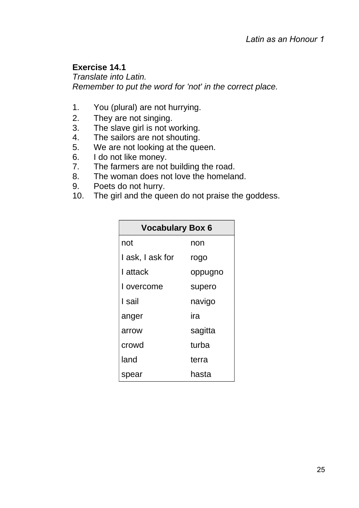# **Exercise 14.1**

*Translate into Latin. Remember to put the word for 'not' in the correct place.*

- 1. You (plural) are not hurrying.
- 2. They are not singing.
- 3. The slave girl is not working.
- 4. The sailors are not shouting.
- 5. We are not looking at the queen.
- 6. I do not like money.
- 7. The farmers are not building the road.
- 8. The woman does not love the homeland.
- 9. Poets do not hurry.
- 10. The girl and the queen do not praise the goddess.

| <b>Vocabulary Box 6</b> |         |  |
|-------------------------|---------|--|
| not                     | non     |  |
| I ask, I ask for        | rogo    |  |
| I attack                | oppugno |  |
| I overcome              | supero  |  |
| I sail                  | navigo  |  |
| anger                   | ira     |  |
| arrow                   | sagitta |  |
| crowd                   | turba   |  |
| land                    | terra   |  |
| spear                   | hasta   |  |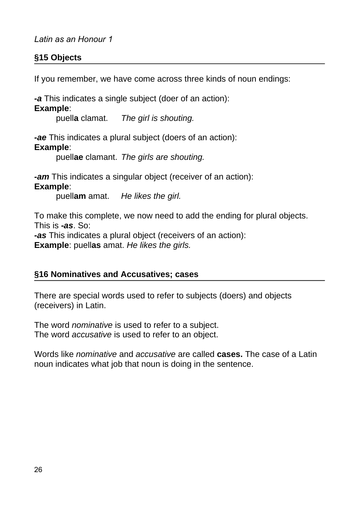# **§15 Objects**

If you remember, we have come across three kinds of noun endings:

*-a* This indicates a single subject (doer of an action):

**Example**:

puell**a** clamat. *The girl is shouting.*

*-ae* This indicates a plural subject (doers of an action):

**Example**:

puell**ae** clamant. *The girls are shouting.*

*-am* This indicates a singular object (receiver of an action): **Example**:

puell**am** amat. *He likes the girl.*

To make this complete, we now need to add the ending for plural objects. This is *-as*. So: *-as* This indicates a plural object (receivers of an action): **Example**: puell**as** amat. *He likes the girls.*

#### **§16 Nominatives and Accusatives; cases**

There are special words used to refer to subjects (doers) and objects (receivers) in Latin.

The word *nominative* is used to refer to a subject. The word *accusative* is used to refer to an object.

Words like *nominative* and *accusative* are called **cases.** The case of a Latin noun indicates what job that noun is doing in the sentence.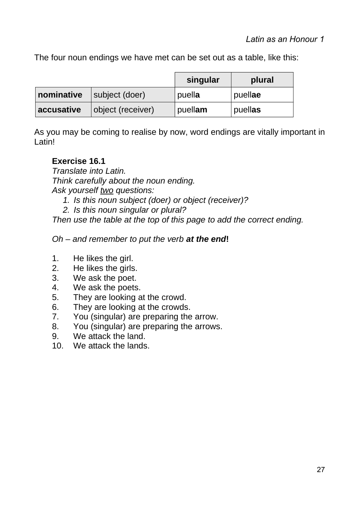The four noun endings we have met can be set out as a table, like this:

|            |                   | singular | plural  |
|------------|-------------------|----------|---------|
| nominative | subject (doer)    | puella   | puellae |
| accusative | object (receiver) | puellam  | puellas |

As you may be coming to realise by now, word endings are vitally important in Latin!

# **Exercise 16.1**

*Translate into Latin. Think carefully about the noun ending. Ask yourself two questions:*

- *1. Is this noun subject (doer) or object (receiver)?*
- *2. Is this noun singular or plural?*

*Then use the table at the top of this page to add the correct ending.*

# *Oh – and remember to put the verb at the end***!**

- 1. He likes the girl.
- 2. He likes the girls.
- 3. We ask the poet.
- 4. We ask the poets.
- 5. They are looking at the crowd.
- 6. They are looking at the crowds.
- 7. You (singular) are preparing the arrow.
- 8. You (singular) are preparing the arrows.
- 9. We attack the land.
- 10. We attack the lands.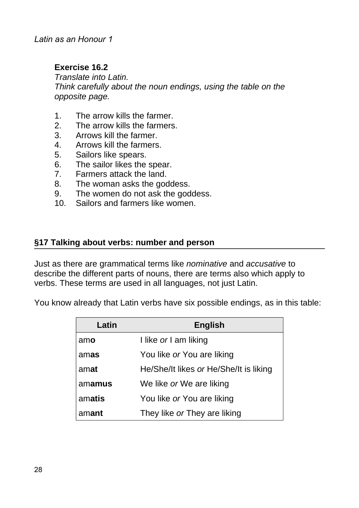# **Exercise 16.2**

*Translate into Latin. Think carefully about the noun endings, using the table on the opposite page.*

- 1. The arrow kills the farmer.
- 2. The arrow kills the farmers.
- 3. Arrows kill the farmer.
- 4. Arrows kill the farmers.
- 5. Sailors like spears.
- 6. The sailor likes the spear.
- 7. Farmers attack the land.
- 8. The woman asks the goddess.
- 9. The women do not ask the goddess.
- 10. Sailors and farmers like women.

#### **§17 Talking about verbs: number and person**

Just as there are grammatical terms like *nominative* and *accusative* to describe the different parts of nouns, there are terms also which apply to verbs. These terms are used in all languages, not just Latin.

You know already that Latin verbs have six possible endings, as in this table:

| Latin  | <b>English</b>                         |  |
|--------|----------------------------------------|--|
| amo    | I like or I am liking                  |  |
| amas   | You like or You are liking             |  |
| amat   | He/She/It likes or He/She/It is liking |  |
| amamus | We like or We are liking               |  |
| amatis | You like or You are liking             |  |
| amant  | They like or They are liking           |  |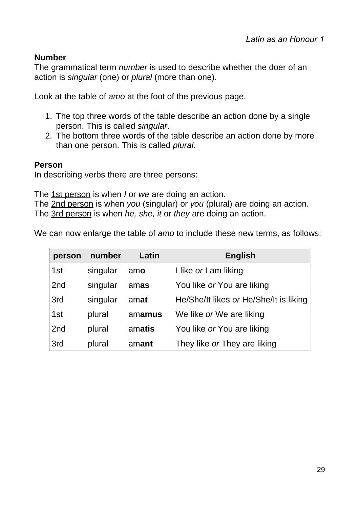# **Number**

The grammatical term *number* is used to describe whether the doer of an action is *singular* (one) or *plural* (more than one).

Look at the table of *amo* at the foot of the previous page.

- 1. The top three words of the table describe an action done by a single person. This is called *singular*.
- 2. The bottom three words of the table describe an action done by more than one person. This is called *plural*.

# **Person**

In describing verbs there are three persons:

The 1st person is when *I* or *we* are doing an action.

The 2nd person is when *you* (singular) or *you* (plural) are doing an action. The 3rd person is when *he, she, it* or *they* are doing an action.

We can now enlarge the table of *amo* to include these new terms, as follows:

| person          | number   | Latin  | <b>English</b>                         |
|-----------------|----------|--------|----------------------------------------|
| 1st             | singular | amo    | I like or I am liking                  |
| 2 <sub>nd</sub> | singular | amas   | You like or You are liking             |
| 3rd             | singular | amat   | He/She/It likes or He/She/It is liking |
| 1st             | plural   | amamus | We like or We are liking               |
| 2 <sub>nd</sub> | plural   | amatis | You like or You are liking             |
| 3rd             | plural   | amant  | They like or They are liking           |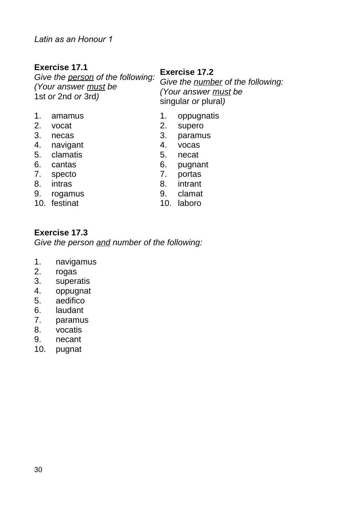# **Exercise 17.1**

*Give the person of the following: (Your answer must be* 1st *or* 2nd *or* 3rd*)*

#### **Exercise 17.2**

*Give the number of the following: (Your answer must be* singular *or* plural*)*

- 1. amamus 1. oppugnatis
- 2. vocat 2. supero
- 3. necas 3. paramus
- 4. navigant 4. vocas
- 5. clamatis 5. necat
- 
- 7. specto 7. portas
- 
- 9. rogamus 9. clamat
- 
- 
- 
- 
- 
- 
- 6. cantas 6. pugnant
	-
- 8. intras 6. September 1988. September 1988. September 1988. September 1988. September 1988. September 1988. September 1988. September 1988. September 1988. September 1988. September 1988. September 1988. September 1988. S
	-
- 10. festinat 10. laboro

#### **Exercise 17.3**

*Give the person and number of the following:*

- 1. navigamus
- 2. rogas
- 3. superatis
- 4. oppugnat
- 5. aedifico
- 6. laudant
- 7. paramus
- 8. vocatis
- 9. necant
- 10. pugnat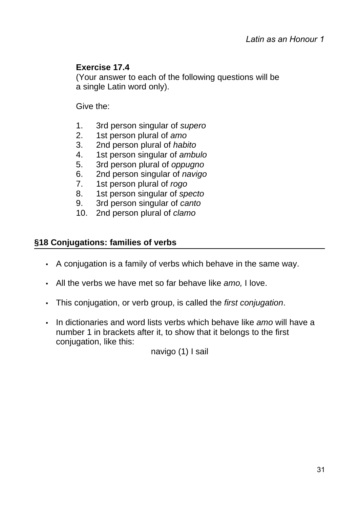# **Exercise 17.4**

(Your answer to each of the following questions will be a single Latin word only).

Give the:

- 1. 3rd person singular of *supero*
- 2. 1st person plural of *amo*
- 3. 2nd person plural of *habito*
- 4. 1st person singular of *ambulo*
- 5. 3rd person plural of *oppugno*
- 6. 2nd person singular of *navigo*
- 7. 1st person plural of *rogo*
- 8. 1st person singular of *specto*
- 9. 3rd person singular of *canto*
- 10. 2nd person plural of *clamo*

#### **§18 Conjugations: families of verbs**

- A conjugation is a family of verbs which behave in the same way.
- All the verbs we have met so far behave like *amo,* I love.
- This conjugation, or verb group, is called the *first conjugation*.
- In dictionaries and word lists verbs which behave like *amo* will have a number 1 in brackets after it, to show that it belongs to the first conjugation, like this:

navigo (1) I sail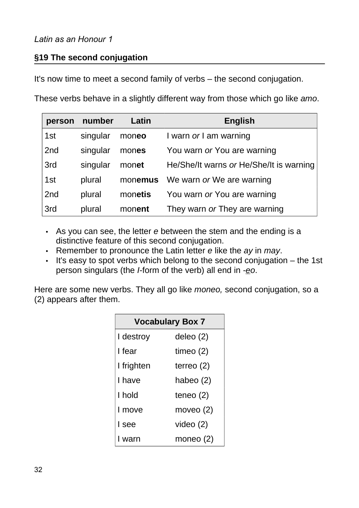# **§19 The second conjugation**

It's now time to meet a second family of verbs – the second conjugation.

These verbs behave in a slightly different way from those which go like *amo*.

| person | number   | Latin   | <b>English</b>                          |
|--------|----------|---------|-----------------------------------------|
| 1st    | singular | moneo   | I warn or I am warning                  |
| 2nd    | singular | mones   | You warn or You are warning             |
| 3rd    | singular | monet   | He/She/It warns or He/She/It is warning |
| 1st    | plural   | monemus | We warn or We are warning               |
| 2nd    | plural   | monetis | You warn or You are warning             |
| 3rd    | plural   | monent  | They warn or They are warning           |

- As you can see, the letter *e* between the stem and the ending is a distinctive feature of this second conjugation.
- Remember to pronounce the Latin letter *e* like the *ay* in *may*.
- It's easy to spot verbs which belong to the second conjugation the 1st person singulars (the *I*-form of the verb) all end in *-eo*.

Here are some new verbs. They all go like *moneo,* second conjugation, so a (2) appears after them.

| <b>Vocabulary Box 7</b> |              |  |
|-------------------------|--------------|--|
| I destroy               | deleo (2)    |  |
| I fear                  | timeo $(2)$  |  |
| I frighten              | terreo $(2)$ |  |
| I have                  | habeo (2)    |  |
| I hold                  | teneo $(2)$  |  |
| I move                  | moveo (2)    |  |
| I see                   | video $(2)$  |  |
| I warn                  | moneo (2)    |  |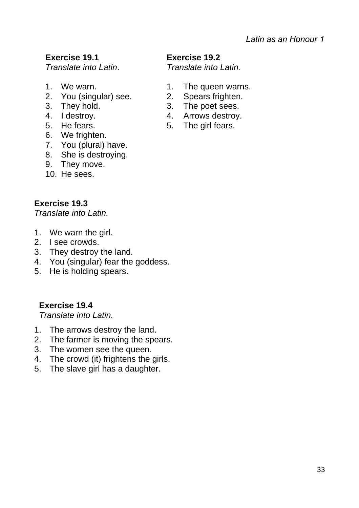# **Exercise 19.1**

*Translate into Latin*.

- 
- 2. You (singular) see. 2. Spears frighten.
- 
- 
- 
- 6. We frighten.
- 7. You (plural) have.
- 8. She is destroying.
- 9. They move.
- 10. He sees.

# **Exercise 19.3**

*Translate into Latin.*

- 1. We warn the girl.
- 2. I see crowds.
- 3. They destroy the land.
- 4. You (singular) fear the goddess.
- 5. He is holding spears.

**Exercise 19.4**

*Translate into Latin.*

- 1. The arrows destroy the land.
- 2. The farmer is moving the spears.
- 3. The women see the queen.
- 4. The crowd (it) frightens the girls.
- 5. The slave girl has a daughter.

#### **Exercise 19.2**

*Translate into Latin.*

- 1. We warn. 1. The queen warns.
	-
- 3. They hold. 3. The poet sees.
- 4. I destroy. 4. Arrows destroy.
- 5. He fears. 5. The girl fears.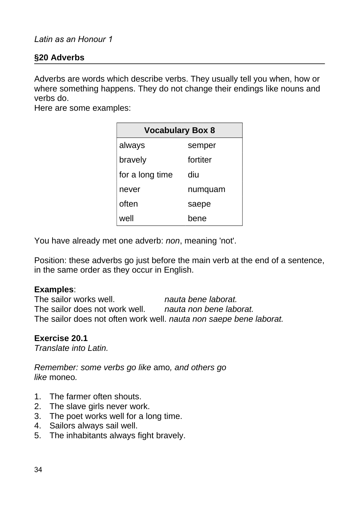#### **§20 Adverbs**

Adverbs are words which describe verbs. They usually tell you when, how or where something happens. They do not change their endings like nouns and verbs do.

Here are some examples:

| <b>Vocabulary Box 8</b> |          |  |  |
|-------------------------|----------|--|--|
| always                  | semper   |  |  |
| bravely                 | fortiter |  |  |
| for a long time         | diu      |  |  |
| never                   | numquam  |  |  |
| often                   | saepe    |  |  |
| well                    | bene     |  |  |

You have already met one adverb: *non*, meaning 'not'.

Position: these adverbs go just before the main verb at the end of a sentence, in the same order as they occur in English.

#### **Examples**:

The sailor works well. *nauta bene laborat.* The sailor does not work well. *nauta non bene laborat.* The sailor does not often work well. *nauta non saepe bene laborat.*

#### **Exercise 20.1**

*Translate into Latin.*

*Remember: some verbs go like* amo*, and others go like* moneo*.*

- 1. The farmer often shouts.
- 2. The slave girls never work.
- 3. The poet works well for a long time.
- 4. Sailors always sail well.
- 5. The inhabitants always fight bravely.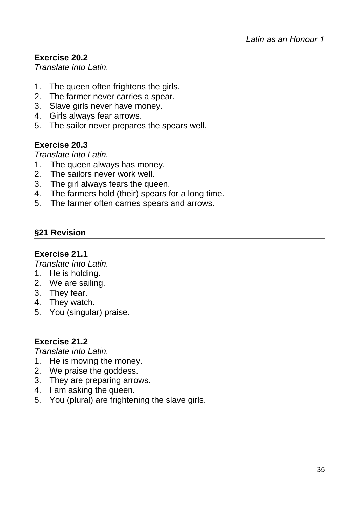# **Exercise 20.2**

*Translate into Latin.*

- 1. The queen often frightens the girls.
- 2. The farmer never carries a spear.
- 3. Slave girls never have money.
- 4. Girls always fear arrows.
- 5. The sailor never prepares the spears well.

# **Exercise 20.3**

*Translate into Latin.*

- 1. The queen always has money.
- 2. The sailors never work well.
- 3. The girl always fears the queen.
- 4. The farmers hold (their) spears for a long time.
- 5. The farmer often carries spears and arrows.

# **§21 Revision**

#### **Exercise 21.1**

*Translate into Latin.*

- 1. He is holding.
- 2. We are sailing.
- 3. They fear.
- 4. They watch.
- 5. You (singular) praise.

#### **Exercise 21.2**

*Translate into Latin.*

- 1. He is moving the money.
- 2. We praise the goddess.
- 3. They are preparing arrows.
- 4. I am asking the queen.
- 5. You (plural) are frightening the slave girls.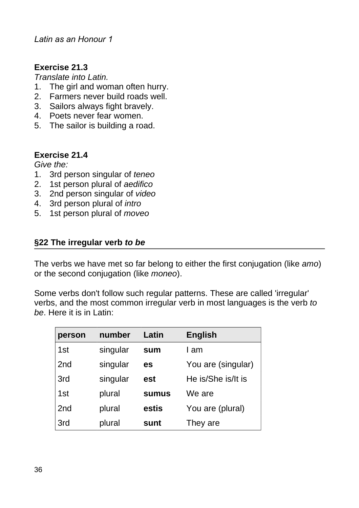# **Exercise 21.3**

*Translate into Latin.*

- 1. The girl and woman often hurry.
- 2. Farmers never build roads well.
- 3. Sailors always fight bravely.
- 4. Poets never fear women.
- 5. The sailor is building a road.

#### **Exercise 21.4**

*Give the:*

- 1. 3rd person singular of *teneo*
- 2. 1st person plural of *aedifico*
- 3. 2nd person singular of *video*
- 4. 3rd person plural of *intro*
- 5. 1st person plural of *moveo*

# **§22 The irregular verb** *to be*

The verbs we have met so far belong to either the first conjugation (like *amo*) or the second conjugation (like *moneo*).

Some verbs don't follow such regular patterns. These are called 'irregular' verbs, and the most common irregular verb in most languages is the verb *to be*. Here it is in Latin:

| person          | number   | Latin        | <b>English</b>     |
|-----------------|----------|--------------|--------------------|
| 1st             | singular | sum          | I am               |
| 2nd             | singular | es           | You are (singular) |
| 3rd             | singular | est          | He is/She is/It is |
| 1st             | plural   | <b>sumus</b> | We are             |
| 2 <sub>nd</sub> | plural   | estis        | You are (plural)   |
| 3rd             | plural   | sunt         | They are           |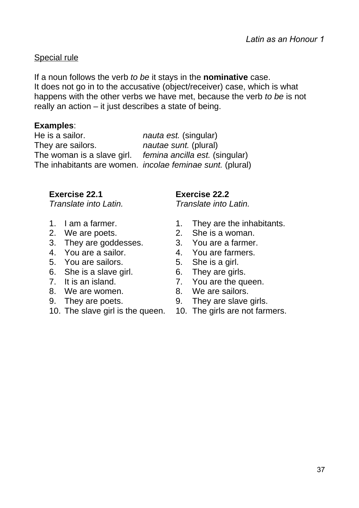# Special rule

If a noun follows the verb *to be* it stays in the **nominative** case. It does not go in to the accusative (object/receiver) case, which is what happens with the other verbs we have met, because the verb *to be* is not really an action – it just describes a state of being.

# **Examples**:

He is a sailor. *nauta est.* (singular) They are sailors. *nautae sunt.* (plural) The woman is a slave girl. *femina ancilla est.* (singular) The inhabitants are women. *incolae feminae sunt.* (plural)

# **Exercise 22.1**

*Translate into Latin.*

- 
- 
- 3. They are goddesses. 3. You are a farmer.
- 
- 5. You are sailors. 5. She is a girl.
- 6. She is a slave girl. 6. They are girls.
- 
- 8. We are women. 8. We are sailors.
- 
- 10. The slave girl is the queen. 10. The girls are not farmers.

**Exercise 22.2**

- 1. I am a farmer. 1. They are the inhabitants.
- 2. We are poets. 2. She is a woman.
	-
- 4. You are a sailor. 4. You are farmers.
	-
	-
- 7. It is an island. 7. You are the queen.
	-
- 9. They are poets. 9. They are slave girls.
	-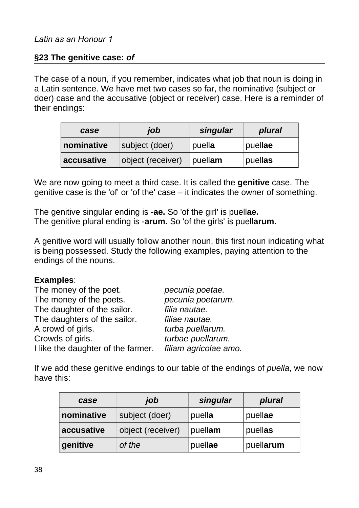### **§23 The genitive case:** *of*

The case of a noun, if you remember, indicates what job that noun is doing in a Latin sentence. We have met two cases so far, the nominative (subject or doer) case and the accusative (object or receiver) case. Here is a reminder of their endings:

| case       | job               | singular | plural  |
|------------|-------------------|----------|---------|
| nominative | subject (doer)    | puella   | puellae |
| accusative | object (receiver) | puellam  | puellas |

We are now going to meet a third case. It is called the **genitive** case. The genitive case is the 'of' or 'of the' case – it indicates the owner of something.

The genitive singular ending is -**ae.** So 'of the girl' is puell**ae.** The genitive plural ending is -**arum.** So 'of the girls' is puell**arum.**

A genitive word will usually follow another noun, this first noun indicating what is being possessed. Study the following examples, paying attention to the endings of the nouns.

#### **Examples**:

| The money of the poet.             | pecunia poetae.       |
|------------------------------------|-----------------------|
| The money of the poets.            | pecunia poetarum.     |
| The daughter of the sailor.        | filia nautae.         |
| The daughters of the sailor.       | filiae nautae.        |
| A crowd of girls.                  | turba puellarum.      |
| Crowds of girls.                   | turbae puellarum.     |
| I like the daughter of the farmer. | filiam agricolae amo. |

If we add these genitive endings to our table of the endings of *puella*, we now have this:

| case       | job               | singular | plural    |
|------------|-------------------|----------|-----------|
| nominative | subject (doer)    | puella   | puellae   |
| accusative | object (receiver) | puellam  | puellas   |
| genitive   | of the            | puellae  | puellarum |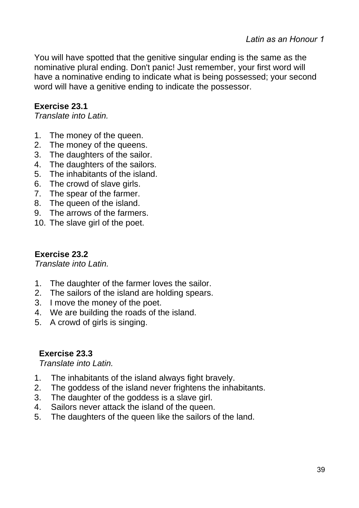You will have spotted that the genitive singular ending is the same as the nominative plural ending. Don't panic! Just remember, your first word will have a nominative ending to indicate what is being possessed; your second word will have a genitive ending to indicate the possessor.

## **Exercise 23.1**

*Translate into Latin.*

- 1. The money of the queen.
- 2. The money of the queens.
- 3. The daughters of the sailor.
- 4. The daughters of the sailors.
- 5. The inhabitants of the island.
- 6. The crowd of slave girls.
- 7. The spear of the farmer.
- 8. The queen of the island.
- 9. The arrows of the farmers.
- 10. The slave girl of the poet.

## **Exercise 23.2**

*Translate into Latin.*

- 1. The daughter of the farmer loves the sailor.
- 2. The sailors of the island are holding spears.
- 3. I move the money of the poet.
- 4. We are building the roads of the island.
- 5. A crowd of girls is singing.

## **Exercise 23.3**

- 1. The inhabitants of the island always fight bravely.
- 2. The goddess of the island never frightens the inhabitants.
- 3. The daughter of the goddess is a slave girl.
- 4. Sailors never attack the island of the queen.
- 5. The daughters of the queen like the sailors of the land.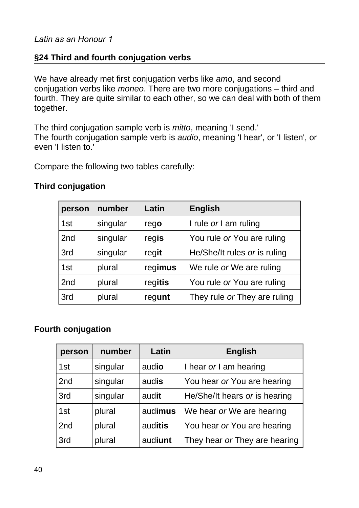## **§24 Third and fourth conjugation verbs**

We have already met first conjugation verbs like *amo*, and second conjugation verbs like *moneo*. There are two more conjugations – third and fourth. They are quite similar to each other, so we can deal with both of them together.

The third conjugation sample verb is *mitto*, meaning 'I send.' The fourth conjugation sample verb is *audio*, meaning 'I hear', or 'I listen', or even 'I listen to.'

Compare the following two tables carefully:

| person | number   | Latin   | <b>English</b>               |
|--------|----------|---------|------------------------------|
| 1st    | singular | rego    | I rule or I am ruling        |
| 2nd    | singular | regis   | You rule or You are ruling   |
| 3rd    | singular | regit   | He/She/It rules or is ruling |
| 1st    | plural   | regimus | We rule or We are ruling     |
| 2nd    | plural   | regitis | You rule or You are ruling   |
| 3rd    | plural   | regunt  | They rule or They are ruling |

#### **Third conjugation**

### **Fourth conjugation**

| person          | number   | Latin   | <b>English</b>                |
|-----------------|----------|---------|-------------------------------|
| 1st             | singular | audio   | I hear or I am hearing        |
| 2 <sub>nd</sub> | singular | audis   | You hear or You are hearing   |
| 3rd             | singular | audit   | He/She/It hears or is hearing |
| 1st             | plural   | audimus | We hear or We are hearing     |
| 2 <sub>nd</sub> | plural   | auditis | You hear or You are hearing   |
| 3rd             | plural   | audiunt | They hear or They are hearing |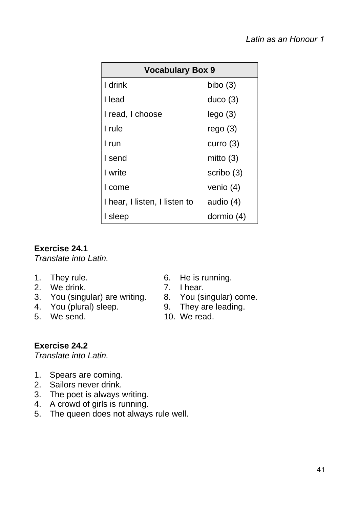| <b>Vocabulary Box 9</b>       |             |  |
|-------------------------------|-------------|--|
| I drink                       | bibo $(3)$  |  |
| I lead                        | duco(3)     |  |
| I read, I choose              | lego(3)     |  |
| I rule                        | rego $(3)$  |  |
| I run                         | curro $(3)$ |  |
| I send                        | mitto $(3)$ |  |
| I write                       | scribo (3)  |  |
| I come                        | venio $(4)$ |  |
| I hear, I listen, I listen to | audio (4)   |  |
| I sleep                       | dormio (4)  |  |

## **Exercise 24.1**

*Translate into Latin.*

- 
- 2. We drink. 2. Thear.
- 3. You (singular) are writing. 8. You (singular) come.
- 
- 
- 1. They rule. 6. He is running.
	-
	-
- 4. You (plural) sleep. 9. They are leading.
- 5. We send. 10. We read.

# **Exercise 24.2**

- 1. Spears are coming.
- 2. Sailors never drink.
- 3. The poet is always writing.
- 4. A crowd of girls is running.
- 5. The queen does not always rule well.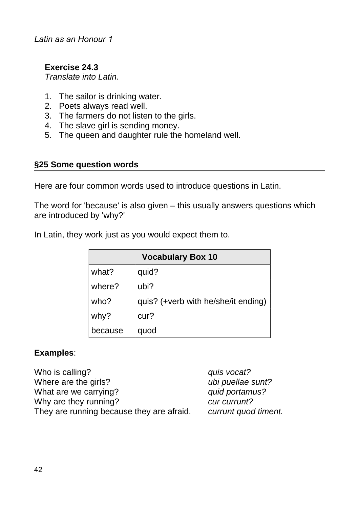## **Exercise 24.3**

*Translate into Latin.*

- 1. The sailor is drinking water.
- 2. Poets always read well.
- 3. The farmers do not listen to the girls.
- 4. The slave girl is sending money.
- 5. The queen and daughter rule the homeland well.

#### **§25 Some question words**

Here are four common words used to introduce questions in Latin.

The word for 'because' is also given – this usually answers questions which are introduced by 'why?'

In Latin, they work just as you would expect them to.

|         | <b>Vocabulary Box 10</b>            |
|---------|-------------------------------------|
| what?   | quid?                               |
| where?  | ubi?                                |
| who?    | quis? (+verb with he/she/it ending) |
| why?    | cur?                                |
| because | quod                                |

### **Examples**:

| Who is calling?                           | quis vocat?          |
|-------------------------------------------|----------------------|
| Where are the girls?                      | ubi puellae sunt?    |
| What are we carrying?                     | quid portamus?       |
| Why are they running?                     | cur currunt?         |
| They are running because they are afraid. | currunt quod timent. |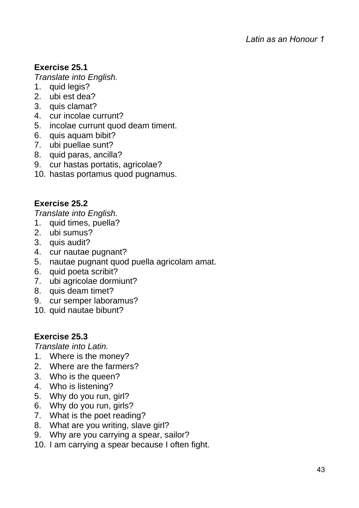# **Exercise 25.1**

*Translate into English.*

- 1. quid legis?
- 2. ubi est dea?
- 3. quis clamat?
- 4. cur incolae currunt?
- 5. incolae currunt quod deam timent.
- 6. quis aquam bibit?
- 7. ubi puellae sunt?
- 8. quid paras, ancilla?
- 9. cur hastas portatis, agricolae?
- 10. hastas portamus quod pugnamus.

## **Exercise 25.2**

*Translate into English.*

- 1. quid times, puella?
- 2. ubi sumus?
- 3. quis audit?
- 4. cur nautae pugnant?
- 5. nautae pugnant quod puella agricolam amat.
- 6. quid poeta scribit?
- 7. ubi agricolae dormiunt?
- 8. quis deam timet?
- 9. cur semper laboramus?
- 10. quid nautae bibunt?

## **Exercise 25.3**

- 1. Where is the money?
- 2. Where are the farmers?
- 3. Who is the queen?
- 4. Who is listening?
- 5. Why do you run, girl?
- 6. Why do you run, girls?
- 7. What is the poet reading?
- 8. What are you writing, slave girl?
- 9. Why are you carrying a spear, sailor?
- 10. I am carrying a spear because I often fight.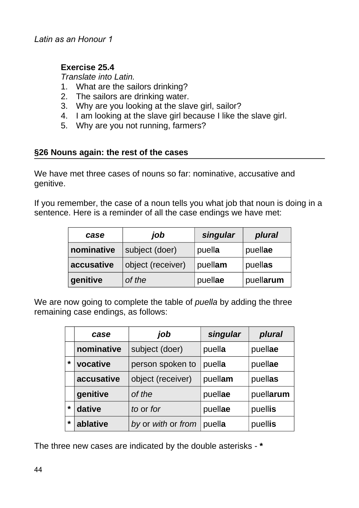## **Exercise 25.4**

*Translate into Latin.*

- 1. What are the sailors drinking?
- 2. The sailors are drinking water.
- 3. Why are you looking at the slave girl, sailor?
- 4. I am looking at the slave girl because I like the slave girl.
- 5. Why are you not running, farmers?

### **§26 Nouns again: the rest of the cases**

We have met three cases of nouns so far: nominative, accusative and genitive.

If you remember, the case of a noun tells you what job that noun is doing in a sentence. Here is a reminder of all the case endings we have met:

| case       | job               | singular | plural    |
|------------|-------------------|----------|-----------|
| nominative | subject (doer)    | puella   | puellae   |
| accusative | object (receiver) | puellam  | puellas   |
| genitive   | of the            | puellae  | puellarum |

We are now going to complete the table of *puella* by adding the three remaining case endings, as follows:

|         | case       | job                | singular | plural    |
|---------|------------|--------------------|----------|-----------|
|         | nominative | subject (doer)     | puella   | puellae   |
| $\star$ | vocative   | person spoken to   | puella   | puellae   |
|         | accusative | object (receiver)  | puellam  | puellas   |
|         | genitive   | of the             | puellae  | puellarum |
| $\star$ | dative     | to or for          | puellae  | puellis   |
| $\star$ | ablative   | by or with or from | puella   | puellis   |

The three new cases are indicated by the double asterisks - **\***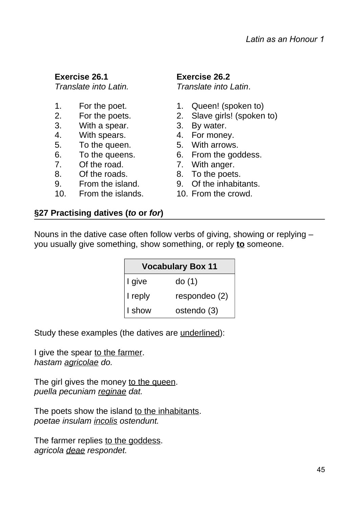#### **Exercise 26.1** *Translate into Latin.*

- 
- 
- 3. With a spear. 3. By water.
- 4. With spears. 4. For money.
- 5. To the queen. 5. With arrows.
- 
- 7. Of the road. 7. With anger.
- 8. Of the roads. 8. To the poets.
- 9. From the island. 9. Of the inhabitants.
- 10. From the islands. 10. From the crowd.

# **Exercise 26.2**

*Translate into Latin*.

- 1. For the poet. 1. Oueen! (spoken to)
- 2. For the poets. 2. Slave girls! (spoken to)
	-
	-
	-
- 6. To the queens. 6. From the goddess.
	-
	-
	-
	-

# **§27 Practising datives (***to* **or** *for***)**

Nouns in the dative case often follow verbs of giving, showing or replying – you usually give something, show something, or reply **to** someone.

|            | <b>Vocabulary Box 11</b> |
|------------|--------------------------|
| I give     | do(1)                    |
| $ I$ reply | respondeo (2)            |
| I show     | ostendo (3)              |

Study these examples (the datives are underlined):

I give the spear to the farmer. *hastam agricolae do.*

The girl gives the money to the queen. *puella pecuniam reginae dat.*

The poets show the island to the inhabitants. *poetae insulam incolis ostendunt.*

The farmer replies to the goddess. *agricola deae respondet.*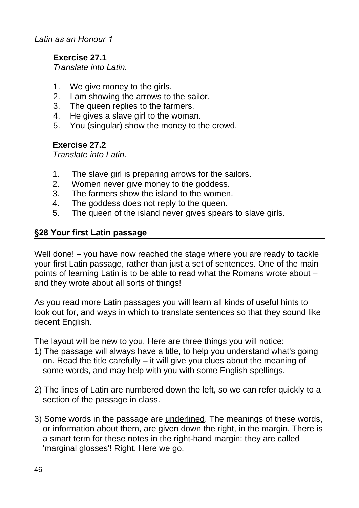*Latin as an Honour 1*

## **Exercise 27.1**

*Translate into Latin.*

- 1. We give money to the girls.
- 2. I am showing the arrows to the sailor.
- 3. The queen replies to the farmers.
- 4. He gives a slave girl to the woman.
- 5. You (singular) show the money to the crowd.

## **Exercise 27.2**

*Translate into Latin*.

- 1. The slave girl is preparing arrows for the sailors.
- 2. Women never give money to the goddess.
- 3. The farmers show the island to the women.
- 4. The goddess does not reply to the queen.
- 5. The queen of the island never gives spears to slave girls.

## **§28 Your first Latin passage**

Well done! – you have now reached the stage where you are ready to tackle your first Latin passage, rather than just a set of sentences. One of the main points of learning Latin is to be able to read what the Romans wrote about – and they wrote about all sorts of things!

As you read more Latin passages you will learn all kinds of useful hints to look out for, and ways in which to translate sentences so that they sound like decent English.

The layout will be new to you. Here are three things you will notice:

- 1) The passage will always have a title, to help you understand what's going on. Read the title carefully – it will give you clues about the meaning of some words, and may help with you with some English spellings.
- 2) The lines of Latin are numbered down the left, so we can refer quickly to a section of the passage in class.
- 3) Some words in the passage are underlined. The meanings of these words, or information about them, are given down the right, in the margin. There is a smart term for these notes in the right-hand margin: they are called 'marginal glosses'! Right. Here we go.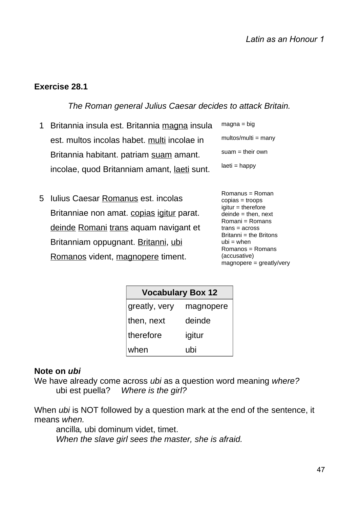#### **Exercise 28.1**

*The Roman general Julius Caesar decides to attack Britain.*

- 1 Britannia insula est. Britannia magna insula est. multos incolas habet. multi incolae in Britannia habitant. patriam suam amant. incolae, quod Britanniam amant, laeti sunt.  $maona = bin$ multos/multi = many suam = their own laeti = happy
- 5 Iulius Caesar <u>Romanus</u> est. incolas Britanniae non amat. copias igitur parat. deinde Romani trans aquam navigant et Britanniam oppugnant. Britanni, ubi Romanos vident, magnopere timent.

| $\cdots$ $\cdots$ $\cdots$ |
|----------------------------|
| multos/multi = many        |
| suam = their own           |
| laeti = happy              |
|                            |

Romanus = Roman copias = troops igitur = therefore deinde = then, next Romani = Romans trans = across Britanni = the Britons  $ubi = when$ Romanos = Romans (accusative)  $magnopere = \frac{1}{2}$  greatly/very

| <b>Vocabulary Box 12</b> |           |  |
|--------------------------|-----------|--|
| greatly, very            | magnopere |  |
| then, next               | deinde    |  |
| therefore                | igitur    |  |
| when                     | ubi       |  |

#### **Note on** *ubi*

We have already come across *ubi* as a question word meaning *where?* ubi est puella? *Where is the girl?*

When *ubi* is NOT followed by a question mark at the end of the sentence, it means *when.*

ancilla*,* ubi dominum videt, timet. *When the slave girl sees the master, she is afraid.*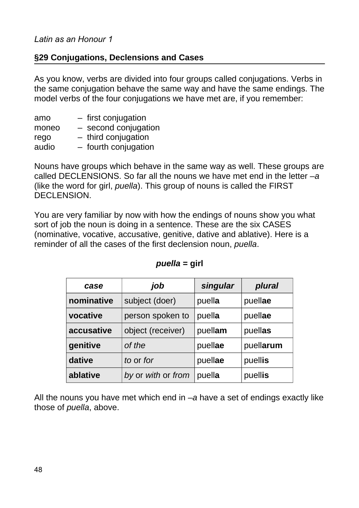## **§29 Conjugations, Declensions and Cases**

As you know, verbs are divided into four groups called conjugations. Verbs in the same conjugation behave the same way and have the same endings. The model verbs of the four conjugations we have met are, if you remember:

| amo   | $-$ first conjugation  |
|-------|------------------------|
| moneo | $-$ second conjugation |
| rego  | $-$ third conjugation  |
| audio | - fourth conjugation   |

Nouns have groups which behave in the same way as well. These groups are called DECLENSIONS. So far all the nouns we have met end in the letter *–a* (like the word for girl, *puella*). This group of nouns is called the FIRST DECLENSION.

You are very familiar by now with how the endings of nouns show you what sort of job the noun is doing in a sentence. These are the six CASES (nominative, vocative, accusative, genitive, dative and ablative). Here is a reminder of all the cases of the first declension noun, *puella*.

| case       | job                | singular | plural    |
|------------|--------------------|----------|-----------|
| nominative | subject (doer)     | puella   | puellae   |
| vocative   | person spoken to   | puella   | puellae   |
| accusative | object (receiver)  | puellam  | puellas   |
| genitive   | of the             | puellae  | puellarum |
| dative     | to or for          | puellae  | puellis   |
| ablative   | by or with or from | puella   | puellis   |

#### *puella* **= girl**

All the nouns you have met which end in *–a* have a set of endings exactly like those of *puella*, above.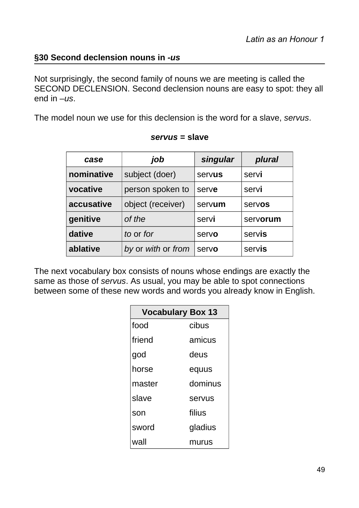## **§30 Second declension nouns in** *-us*

Not surprisingly, the second family of nouns we are meeting is called the SECOND DECLENSION. Second declension nouns are easy to spot: they all end in *–us*.

The model noun we use for this declension is the word for a slave, *servus*.

| case       | job                | singular | plural   |
|------------|--------------------|----------|----------|
| nominative | subject (doer)     | servus   | servi    |
| vocative   | person spoken to   | serve    | servi    |
| accusative | object (receiver)  | servum   | servos   |
| genitive   | of the             | servi    | servorum |
| dative     | to or for          | servo    | servis   |
| ablative   | by or with or from | servo    | servis   |

#### *servus* **= slave**

The next vocabulary box consists of nouns whose endings are exactly the same as those of *servus*. As usual, you may be able to spot connections between some of these new words and words you already know in English.

| <b>Vocabulary Box 13</b> |         |  |
|--------------------------|---------|--|
| food                     | cibus   |  |
| friend                   | amicus  |  |
| god                      | deus    |  |
| horse                    | equus   |  |
| master                   | dominus |  |
| slave                    | servus  |  |
| son                      | filius  |  |
| sword                    | gladius |  |
| wall                     | murus   |  |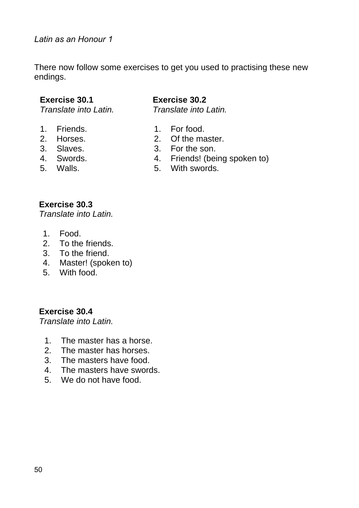There now follow some exercises to get you used to practising these new endings.

#### **Exercise 30.1**

*Translate into Latin.*

- 1. Friends.
- 2. Horses.
- 3. Slaves.
- 4. Swords.
- 5. Walls.

### **Exercise 30.2**

*Translate into Latin.*

- 1. For food.
- 2. Of the master.
- 3. For the son.
- 4. Friends! (being spoken to)
- 5. With swords.

#### **Exercise 30.3**

*Translate into Latin.*

- 1. Food.
- 2. To the friends.
- 3. To the friend.
- 4. Master! (spoken to)
- 5. With food.

**Exercise 30.4**

- 1. The master has a horse.
- 2. The master has horses.
- 3. The masters have food.
- 4. The masters have swords.
- 5. We do not have food.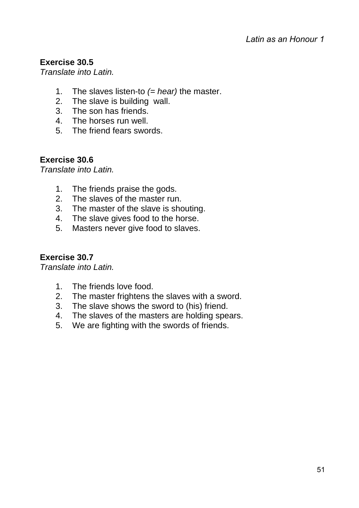## **Exercise 30.5**

*Translate into Latin.*

- 1. The slaves listen-to *(= hear)* the master.
- 2. The slave is building wall.
- 3. The son has friends.
- 4. The horses run well.
- 5. The friend fears swords.

## **Exercise 30.6**

*Translate into Latin.*

- 1. The friends praise the gods.
- 2. The slaves of the master run.
- 3. The master of the slave is shouting.
- 4. The slave gives food to the horse.
- 5. Masters never give food to slaves.

# **Exercise 30.7**

- 1. The friends love food.
- 2. The master frightens the slaves with a sword.
- 3. The slave shows the sword to (his) friend.
- 4. The slaves of the masters are holding spears.
- 5. We are fighting with the swords of friends.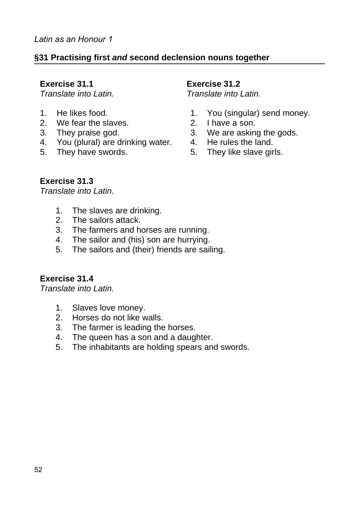## **§31 Practising first** *and* **second declension nouns together**

#### **Exercise 31.1**

*Translate into Latin.*

- 1. He likes food.
- 2. We fear the slaves.
- 3. They praise god.
- 4. You (plural) are drinking water.
- 5. They have swords.

#### **Exercise 31.2**

*Translate into Latin.*

- 1. You (singular) send money.
- 2. I have a son.
- 3. We are asking the gods.
- 4. He rules the land.
- 5. They like slave girls.

### **Exercise 31.3**

*Translate into Latin.*

- 1. The slaves are drinking.
- 2. The sailors attack.
- 3. The farmers and horses are running.
- 4. The sailor and (his) son are hurrying.
- 5. The sailors and (their) friends are sailing.

### **Exercise 31.4**

- 1. Slaves love money.
- 2. Horses do not like walls.
- 3. The farmer is leading the horses.
- 4. The queen has a son and a daughter.
- 5. The inhabitants are holding spears and swords.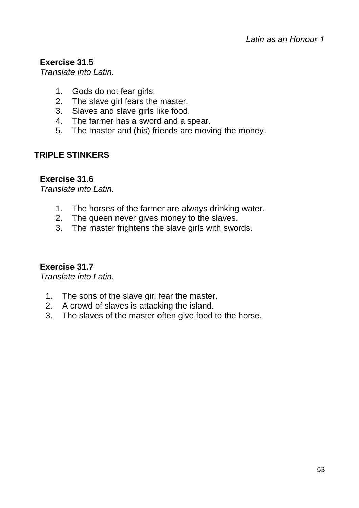## **Exercise 31.5**

*Translate into Latin.*

- 1. Gods do not fear girls.
- 2. The slave girl fears the master.
- 3. Slaves and slave girls like food.
- 4. The farmer has a sword and a spear.
- 5. The master and (his) friends are moving the money.

## **TRIPLE STINKERS**

## **Exercise 31.6**

*Translate into Latin.*

- 1. The horses of the farmer are always drinking water.
- 2. The queen never gives money to the slaves.
- 3. The master frightens the slave girls with swords.

## **Exercise 31.7**

- 1. The sons of the slave girl fear the master.
- 2. A crowd of slaves is attacking the island.
- 3. The slaves of the master often give food to the horse.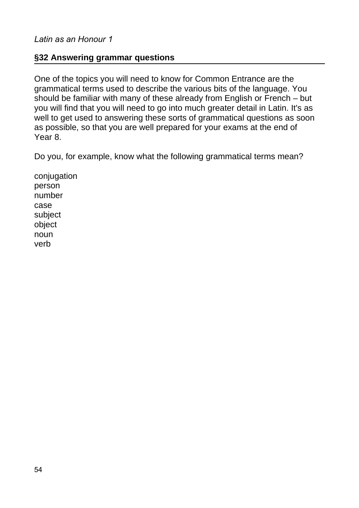### **§32 Answering grammar questions**

One of the topics you will need to know for Common Entrance are the grammatical terms used to describe the various bits of the language. You should be familiar with many of these already from English or French – but you will find that you will need to go into much greater detail in Latin. It's as well to get used to answering these sorts of grammatical questions as soon as possible, so that you are well prepared for your exams at the end of Year 8.

Do you, for example, know what the following grammatical terms mean?

conjugation person number case subject object noun verb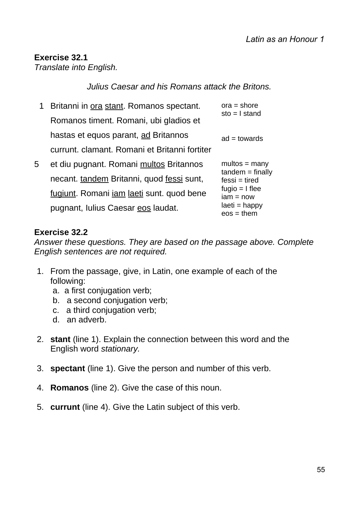#### **Exercise 32.1** *Translate into English.*

## *Julius Caesar and his Romans attack the Britons.*

1 Britanni in ora stant. Romanos spectant. 5 Romanos timent. Romani, ubi gladios et hastas et equos parant, ad Britannos currunt. clamant. Romani et Britanni fortiter et diu pugnant. Romani multos Britannos necant. tandem Britanni, quod fessi sunt,  $ora = shore$ sto = I stand  $ad =$  towards  $multos = manv$  $t$ andem = finally fessi = tired

fugiunt. Romani <u>iam laeti</u> sunt. quod bene pugnant, Iulius Caesar eos laudat. fugio  $= 1$  flee  $iam = now$ laeti = happy  $eos = them$ 

## **Exercise 32.2**

*Answer these questions. They are based on the passage above. Complete English sentences are not required.*

- 1. From the passage, give, in Latin, one example of each of the following:
	- a. a first conjugation verb;
	- b. a second conjugation verb:
	- c. a third conjugation verb;
	- d. an adverb.
- 2. **stant** (line 1). Explain the connection between this word and the English word *stationary.*
- 3. **spectant** (line 1). Give the person and number of this verb.
- 4. **Romanos** (line 2). Give the case of this noun.
- 5. **currunt** (line 4). Give the Latin subject of this verb.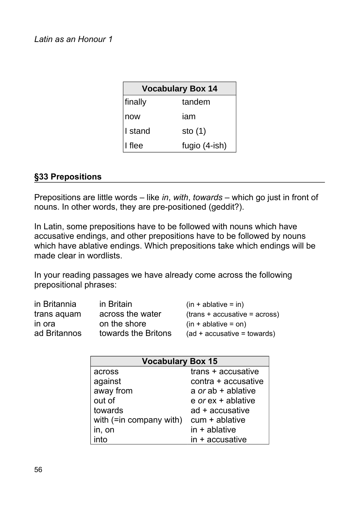*Latin as an Honour 1*

| <b>Vocabulary Box 14</b> |               |  |
|--------------------------|---------------|--|
| finally                  | tandem        |  |
| now                      | iam           |  |
| I stand                  | sto $(1)$     |  |
| I flee                   | fugio (4-ish) |  |

### **§33 Prepositions**

Prepositions are little words – like *in*, *with*, *towards* – which go just in front of nouns. In other words, they are pre-positioned (geddit?).

In Latin, some prepositions have to be followed with nouns which have accusative endings, and other prepositions have to be followed by nouns which have ablative endings. Which prepositions take which endings will be made clear in wordlists.

In your reading passages we have already come across the following prepositional phrases:

| in Britannia | in Britain          | $(in + ablative = in)$          |
|--------------|---------------------|---------------------------------|
| trans aguam  | across the water    | $(trans + accusative = across)$ |
| in ora       | on the shore        | $(in + ablative = on)$          |
| ad Britannos | towards the Britons | $(ad + accusative = towards)$   |

| <b>Vocabulary Box 15</b> |                               |  |
|--------------------------|-------------------------------|--|
| across                   | trans + accusative            |  |
| against                  | contra + accusative           |  |
| away from                | a $or$ ab + ablative          |  |
| out of                   | $e$ <i>or</i> $ex +$ ablative |  |
| towards                  | ad + accusative               |  |
| with (=in company with)  | $cum + ablative$              |  |
| in, on                   | $in + ab$ lative              |  |
| into                     | $in +$ accusative             |  |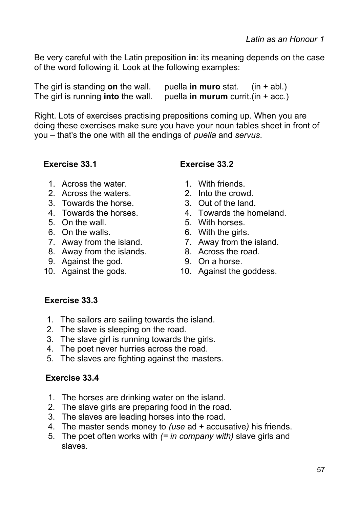Be very careful with the Latin preposition **in**: its meaning depends on the case of the word following it. Look at the following examples:

| The girl is standing on the wall.         | puella in muro stat.                  | $(in + abl.)$ |
|-------------------------------------------|---------------------------------------|---------------|
| The girl is running <b>into</b> the wall. | puella in murum currit. (in $+$ acc.) |               |

Right. Lots of exercises practising prepositions coming up. When you are doing these exercises make sure you have your noun tables sheet in front of you – that's the one with all the endings of *puella* and *servus*.

- 1. Across the water. 1. With friends.
- 2. Across the waters. 2. Into the crowd.
- 3. Towards the horse. 3. Out of the land.
- 
- 
- 6. On the walls. 6. With the girls.
- 7. Away from the island. 7. Away from the island.
- 8. Away from the islands. 8. Across the road.
- 9. Against the god. 9. On a horse.
- 

## **Exercise 33.1 Exercise 33.2**

- 
- 
- 
- 4. Towards the horses. 4. Towards the homeland.
- 5. On the wall. 5. With horses.
	-
	-
	-
	-
- 10. Against the gods. 10. Against the goddess.

## **Exercise 33.3**

- 1. The sailors are sailing towards the island.
- 2. The slave is sleeping on the road.
- 3. The slave girl is running towards the girls.
- 4. The poet never hurries across the road.
- 5. The slaves are fighting against the masters.

### **Exercise 33.4**

- 1. The horses are drinking water on the island.
- 2. The slave girls are preparing food in the road.
- 3. The slaves are leading horses into the road.
- 4. The master sends money to *(use* ad + accusative*)* his friends.
- 5. The poet often works with *(= in company with)* slave girls and slaves.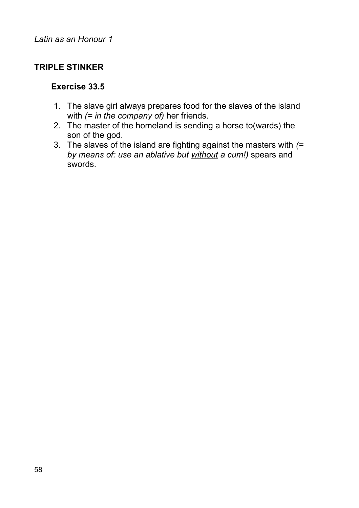## **TRIPLE STINKER**

### **Exercise 33.5**

- 1. The slave girl always prepares food for the slaves of the island with *(= in the company of)* her friends.
- 2. The master of the homeland is sending a horse to(wards) the son of the god.
- 3. The slaves of the island are fighting against the masters with *(= by means of: use an ablative but without a cum!)* spears and swords.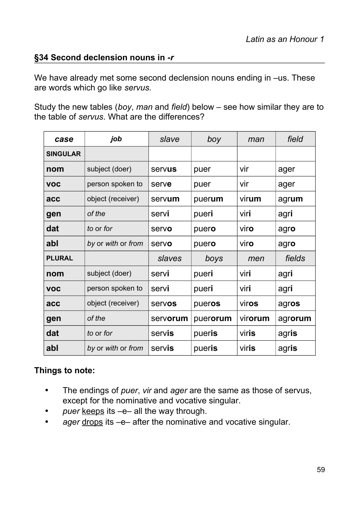## **§34 Second declension nouns in -***r*

We have already met some second declension nouns ending in –us. These are words which go like *servus.*

Study the new tables (*boy*, *man* and *field*) below – see how similar they are to the table of *servus*. What are the differences?

| case            | job                | slave    | boy      | man             | field   |
|-----------------|--------------------|----------|----------|-----------------|---------|
| <b>SINGULAR</b> |                    |          |          |                 |         |
| nom             | subject (doer)     | servus   | puer     | vir             | ager    |
| <b>VOC</b>      | person spoken to   | serve    | puer     | vir             | ager    |
| acc             | object (receiver)  | servum   | puerum   | virum           | agrum   |
| gen             | of the             | servi    | pueri    | viri            | agri    |
| dat             | to or for          | servo    | puero    | viro            | agro    |
| abl             | by or with or from | servo    | puero    | viro            | agro    |
| <b>PLURAL</b>   |                    | slaves   | boys     | men             | fields  |
| nom             | subject (doer)     | servi    | pueri    | viri            | agri    |
| <b>VOC</b>      | person spoken to   | servi    | pueri    | viri            | agri    |
| acc             | object (receiver)  | servos   | pueros   | viros           | agros   |
| gen             | of the             | servorum | puerorum | vir <b>orum</b> | agrorum |
| dat             | to or for          | servis   | pueris   | viris           | agris   |
| abl             | by or with or from | servis   | pueris   | viris           | agris   |

## **Things to note:**

- The endings of *puer*, *vir* and *ager* are the same as those of servus, except for the nominative and vocative singular.
- puer keeps its -e- all the way through.
- *ager* drops its –e– after the nominative and vocative singular.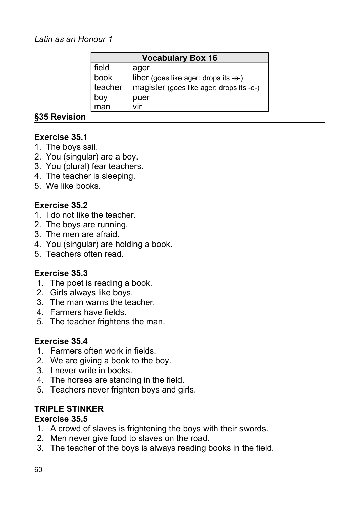| <b>Vocabulary Box 16</b> |                                          |  |
|--------------------------|------------------------------------------|--|
| field                    | ager                                     |  |
| book                     | liber (goes like ager: drops its -e-)    |  |
| teacher                  | magister (goes like ager: drops its -e-) |  |
| boy                      | puer                                     |  |
| man                      | vir                                      |  |

## **§35 Revision**

## **Exercise 35.1**

- 1. The boys sail.
- 2. You (singular) are a boy.
- 3. You (plural) fear teachers.
- 4. The teacher is sleeping.
- 5. We like books.

## **Exercise 35.2**

- 1. I do not like the teacher.
- 2. The boys are running.
- 3. The men are afraid.
- 4. You (singular) are holding a book.
- 5. Teachers often read.

### **Exercise 35.3**

- 1. The poet is reading a book.
- 2. Girls always like boys.
- 3. The man warns the teacher.
- 4. Farmers have fields.
- 5. The teacher frightens the man.

### **Exercise 35.4**

- 1. Farmers often work in fields.
- 2. We are giving a book to the boy.
- 3. I never write in books.
- 4. The horses are standing in the field.
- 5. Teachers never frighten boys and girls.

### **TRIPLE STINKER**

### **Exercise 35.5**

- 1. A crowd of slaves is frightening the boys with their swords.
- 2. Men never give food to slaves on the road.
- 3. The teacher of the boys is always reading books in the field.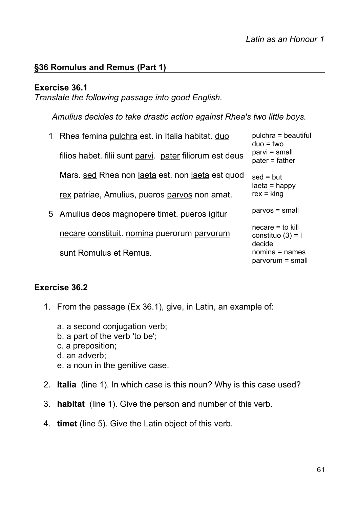## **§36 Romulus and Remus (Part 1)**

#### **Exercise 36.1**

*Translate the following passage into good English.*

*Amulius decides to take drastic action against Rhea's two little boys.*

| 1 Rhea femina pulchra est. in Italia habitat. duo       | pulchra = beautiful<br>$duo = two$                  |
|---------------------------------------------------------|-----------------------------------------------------|
| filios habet. filii sunt parvi. pater filiorum est deus | parvi = small<br>$pater = father$                   |
| Mars. sed Rhea non laeta est. non laeta est quod        | $sed = but$<br>$laeta =$ happy                      |
| rex patriae, Amulius, pueros parvos non amat.           | $rex = king$                                        |
| 5 Amulius deos magnopere timet. pueros igitur           | $parvos = small$                                    |
| necare constituit. nomina puerorum parvorum             | $necare = to kill$<br>constituo $(3) = 1$<br>decide |
| sunt Romulus et Remus.                                  | $nomina = names$<br>$parvorum = small$              |

#### **Exercise 36.2**

- 1. From the passage (Ex 36.1), give, in Latin, an example of:
	- a. a second conjugation verb;
	- b. a part of the verb 'to be';
	- c. a preposition;
	- d. an adverb;
	- e. a noun in the genitive case.
- 2. **Italia** (line 1). In which case is this noun? Why is this case used?
- 3. **habitat** (line 1). Give the person and number of this verb.
- 4. **timet** (line 5). Give the Latin object of this verb.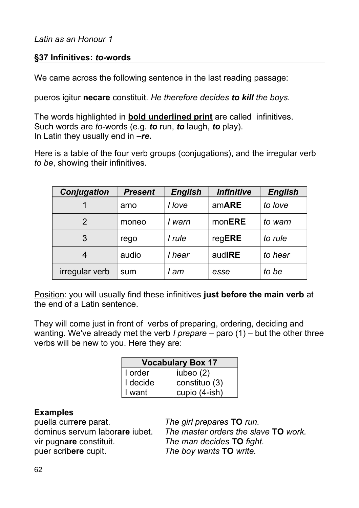## **§37 Infinitives:** *to***-words**

We came across the following sentence in the last reading passage:

pueros igitur **necare** constituit. *He therefore decides to kill the boys.*

The words highlighted in **bold underlined print** are called infinitives. Such words are *to*-words (e.g. *to* run, *to* laugh, *to* play). In Latin they usually end in *–re.*

Here is a table of the four verb groups (conjugations), and the irregular verb *to be*, showing their infinitives.

| <b>Conjugation</b> | <b>Present</b> | <b>English</b> | <b>Infinitive</b> | <b>English</b> |
|--------------------|----------------|----------------|-------------------|----------------|
|                    | amo            | I love         | amARE             | to love        |
| 2                  | moneo          | warn           | monERE            | to warn        |
| 3                  | rego           | I rule         | regERE            | to rule        |
| 4                  | audio          | I hear         | audIRE            | to hear        |
| irregular verb     | sum            | am             | esse              | to be          |

Position: you will usually find these infinitives **just before the main verb** at the end of a Latin sentence.

They will come just in front of verbs of preparing, ordering, deciding and wanting. We've already met the verb *I prepare* – paro (1) – but the other three verbs will be new to you. Here they are:

| <b>Vocabulary Box 17</b> |               |
|--------------------------|---------------|
| I order                  | iubeo $(2)$   |
| I decide                 | constituo (3) |
| I want                   | cupio (4-ish) |

### **Examples**

puella curr**ere** parat. *The girl prepares* **TO** *run.* vir pugn**are** constituit. *The man decides* **TO** *fight.* puer scrib**ere** cupit. *The boy wants* **TO** *write.*

dominus servum labor**are** iubet. *The master orders the slave* **TO** *work.*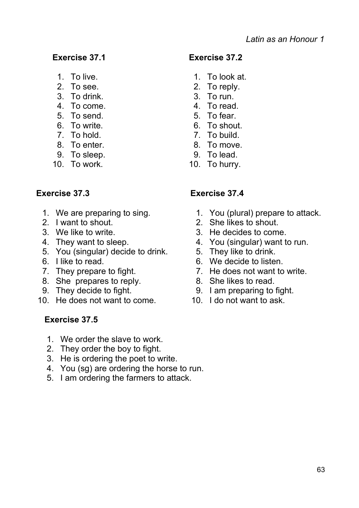- 
- 
- 3. To drink. 3. To run.
- 4. To come. 4. To read.
- 
- 6. To write. 6. To shout.
- 7. To hold. 7. To build.
- 8. To enter. 8. To move.
- 9. To sleep. 9. To lead.
- 10. To work. 10. To hurry.

- 
- 
- 
- 
- 5. You (singular) decide to drink. 5. They like to drink.
- 
- 
- 8. She prepares to reply. 8. She likes to read.
- 
- 10. He does not want to come. 10. I do not want to ask.

# **Exercise 37.5**

- 1. We order the slave to work.
- 2. They order the boy to fight.
- 3. He is ordering the poet to write.
- 4. You (sg) are ordering the horse to run.
- 5. I am ordering the farmers to attack.

# **Exercise 37.1 Exercise 37.2**

- 1. To live. 1. To look at.
- 2. To see. 2. To reply.
	-
	-
- 5. To send. 5. To fear.
	-
	-
	-
	-
	-

# **Exercise 37.3 Exercise 37.4**

- 1. We are preparing to sing. 1. You (plural) prepare to attack.
- 2. I want to shout. 2. She likes to shout.
- 3. We like to write. 3. He decides to come.
- 4. They want to sleep. 4. You (singular) want to run.
	-
- 6. I like to read. 6. We decide to listen.
- 7. They prepare to fight. 7. He does not want to write.
	-
- 9. They decide to fight. 9. I am preparing to fight.
	-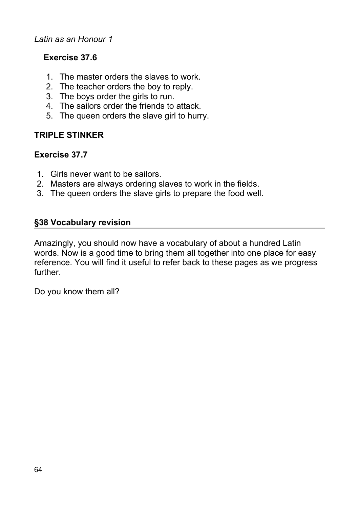#### *Latin as an Honour 1*

## **Exercise 37.6**

- 1. The master orders the slaves to work.
- 2. The teacher orders the boy to reply.
- 3. The boys order the girls to run.
- 4. The sailors order the friends to attack.
- 5. The queen orders the slave girl to hurry.

## **TRIPLE STINKER**

### **Exercise 37.7**

- 1. Girls never want to be sailors.
- 2. Masters are always ordering slaves to work in the fields.
- 3. The queen orders the slave girls to prepare the food well.

## **§38 Vocabulary revision**

Amazingly, you should now have a vocabulary of about a hundred Latin words. Now is a good time to bring them all together into one place for easy reference. You will find it useful to refer back to these pages as we progress further.

Do you know them all?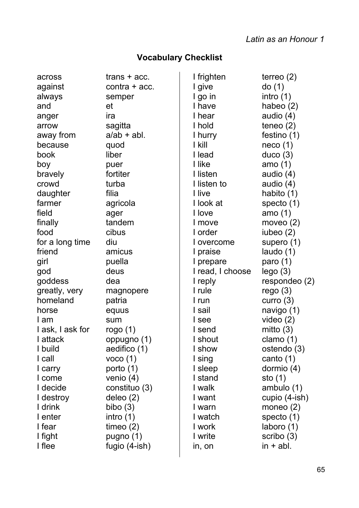#### **Vocabulary Checklist**

across trans + acc. against contra + acc. always semper and et anger ira arrow sagitta away from  $a/ab + abl$ . because quod book liber boy puer bravely fortiter crowd turba daughter filia farmer agricola field ager finally tandem food cibus for a long time diu friend amicus girl puella god deus goddess dea greatly, very magnopere homeland patria horse equus I am sum I ask, I ask for rogo (1) I attack oppugno (1) I build aedifico (1) I call voco (1) I carry porto (1) I come venio (4) I decide constituo (3) I destroy deleo (2) I drink bibo (3) I enter intro (1) I fear timeo (2) I fight pugno (1)

I flee fugio (4-ish)

| I frighten       | terreo (2)    |
|------------------|---------------|
| I give           | do (1)        |
| I go in          | intro (1)     |
| I have           | habeo (2)     |
| I hear           | audio (4)     |
| I hold           | teneo (2)     |
| l hurry          | festino (1)   |
| l kill           | neco(1)       |
| I lead           | duco(3)       |
| I like           | amo (1)       |
| I listen         | audio (4)     |
| I listen to      | audio (4)     |
| I live           | habito (1)    |
| I look at        | specto (1)    |
| I love           | amo (1)       |
| I move           | moveo $(2)$   |
| I order          | iubeo (2)     |
| I overcome       | supero (1)    |
| I praise         | laudo (1)     |
| I prepare        | paro $(1)$    |
| I read, I choose | lego(3)       |
| I reply          | respondeo (2) |
| I rule           | rego(3)       |
| I run            | curro $(3)$   |
| I sail           | navigo (1)    |
| I see            | video $(2)$   |
| I send           | mitto $(3)$   |
| I shout          | clamo $(1)$   |
| I show           | ostendo (3)   |
| I sing           | canto (1)     |
| I sleep          | dormio (4)    |
| I stand          | sto (1)       |
| I walk           | ambulo (1)    |
| I want           | cupio (4-ish) |
| I warn           | moneo $(2)$   |
| I watch          | specto (1)    |
| l work           | laboro (1)    |
| I write          | scribo (3)    |
| in, on           | in + abl.     |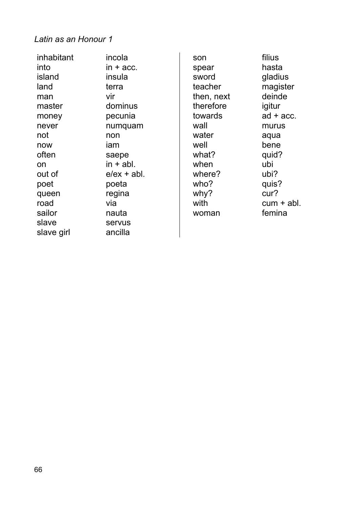#### *Latin as an Honour 1*

inhabitant incola  $into$  in  $+$  acc. island insula land terra man vir master dominus money pecunia never numquam not non now iam often saepe on in + abl. out of e/ex + abl. poet poeta queen regina road via sailor nauta slave servus slave girl ancilla son filius spear hasta sword **gladius** teacher magister then, next deinde therefore igitur towards ad + acc. wall murus water aqua well bene what? quid? when ubi where? ubi? who? quis? why? cur? with cum + abl. woman femina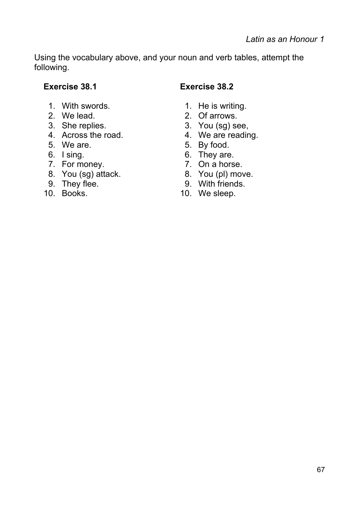Using the vocabulary above, and your noun and verb tables, attempt the following.

- 1. With swords. 1. He is writing.
- 
- 3. She replies. 3. You (sg) see,
- 4. Across the road. 4. We are reading.
- 5. We are. 6. 1992 1. 1994 1. 1995 1. 1996 1. 1997 1. 1998 1. 1999 1. 1999 1. 1999 1. 1999 1. 1999 1. 1999 1. 1999 1. 1999 1. 1999 1. 1999 1. 1999 1. 1999 1. 1999 1. 1999 1. 1999 1. 1999 1. 1999 1. 1999 1. 1999 1. 1999 1.
- 
- 7. For money. 2012 7. On a horse.
- 8. You (sg) attack. 8. You (pl) move.
- 
- 

# **Exercise 38.1 Exercise 38.2**

- 
- 2. We lead. 2. Of arrows.
	-
	-
	-
- 6. I sing. 6. They are.
	-
	-
- 9. They flee. 9. With friends.<br>10. Books. 10. We sleep.
	- 10. We sleep.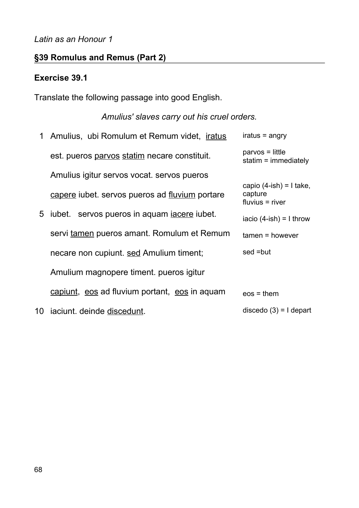## *Latin as an Honour 1*

# **§39 Romulus and Remus (Part 2)**

## **Exercise 39.1**

Translate the following passage into good English.

# *Amulius' slaves carry out his cruel orders.*

| $\mathbf 1$ | Amulius, ubi Romulum et Remum videt, <i>iratus</i>   | iratus = angry                                                |
|-------------|------------------------------------------------------|---------------------------------------------------------------|
|             | est. pueros parvos statim necare constituit.         | $parvos = little$<br>statim $=$ immediately                   |
|             | Amulius igitur servos vocat. servos pueros           |                                                               |
|             | capere iubet. servos pueros ad fluvium portare       | capio $(4$ -ish $) = 1$ take,<br>capture<br>$fluvius = river$ |
|             | 5 iubet. servos pueros in aquam <i>iacere</i> iubet. | iacio $(4-ish) = I$ throw                                     |
|             | servi tamen pueros amant. Romulum et Remum           | $tamen = however$                                             |
|             | necare non cupiunt. sed Amulium timent;              | sed =but                                                      |
|             | Amulium magnopere timent. pueros igitur              |                                                               |
|             | capiunt, eos ad fluvium portant, eos in aquam        | $eos = them$                                                  |
| 10          | iaciunt. deinde discedunt.                           | discedo $(3) = 1$ depart                                      |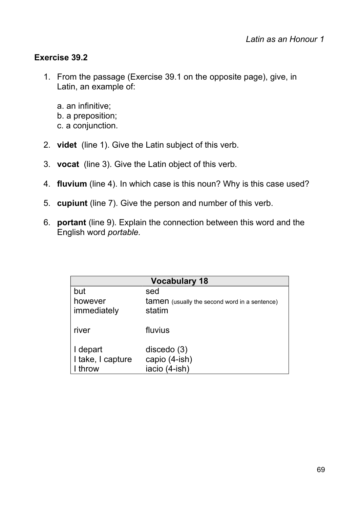## **Exercise 39.2**

- 1. From the passage (Exercise 39.1 on the opposite page), give, in Latin, an example of:
	- a. an infinitive; b. a preposition; c. a conjunction.
- 2. **videt** (line 1). Give the Latin subject of this verb.
- 3. **vocat** (line 3). Give the Latin object of this verb.
- 4. **fluvium** (line 4). In which case is this noun? Why is this case used?
- 5. **cupiunt** (line 7). Give the person and number of this verb.
- 6. **portant** (line 9). Explain the connection between this word and the English word *portable.*

| <b>Vocabulary 18</b> |                                                      |  |
|----------------------|------------------------------------------------------|--|
| but                  | sed                                                  |  |
| however              | <b>tamen</b> (usually the second word in a sentence) |  |
| immediately          | statim                                               |  |
| river                | fluvius                                              |  |
| I depart             | discedo $(3)$                                        |  |
| I take, I capture    | capio (4-ish)                                        |  |
| throw                | iacio (4-ish)                                        |  |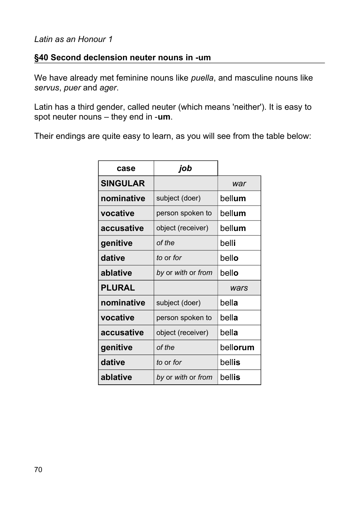## **§40 Second declension neuter nouns in -um**

We have already met feminine nouns like *puella*, and masculine nouns like *servus*, *puer* and *ager*.

Latin has a third gender, called neuter (which means 'neither'). It is easy to spot neuter nouns – they end in -**um**.

Their endings are quite easy to learn, as you will see from the table below:

| case            | job                |          |
|-----------------|--------------------|----------|
| <b>SINGULAR</b> |                    | war      |
| nominative      | subject (doer)     | bellum   |
| vocative        | person spoken to   | bellum   |
| accusative      | object (receiver)  | bellum   |
| genitive        | of the             | belli    |
| dative          | to or for          | bello    |
| ablative        | by or with or from | bello    |
| <b>PLURAL</b>   |                    | wars     |
| nominative      | subject (doer)     | bella    |
| vocative        | person spoken to   | bella    |
| accusative      | object (receiver)  | bella    |
| genitive        | of the             | bellorum |
| dative          | to or for          | bellis   |
| ablative        | by or with or from | bellis   |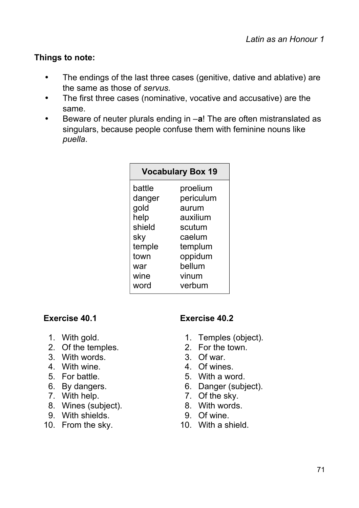## **Things to note:**

- The endings of the last three cases (genitive, dative and ablative) are the same as those of *servus.*
- The first three cases (nominative, vocative and accusative) are the same.
- Beware of neuter plurals ending in –**a**! The are often mistranslated as singulars, because people confuse them with feminine nouns like *puella*.

| <b>Vocabulary Box 19</b> |           |  |
|--------------------------|-----------|--|
| battle                   | proelium  |  |
| danger                   | periculum |  |
| gold                     | aurum     |  |
| help                     | auxilium  |  |
| shield                   | scutum    |  |
| sky                      | caelum    |  |
| temple                   | templum   |  |
| town                     | oppidum   |  |
| war                      | bellum    |  |
| wine                     | vinum     |  |
| word                     | verbum    |  |

- 
- 2. Of the temples. 2. For the town.
- 3. With words. 3. Of war.
- 4. With wine. 4. Of wines.
- 
- 
- 
- 8. Wines (subject). 8. With words.
- 9. With shields. 9. Of wine.
- 10. From the sky. 10. With a shield.

### **Exercise 40.1 Exercise 40.2**

- 1. With gold. 1. Temples (object).
	-
	-
	-
- 5. For battle. 5. With a word.
- 6. By dangers. 6. Danger (subject).
- 7. With help. 7. Of the sky.
	-
	-
	-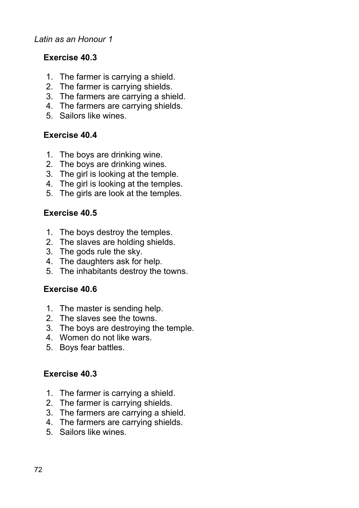#### *Latin as an Honour 1*

## **Exercise 40.3**

- 1. The farmer is carrying a shield.
- 2. The farmer is carrying shields.
- 3. The farmers are carrying a shield.
- 4. The farmers are carrying shields.
- 5. Sailors like wines.

### **Exercise 40.4**

- 1. The boys are drinking wine.
- 2. The boys are drinking wines.
- 3. The girl is looking at the temple.
- 4. The girl is looking at the temples.
- 5. The girls are look at the temples.

#### **Exercise 40.5**

- 1. The boys destroy the temples.
- 2. The slaves are holding shields.
- 3. The gods rule the sky.
- 4. The daughters ask for help.
- 5. The inhabitants destroy the towns.

### **Exercise 40.6**

- 1. The master is sending help.
- 2. The slaves see the towns.
- 3. The boys are destroying the temple.
- 4. Women do not like wars.
- 5. Boys fear battles.

#### **Exercise 40.3**

- 1. The farmer is carrying a shield.
- 2. The farmer is carrying shields.
- 3. The farmers are carrying a shield.
- 4. The farmers are carrying shields.
- 5. Sailors like wines.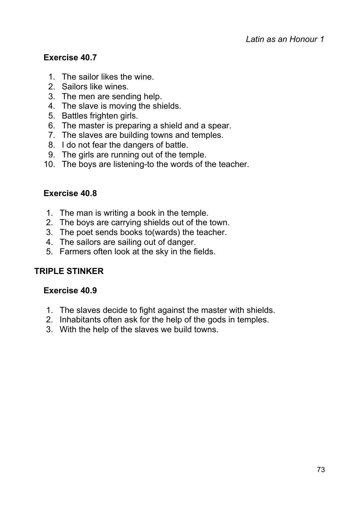## **Exercise 40.7**

- 1. The sailor likes the wine.
- 2. Sailors like wines.
- 3. The men are sending help.
- 4. The slave is moving the shields.
- 5. Battles frighten girls.
- 6. The master is preparing a shield and a spear.
- 7. The slaves are building towns and temples.
- 8. I do not fear the dangers of battle.
- 9. The girls are running out of the temple.
- 10. The boys are listening-to the words of the teacher.

## **Exercise 40.8**

- 1. The man is writing a book in the temple.
- 2. The boys are carrying shields out of the town.
- 3. The poet sends books to(wards) the teacher.
- 4. The sailors are sailing out of danger.
- 5. Farmers often look at the sky in the fields.

## **TRIPLE STINKER**

#### **Exercise 40.9**

- 1. The slaves decide to fight against the master with shields.
- 2. Inhabitants often ask for the help of the gods in temples.
- 3. With the help of the slaves we build towns.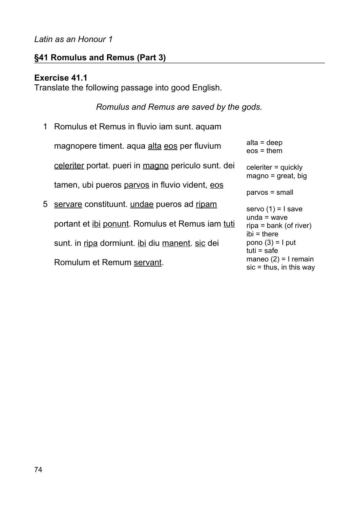#### *Latin as an Honour 1*

## **§41 Romulus and Remus (Part 3)**

#### **Exercise 41.1**

Translate the following passage into good English.

#### *Romulus and Remus are saved by the gods.*

- 1 Romulus et Remus in fluvio iam sunt. aquam magnopere timent. aqua alta eos per fluvium celeriter portat. pueri in magno periculo sunt. dei tamen, ubi pueros parvos in fluvio vident, eos
- 5 servare constituunt. undae pueros ad ripam portant et ibi ponunt. Romulus et Remus iam tuti sunt. in ripa dormiunt. ibi diu manent. sic dei Romulum et Remum servant.

```
alta = deep
eos = them
celeriter = quickly
maqno = great, big
parvos = small
servo (1) = I save
unda = wave
ripa = bank (of river)
ibi = there
pono (3) = I put
tuti = safe
maneo (2) = I remain
\text{s}ic = thus, in this way
```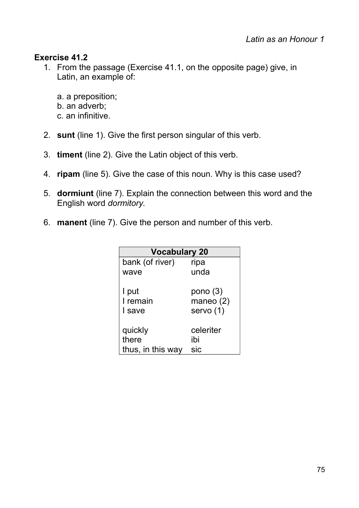## **Exercise 41.2**

- 1. From the passage (Exercise 41.1, on the opposite page) give, in Latin, an example of:
	- a. a preposition; b. an adverb;
	-
	- c. an infinitive.
- 2. **sunt** (line 1). Give the first person singular of this verb.
- 3. **timent** (line 2). Give the Latin object of this verb.
- 4. **ripam** (line 5). Give the case of this noun. Why is this case used?
- 5. **dormiunt** (line 7). Explain the connection between this word and the English word *dormitory.*
- 6. **manent** (line 7). Give the person and number of this verb.

| <b>Vocabulary 20</b> |            |  |  |
|----------------------|------------|--|--|
| bank (of river)      | ripa       |  |  |
| wave                 | unda       |  |  |
| I put                | pono $(3)$ |  |  |
| I remain             | maneo (2)  |  |  |
| I save               | servo (1)  |  |  |
| quickly              | celeriter  |  |  |
| there                | ibi        |  |  |
| thus, in this way    | sic        |  |  |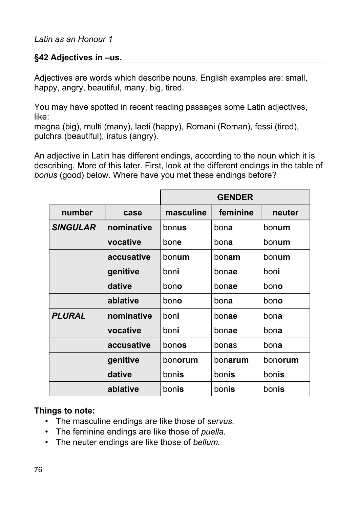## **§42 Adjectives in –us.**

Adjectives are words which describe nouns. English examples are: small, happy, angry, beautiful, many, big, tired.

You may have spotted in recent reading passages some Latin adjectives, like:

magna (big), multi (many), laeti (happy), Romani (Roman), fessi (tired), pulchra (beautiful), iratus (angry).

An adjective in Latin has different endings, according to the noun which it is describing. More of this later. First, look at the different endings in the table of *bonus* (good) below. Where have you met these endings before?

|                             |            | <b>GENDER</b> |          |         |
|-----------------------------|------------|---------------|----------|---------|
| number<br>case              |            | masculine     | feminine | neuter  |
| <b>SINGULAR</b>             | nominative | bonus         | bona     | bonum   |
|                             | vocative   | bone          | bona     | bonum   |
|                             | accusative | bonum         | bonam    | bonum   |
|                             | genitive   | boni          | bonae    | boni    |
|                             | dative     | bono          | bonae    | bono    |
|                             | ablative   | bono          | bona     | bono    |
| <b>PLURAL</b><br>nominative |            | boni          | bonae    | bona    |
|                             | vocative   | boni          | bonae    | bona    |
|                             | accusative | bonos         | bonas    | bona    |
|                             | genitive   | bonorum       | bonarum  | bonorum |
|                             | dative     | bonis         | bonis    | bonis   |
|                             | ablative   | bonis         | bonis    | bonis   |

#### **Things to note:**

- The masculine endings are like those of *servus.*
- The feminine endings are like those of *puella.*
- The neuter endings are like those of *bellum.*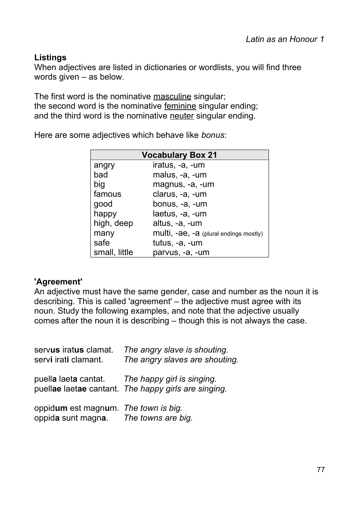## **Listings**

When adjectives are listed in dictionaries or wordlists, you will find three words given – as below.

The first word is the nominative masculine singular; the second word is the nominative feminine singular ending; and the third word is the nominative neuter singular ending.

Here are some adjectives which behave like *bonus*:

| <b>Vocabulary Box 21</b> |                                        |  |  |
|--------------------------|----------------------------------------|--|--|
| angry                    | iratus, -a, -um                        |  |  |
| bad                      | malus, -a, -um                         |  |  |
| big                      | magnus, -a, -um                        |  |  |
| famous                   | clarus, -a, -um                        |  |  |
| good                     | bonus, -a, -um                         |  |  |
| happy                    | laetus, -a, -um                        |  |  |
| high, deep               | altus, -a, -um                         |  |  |
| many                     | multi, -ae, -a (plural endings mostly) |  |  |
| safe                     | tutus, -a, -um                         |  |  |
| small, little            | parvus, -a, -um                        |  |  |

#### **'Agreement'**

An adjective must have the same gender, case and number as the noun it is describing. This is called 'agreement' – the adjective must agree with its noun. Study the following examples, and note that the adjective usually comes after the noun it is describing – though this is not always the case.

| servus iratus clamat.<br>servi irati clamant. | The angry slave is shouting.<br>The angry slaves are shouting.                                          |
|-----------------------------------------------|---------------------------------------------------------------------------------------------------------|
|                                               | puella laeta cantat. The happy girl is singing.<br>puellae laetae cantant. The happy girls are singing. |
| oppidum est magnum. The town is big.          |                                                                                                         |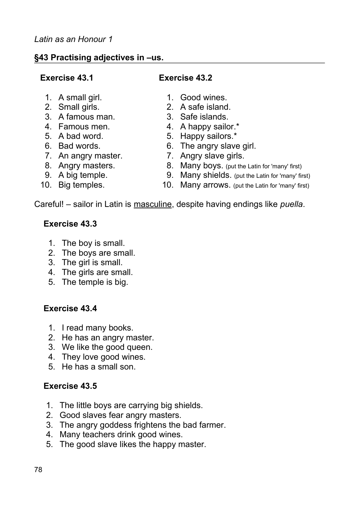## **§43 Practising adjectives in –us.**

## **Exercise 43.1 Exercise 43.2**

- 
- 
- 3. A famous man. 3. Safe islands.
- 
- 
- 
- 7. An angry master. 7. Angry slave girls.
- 
- 
- 
- 1. A small girl. 1. Good wines.
- 2. Small girls. 2. A safe island.
	-
- 4. Famous men. 4. A happy sailor.\*
- 5. A bad word. 5. Happy sailors.\*
- 6. Bad words. 6. The angry slave girl.
	-
- 8. Angry masters. 8. Many boys. (put the Latin for 'many' first)
- 9. A big temple. 9. Many shields. (put the Latin for 'many' first)
- 10. Big temples. 10. Many arrows. (put the Latin for 'many' first)

Careful! – sailor in Latin is masculine, despite having endings like *puella*.

# **Exercise 43.3**

- 1. The boy is small.
- 2. The boys are small.
- 3. The girl is small.
- 4. The girls are small.
- 5. The temple is big.

# **Exercise 43.4**

- 1. I read many books.
- 2. He has an angry master.
- 3. We like the good queen.
- 4. They love good wines.
- 5. He has a small son.

# **Exercise 43.5**

- 1. The little boys are carrying big shields.
- 2. Good slaves fear angry masters.
- 3. The angry goddess frightens the bad farmer.
- 4. Many teachers drink good wines.
- 5. The good slave likes the happy master.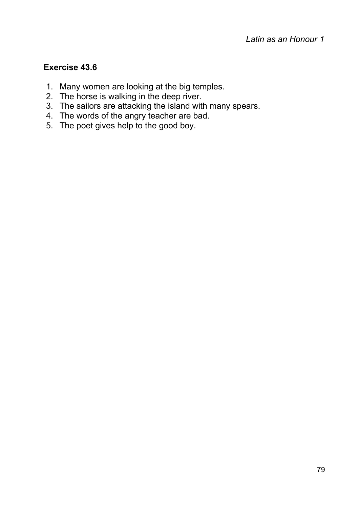## **Exercise 43.6**

- 1. Many women are looking at the big temples.
- 2. The horse is walking in the deep river.
- 3. The sailors are attacking the island with many spears.
- 4. The words of the angry teacher are bad.
- 5. The poet gives help to the good boy.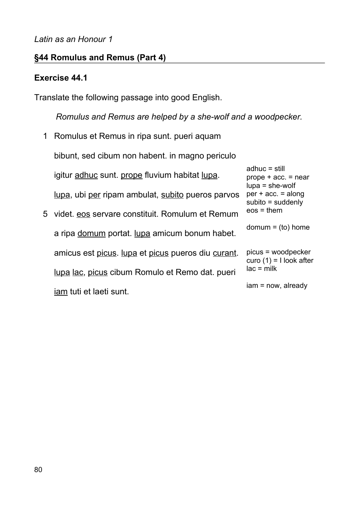## **§44 Romulus and Remus (Part 4)**

## **Exercise 44.1**

Translate the following passage into good English.

*Romulus and Remus are helped by a she-wolf and a woodpecker.*

- 1 Romulus et Remus in ripa sunt. pueri aquam 5 videt. eos servare constituit. Romulum et Remum bibunt, sed cibum non habent. in magno periculo igitur adhuc sunt. prope fluvium habitat lupa. lupa, ubi per ripam ambulat, subito pueros parvos adhuc = still
- a ripa domum portat. lupa amicum bonum habet. amicus est picus. lupa et picus pueros diu curant. lupa lac, picus cibum Romulo et Remo dat. pueri iam tuti et laeti sunt.

 $prove + acc. = near$ lupa = she-wolf  $per + acc. = along$ subito = suddenly eos = them  $domum = (to) home$ picus = woodpecker

curo  $(1)$  = I look after  $lac = milk$ 

iam = now, already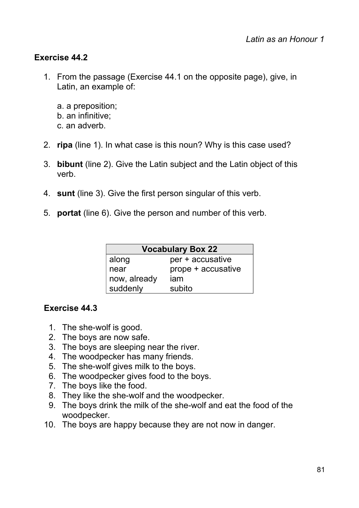## **Exercise 44.2**

- 1. From the passage (Exercise 44.1 on the opposite page), give, in Latin, an example of:
	- a. a preposition; b. an infinitive; c. an adverb.
- 2. **ripa** (line 1). In what case is this noun? Why is this case used?
- 3. **bibunt** (line 2). Give the Latin subject and the Latin object of this verb.
- 4. **sunt** (line 3). Give the first person singular of this verb.
- 5. **portat** (line 6). Give the person and number of this verb.

| <b>Vocabulary Box 22</b> |                    |  |  |
|--------------------------|--------------------|--|--|
| along                    | per + accusative   |  |  |
| near                     | prope + accusative |  |  |
| now, already             | iam                |  |  |
| suddenly                 | subito             |  |  |

## **Exercise 44.3**

- 1. The she-wolf is good.
- 2. The boys are now safe.
- 3. The boys are sleeping near the river.
- 4. The woodpecker has many friends.
- 5. The she-wolf gives milk to the boys.
- 6. The woodpecker gives food to the boys.
- 7. The boys like the food.
- 8. They like the she-wolf and the woodpecker.
- 9. The boys drink the milk of the she-wolf and eat the food of the woodpecker.
- 10. The boys are happy because they are not now in danger.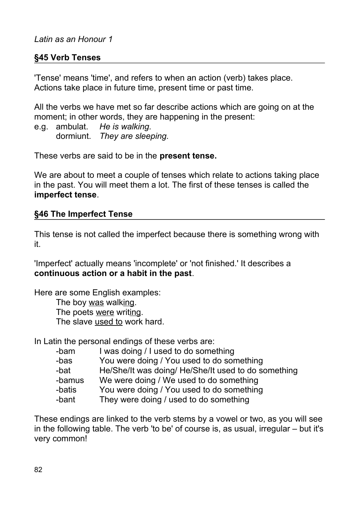## **§45 Verb Tenses**

'Tense' means 'time', and refers to when an action (verb) takes place. Actions take place in future time, present time or past time.

All the verbs we have met so far describe actions which are going on at the moment; in other words, they are happening in the present:

e.g. ambulat. *He is walking.* dormiunt. *They are sleeping.*

These verbs are said to be in the **present tense.**

We are about to meet a couple of tenses which relate to actions taking place in the past. You will meet them a lot. The first of these tenses is called the **imperfect tense**.

#### **§46 The Imperfect Tense**

This tense is not called the imperfect because there is something wrong with it.

'Imperfect' actually means 'incomplete' or 'not finished.' It describes a **continuous action or a habit in the past**.

Here are some English examples: The boy was walking. The poets were writing. The slave used to work hard.

In Latin the personal endings of these verbs are:

| -bam   | I was doing / I used to do something                |
|--------|-----------------------------------------------------|
| -bas   | You were doing / You used to do something           |
| -bat   | He/She/It was doing/ He/She/It used to do something |
| -bamus | We were doing / We used to do something             |
| -batis | You were doing / You used to do something           |
| -bant  | They were doing / used to do something              |
|        |                                                     |

These endings are linked to the verb stems by a vowel or two, as you will see in the following table. The verb 'to be' of course is, as usual, irregular – but it's very common!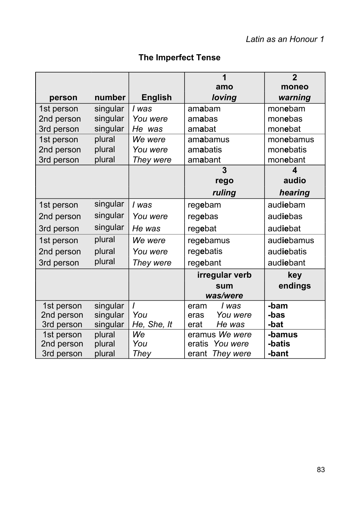# **The Imperfect Tense**

|            |          |                | 1                  | $\overline{2}$   |
|------------|----------|----------------|--------------------|------------------|
|            |          |                | amo                | moneo            |
| person     | number   | <b>English</b> | loving             | warning          |
| 1st person | singular | l was          | amabam             | monebam          |
| 2nd person | singular | You were       | amabas             | monebas          |
| 3rd person | singular | He was         | amabat             | monebat          |
| 1st person | plural   | We were        | amabamus           | monebamus        |
| 2nd person | plural   | You were       | amabatis           | monebatis        |
| 3rd person | plural   | They were      | amabant            | monebant         |
|            |          |                | 3                  | $\blacktriangle$ |
|            |          |                | rego               | audio            |
|            |          |                | ruling             | hearing          |
| 1st person | singular | l was          | regebam            | audiebam         |
| 2nd person | singular | You were       | regebas            | audiebas         |
| 3rd person | singular | He was         | regebat            | audiebat         |
| 1st person | plural   | We were        | regebamus          | audiebamus       |
| 2nd person | plural   | You were       | regebatis          | audiebatis       |
| 3rd person | plural   | They were      | regebant           | audiebant        |
|            |          |                | irregular verb     | key              |
|            |          |                | sum                | endings          |
|            |          |                | was/were           |                  |
| 1st person | singular | $\overline{I}$ | l was<br>eram      | -bam             |
| 2nd person | singular | You            | You were<br>eras   | -bas             |
| 3rd person | singular | He, She, It    | He was<br>erat     | -bat             |
| 1st person | plural   | <b>We</b>      | eramus We were     | -bamus           |
| 2nd person | plural   | You            | eratis<br>You were | -batis           |
| 3rd person | plural   | They           | They were<br>erant | -bant            |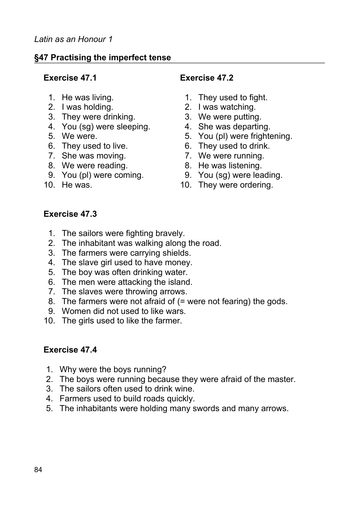## **§47 Practising the imperfect tense**

#### **Exercise 47.1 Exercise 47.2**

- 
- 
- 3. They were drinking. 3. We were putting.
- 4. You (sg) were sleeping. 4. She was departing.
- 
- 6. They used to live. 6. They used to drink.
- 7. She was moving. The matter of the Weight P. We were running.
- 8. We were reading. 8. He was listening.
- 
- 

- 1. He was living. 1. They used to fight.
- 2. I was holding. 2. I was watching.
	-
	-
- 5. We were. 5. You (pl) were frightening.
	-
	-
	-
- 9. You (pl) were coming. 9. You (sg) were leading.
- 10. He was. **10.** They were ordering.

#### **Exercise 47.3**

- 1. The sailors were fighting bravely.
- 2. The inhabitant was walking along the road.
- 3. The farmers were carrying shields.
- 4. The slave girl used to have money.
- 5. The boy was often drinking water.
- 6. The men were attacking the island.
- 7. The slaves were throwing arrows.
- 8. The farmers were not afraid of (= were not fearing) the gods.
- 9. Women did not used to like wars.
- 10. The girls used to like the farmer.

#### **Exercise 47.4**

- 1. Why were the boys running?
- 2. The boys were running because they were afraid of the master.
- 3. The sailors often used to drink wine.
- 4. Farmers used to build roads quickly.
- 5. The inhabitants were holding many swords and many arrows.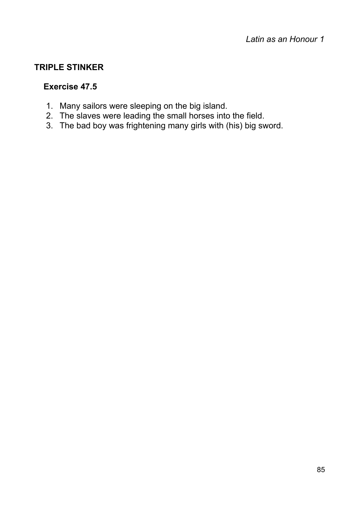## **TRIPLE STINKER**

#### **Exercise 47.5**

- 1. Many sailors were sleeping on the big island.
- 2. The slaves were leading the small horses into the field.
- 3. The bad boy was frightening many girls with (his) big sword.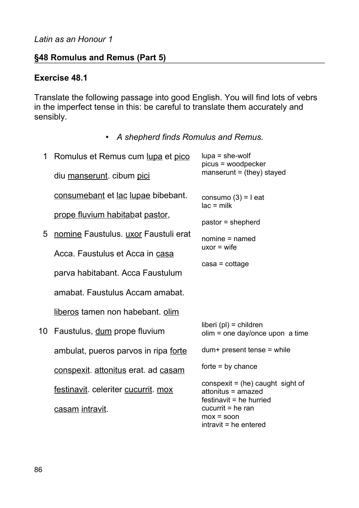#### *Latin as an Honour 1*

## **§48 Romulus and Remus (Part 5)**

#### **Exercise 48.1**

Translate the following passage into good English. You will find lots of vebrs in the imperfect tense in this: be careful to translate them accurately and sensibly.

• *A shepherd finds Romulus and Remus.*

| 1  | Romulus et Remus cum lupa et pico    | $lupa = she-world$<br>picus = woodpecker                                          |
|----|--------------------------------------|-----------------------------------------------------------------------------------|
|    | diu manserunt. cibum pici            | manserunt = $(they)$ stayed                                                       |
|    | consumebant et lac lupae bibebant.   | consumo $(3) = 1$ eat<br>$lac = milk$                                             |
|    | prope fluvium habitabat pastor,      | pastor = shepherd                                                                 |
| 5  | nomine Faustulus. uxor Faustuli erat | nomine = named                                                                    |
|    | Acca. Faustulus et Acca in casa      | $uxor = wife$                                                                     |
|    | parva habitabant. Acca Faustulum     | $\c{cas}a = \cot \$                                                               |
|    | amabat. Faustulus Accam amabat.      |                                                                                   |
|    | liberos tamen non habebant. olim     |                                                                                   |
| 10 | Faustulus, dum prope fluvium         | $liberi$ (pl) = children<br>$olim = one day/once upon a time$                     |
|    | ambulat, pueros parvos in ripa forte | $dum+ present$ tense = while                                                      |
|    | conspexit. attonitus erat. ad casam  | $forte = by chance$                                                               |
|    | festinavit. celeriter cucurrit. mox  | conspexit = (he) caught sight of<br>attonitus = amazed<br>festinavit = he hurried |
|    | casam intravit.                      | $cucurrit = he ran$<br>$max = soon$<br>intravit = he entered                      |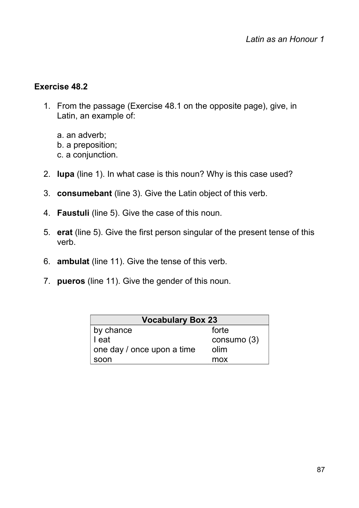## **Exercise 48.2**

- 1. From the passage (Exercise 48.1 on the opposite page), give, in Latin, an example of:
	- a. an adverb;
	- b. a preposition;
	- c. a conjunction.
- 2. **lupa** (line 1). In what case is this noun? Why is this case used?
- 3. **consumebant** (line 3). Give the Latin object of this verb.
- 4. **Faustuli** (line 5). Give the case of this noun.
- 5. **erat** (line 5). Give the first person singular of the present tense of this verb.
- 6. **ambulat** (line 11). Give the tense of this verb.
- 7. **pueros** (line 11). Give the gender of this noun.

| <b>Vocabulary Box 23</b>   |             |  |
|----------------------------|-------------|--|
| forte<br>by chance         |             |  |
| I eat                      | consumo (3) |  |
| one day / once upon a time | olim        |  |
| soon                       | mox         |  |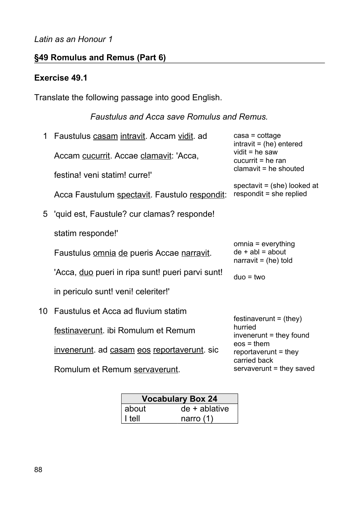## *Latin as an Honour 1*

# **§49 Romulus and Remus (Part 6)**

## **Exercise 49.1**

Translate the following passage into good English.

# *Faustulus and Acca save Romulus and Remus.*

| 1  | Faustulus casam intravit. Accam vidit. ad               | $\c{casa}$ = cottage<br>$intravit = (he) entered$                  |  |
|----|---------------------------------------------------------|--------------------------------------------------------------------|--|
|    | Accam cucurrit. Accae clamavit: 'Acca,                  | vidit = $he$ saw<br>$cucurrit = he ran$                            |  |
|    | festina! veni statim! curre!'                           | $clamavit = he$ shouted                                            |  |
|    | Acca Faustulum spectavit. Faustulo respondit:           | spectavit = $(she)$ looked at<br>respondit = she replied           |  |
|    | 5 'quid est, Faustule? cur clamas? responde!            |                                                                    |  |
|    | statim responde!'                                       |                                                                    |  |
|    | Faustulus <u>omnia de</u> pueris Accae narravit.        | omnia = everything<br>$de + abl = about$<br>narravit = $(he)$ told |  |
|    | 'Acca, <u>duo</u> pueri in ripa sunt! pueri parvi sunt! | $duo = two$                                                        |  |
|    | in periculo sunt! veni! celeriter!'                     |                                                                    |  |
| 10 | Faustulus et Acca ad fluvium statim                     | $festival = (they)$                                                |  |
|    | festinaverunt. ibi Romulum et Remum                     | hurried<br>invenerunt = they found                                 |  |
|    | invenerunt. ad casam eos reportaverunt. sic             | $eos = them$<br>reportaverunt $=$ they<br>carried back             |  |
|    | Romulum et Remum servaverunt.                           | servaverunt = they saved                                           |  |

| <b>Vocabulary Box 24</b> |                    |  |
|--------------------------|--------------------|--|
| about                    | $de + ab$ ablative |  |
| ∣ I tell                 | narro $(1)$        |  |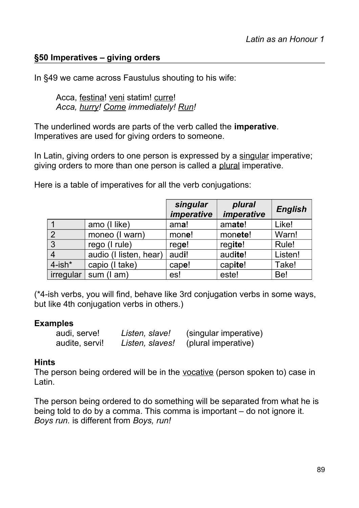## **§50 Imperatives – giving orders**

In §49 we came across Faustulus shouting to his wife:

Acca, festina! veni statim! curre! *Acca, hurry! Come immediately! Run!*

The underlined words are parts of the verb called the **imperative**. Imperatives are used for giving orders to someone.

In Latin, giving orders to one person is expressed by a singular imperative; giving orders to more than one person is called a plural imperative.

Here is a table of imperatives for all the verb conjugations:

|                |                        | singular<br><i>imperative</i> | plural<br><i>imperative</i> | <b>English</b> |
|----------------|------------------------|-------------------------------|-----------------------------|----------------|
|                | amo (I like)           | ama!                          | amate!                      | Like!          |
| $\overline{2}$ | moneo (I warn)         | mone!                         | monete!                     | Warn!          |
| 3              | rego (I rule)          | rege!                         | regite!                     | Rule!          |
| $\overline{4}$ | audio (I listen, hear) | audi!                         | audite!                     | Listen!        |
| $4$ -ish $*$   | capio (I take)         | cape!                         | capite!                     | Take!          |
| irregular      | sum (I am)             | es!                           | este!                       | Be!            |

(\*4-ish verbs, you will find, behave like 3rd conjugation verbs in some ways, but like 4th conjugation verbs in others.)

#### **Examples**

| audi, serve!   | Listen, slave!  | (singular imperative) |
|----------------|-----------------|-----------------------|
| audite, servi! | Listen, slaves! | (plural imperative)   |

#### **Hints**

The person being ordered will be in the vocative (person spoken to) case in Latin.

The person being ordered to do something will be separated from what he is being told to do by a comma. This comma is important – do not ignore it. *Boys run.* is different from *Boys, run!*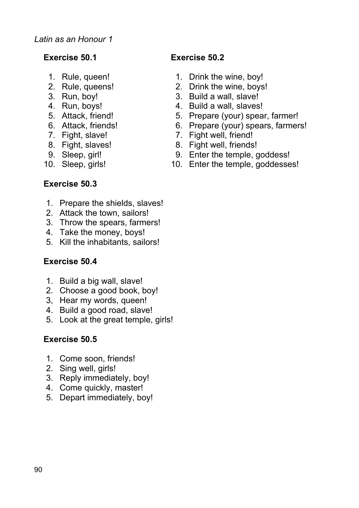- 
- 
- 
- 
- 
- 
- 
- 
- 
- 

## **Exercise 50.1 Exercise 50.2**

- 1. Rule, queen! 1. Drink the wine, boy!
- 2. Rule, queens! 2. Drink the wine, boys!
- 3. Run, boy! 3. Build a wall, slave!
- 4. Run, boys! 4. Build a wall, slaves!
- 5. Attack, friend! 5. Prepare (your) spear, farmer!
- 6. Attack, friends! 6. Prepare (your) spears, farmers!
- 7. Fight, slave! 7. Fight well, friend!
- 8. Fight, slaves! 8. Fight well, friends!
- 9. Sleep, girl! 9. Enter the temple, goddess!
- 10. Sleep, girls! 10. Enter the temple, goddesses!

## **Exercise 50.3**

- 1. Prepare the shields, slaves!
- 2. Attack the town, sailors!
- 3. Throw the spears, farmers!
- 4. Take the money, boys!
- 5. Kill the inhabitants, sailors!

#### **Exercise 50.4**

- 1. Build a big wall, slave!
- 2. Choose a good book, boy!
- 3, Hear my words, queen!
- 4. Build a good road, slave!
- 5. Look at the great temple, girls!

## **Exercise 50.5**

- 1. Come soon, friends!
- 2. Sing well, girls!
- 3. Reply immediately, boy!
- 4. Come quickly, master!
- 5. Depart immediately, boy!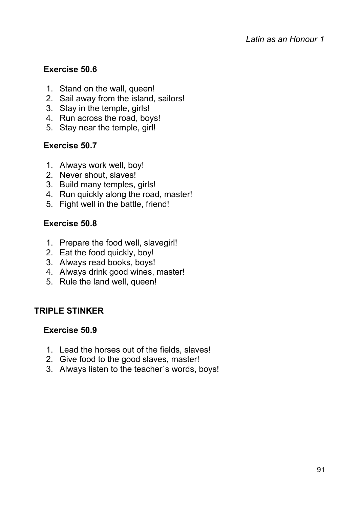## **Exercise 50.6**

- 1. Stand on the wall, queen!
- 2. Sail away from the island, sailors!
- 3. Stay in the temple, girls!
- 4. Run across the road, boys!
- 5. Stay near the temple, girl!

## **Exercise 50.7**

- 1. Always work well, boy!
- 2. Never shout, slaves!
- 3. Build many temples, girls!
- 4. Run quickly along the road, master!
- 5. Fight well in the battle, friend!

## **Exercise 50.8**

- 1. Prepare the food well, slavegirl!
- 2. Eat the food quickly, boy!
- 3. Always read books, boys!
- 4. Always drink good wines, master!
- 5. Rule the land well, queen!

#### **TRIPLE STINKER**

#### **Exercise 50.9**

- 1. Lead the horses out of the fields, slaves!
- 2. Give food to the good slaves, master!
- 3. Always listen to the teacher´s words, boys!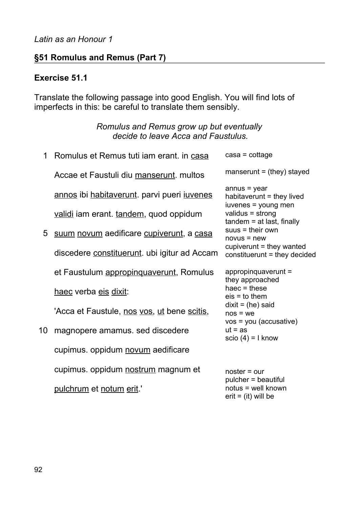## **§51 Romulus and Remus (Part 7)**

#### **Exercise 51.1**

Translate the following passage into good English. You will find lots of imperfects in this: be careful to translate them sensibly.

#### *Romulus and Remus grow up but eventually decide to leave Acca and Faustulus.*

| 1  | Romulus et Remus tuti iam erant. in casa     | $\c{cas}a = \cot \$                                                     |
|----|----------------------------------------------|-------------------------------------------------------------------------|
|    | Accae et Faustuli diu manserunt. multos      | manserunt = $(they)$ stayed                                             |
|    | annos ibi habitaverunt. parvi pueri juvenes  | $annus = year$<br>habitaverunt $=$ they lived                           |
|    | validi iam erant. tandem, quod oppidum       | iuvenes = young men<br>validus = strong<br>$t$ andem = at last, finally |
| 5  | suum novum aedificare cupiverunt, a casa     | $s$ uus = their own<br>$novus = new$                                    |
|    | discedere constituerunt. ubi igitur ad Accam | $cupiv$ erunt = they wanted<br>constituerunt = they decided             |
|    | et Faustulum appropinguaverunt, Romulus      | $appropinquaverunt =$<br>they approached                                |
|    | haec verba eis dixit:                        | haec $=$ these<br>$e$ is $=$ to them                                    |
|    | 'Acca et Faustule, nos vos, ut bene scitis,  | $dixit = (he) said$<br>$nos = we$                                       |
| 10 | magnopere amamus. sed discedere              | vos = you (accusative)<br>$ut = as$<br>scio $(4) = 1$ know              |
|    | cupimus. oppidum novum aedificare            |                                                                         |
|    | cupimus. oppidum nostrum magnum et           | $noster = our$                                                          |
|    | <u>pulchrum</u> et <u>notum erit</u> .'      | pulcher = beautiful<br>notus = well known                               |

 $erit = (it)$  will be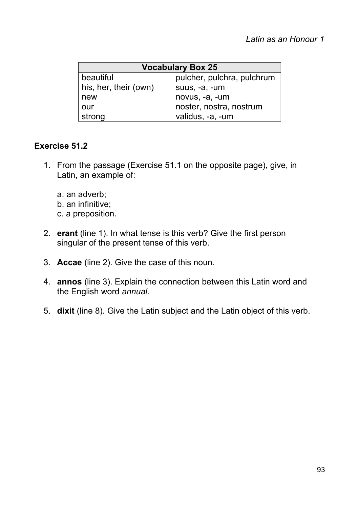| <b>Vocabulary Box 25</b> |                            |  |  |  |
|--------------------------|----------------------------|--|--|--|
| beautiful                | pulcher, pulchra, pulchrum |  |  |  |
| his, her, their (own)    | suus, -a, -um              |  |  |  |
| new                      | novus, -a, -um             |  |  |  |
| our                      | noster, nostra, nostrum    |  |  |  |
| strong                   | validus, -a, -um           |  |  |  |

## **Exercise 51.2**

- 1. From the passage (Exercise 51.1 on the opposite page), give, in Latin, an example of:
	- a. an adverb;
	- b. an infinitive;
	- c. a preposition.
- 2. **erant** (line 1). In what tense is this verb? Give the first person singular of the present tense of this verb.
- 3. **Accae** (line 2). Give the case of this noun.
- 4. **annos** (line 3). Explain the connection between this Latin word and the English word *annual*.
- 5. **dixit** (line 8). Give the Latin subject and the Latin object of this verb.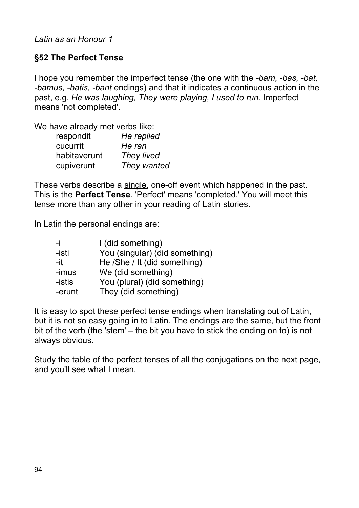#### **§52 The Perfect Tense**

I hope you remember the imperfect tense (the one with the *-bam, -bas, -bat, -bamus, -batis, -bant* endings) and that it indicates a continuous action in the past, e.g. *He was laughing, They were playing, I used to run.* Imperfect means 'not completed'.

We have already met verbs like:

| respondit    | He replied  |
|--------------|-------------|
| cucurrit     | He ran      |
| habitaverunt | They lived  |
| cupiverunt   | They wanted |

These verbs describe a single, one-off event which happened in the past. This is the **Perfect Tense**. 'Perfect' means 'completed.' You will meet this tense more than any other in your reading of Latin stories.

In Latin the personal endings are:

| -i     | I (did something)              |
|--------|--------------------------------|
| -isti  | You (singular) (did something) |
| -it    | He /She / It (did something)   |
| -imus  | We (did something)             |
| -istis | You (plural) (did something)   |
| -erunt | They (did something)           |

It is easy to spot these perfect tense endings when translating out of Latin, but it is not so easy going in to Latin. The endings are the same, but the front bit of the verb (the 'stem' – the bit you have to stick the ending on to) is not always obvious.

Study the table of the perfect tenses of all the conjugations on the next page, and you'll see what I mean.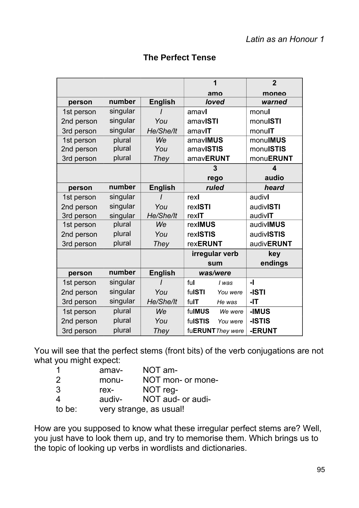|            |          |                |                 | 1                 | $\overline{2}$           |
|------------|----------|----------------|-----------------|-------------------|--------------------------|
|            |          |                |                 | amo               | moneo                    |
| person     | number   | <b>English</b> |                 | loved             | warned                   |
| 1st person | singular |                | amavl           |                   | monul                    |
| 2nd person | singular | You            | amavISTI        |                   | monuISTI                 |
| 3rd person | singular | He/She/lt      | amavIT          |                   | monulT                   |
| 1st person | plural   | We             | amavIMUS        |                   | monulMUS                 |
| 2nd person | plural   | You            | amavISTIS       |                   | monuISTIS                |
| 3rd person | plural   | They           | amavERUNT       |                   | monuERUNT                |
|            |          |                |                 | 3                 | $\overline{\mathbf{4}}$  |
|            |          |                |                 | rego              | audio                    |
| person     | number   | <b>English</b> |                 | ruled             | heard                    |
| 1st person | singular |                | rexl            |                   | audivl                   |
| 2nd person | singular | You            | rexISTI         |                   | audivISTI                |
| 3rd person | singular | He/She/lt      | rexIT           |                   | audivIT                  |
| 1st person | plural   | <b>We</b>      | rexIMUS         |                   | audivIMUS                |
| 2nd person | plural   | You            | rexISTIS        |                   | audivISTIS               |
| 3rd person | plural   | They           | <b>rexERUNT</b> |                   | audivERUNT               |
|            |          |                | irregular verb  |                   | key                      |
|            |          |                | sum             |                   | endings                  |
| person     | number   | <b>English</b> | was/were        |                   |                          |
| 1st person | singular |                | ful             | I was             | $\overline{\phantom{a}}$ |
| 2nd person | singular | You            | fulSTI          | You were          | -ISTI                    |
| 3rd person | singular | He/She/lt      | fulT            | He was            | -IT                      |
| 1st person | plural   | We             | fulMUS          | We were           | -IMUS                    |
| 2nd person | plural   | You            | fulSTIS         | You were          | -ISTIS                   |
| 3rd person | plural   | <b>They</b>    |                 | fuERUNT They were | -ERUNT                   |

## **The Perfect Tense**

You will see that the perfect stems (front bits) of the verb conjugations are not what you might expect:

| - 1    | amav-  | NOT am-                 |
|--------|--------|-------------------------|
| 2      | monu-  | NOT mon- or mone-       |
| 3      | rex-   | NOT reg-                |
| 4      | audiv- | NOT aud- or audi-       |
| to be: |        | very strange, as usual! |

How are you supposed to know what these irregular perfect stems are? Well, you just have to look them up, and try to memorise them. Which brings us to the topic of looking up verbs in wordlists and dictionaries.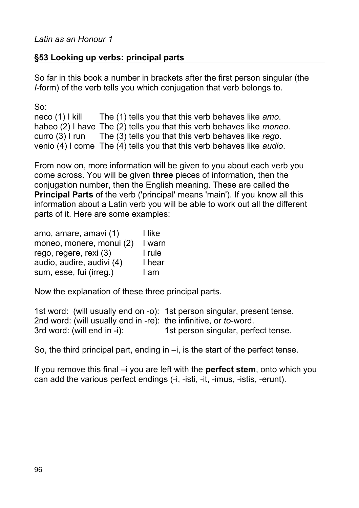## **§53 Looking up verbs: principal parts**

So far in this book a number in brackets after the first person singular (the *I*-form) of the verb tells you which conjugation that verb belongs to.

So:

neco (1) I kill The (1) tells you that this verb behaves like *amo*. habeo (2) I have The (2) tells you that this verb behaves like *moneo*. curro (3) I run The (3) tells you that this verb behaves like *rego*. venio (4) I come The (4) tells you that this verb behaves like *audio*.

From now on, more information will be given to you about each verb you come across. You will be given **three** pieces of information, then the conjugation number, then the English meaning. These are called the **Principal Parts** of the verb ('principal' means 'main'). If you know all this information about a Latin verb you will be able to work out all the different parts of it. Here are some examples:

| amo, amare, amavi (1)     | I like |
|---------------------------|--------|
| moneo, monere, monui (2)  | I warn |
| rego, regere, rexi (3)    | I rule |
| audio, audire, audivi (4) | I hear |
| sum, esse, fui (irreg.)   | I am   |

Now the explanation of these three principal parts.

1st word: (will usually end on -o): 1st person singular, present tense. 2nd word: (will usually end in -re): the infinitive, or *to*-word. 3rd word: (will end in -i): 1st person singular, perfect tense.

So, the third principal part, ending in –i, is the start of the perfect tense.

If you remove this final –i you are left with the **perfect stem**, onto which you can add the various perfect endings (-i, -isti, -it, -imus, -istis, -erunt).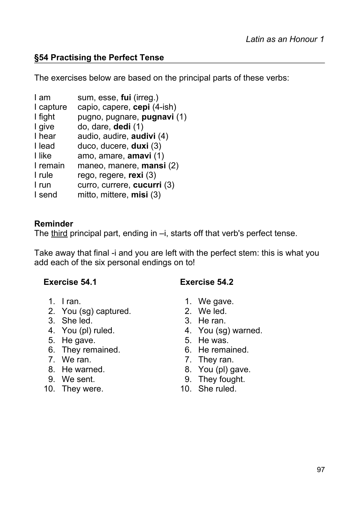## **§54 Practising the Perfect Tense**

The exercises below are based on the principal parts of these verbs:

| I am      | sum, esse, fui (irreg.)     |
|-----------|-----------------------------|
| I capture | capio, capere, cepi (4-ish) |
| I fight   | pugno, pugnare, pugnavi (1) |
| I give    | do, dare, dedi (1)          |
| I hear    | audio, audire, audivi (4)   |
| I lead    | duco, ducere, duxi (3)      |
| I like    | amo, amare, amavi (1)       |
| I remain  | maneo, manere, mansi (2)    |
| I rule    | rego, regere, rexi (3)      |
| I run     | curro, currere, cucurri (3) |
| I send    | mitto, mittere, $misi(3)$   |
|           |                             |

#### **Reminder**

The third principal part, ending in –i, starts off that verb's perfect tense.

Take away that final -i and you are left with the perfect stem: this is what you add each of the six personal endings on to!

#### **Exercise 54.1 Exercise 54.2**

- 
- 2. You (sg) captured. 2. We led.
- 3. She led. 3. He ran.
- 
- 5. He gave. 5. He was.
- 6. They remained. 6. He remained.
- 
- 
- 
- 10. They were. 10. She ruled.
- 1. I ran. 1. We gave.
	-
	-
- 4. You (pl) ruled. 4. You (sg) warned.
	-
	-
- 7. We ran. **7.** They ran.
- 8. He warned. 6. Nou (pl) gave.
- 9. We sent. 9. They fought.
	-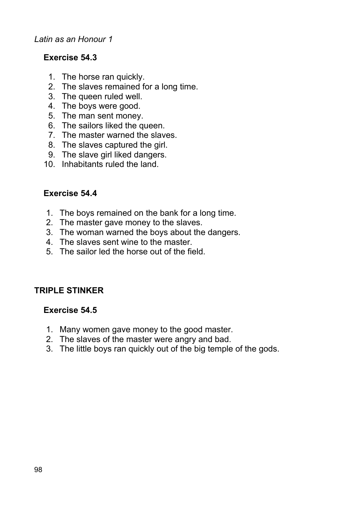#### *Latin as an Honour 1*

## **Exercise 54.3**

- 1. The horse ran quickly.
- 2. The slaves remained for a long time.
- 3. The queen ruled well.
- 4. The boys were good.
- 5. The man sent money.
- 6. The sailors liked the queen.
- 7. The master warned the slaves.
- 8. The slaves captured the girl.
- 9. The slave girl liked dangers.
- 10. Inhabitants ruled the land.

#### **Exercise 54.4**

- 1. The boys remained on the bank for a long time.
- 2. The master gave money to the slaves.
- 3. The woman warned the boys about the dangers.
- 4. The slaves sent wine to the master.
- 5. The sailor led the horse out of the field.

## **TRIPLE STINKER**

#### **Exercise 54.5**

- 1. Many women gave money to the good master.
- 2. The slaves of the master were angry and bad.
- 3. The little boys ran quickly out of the big temple of the gods.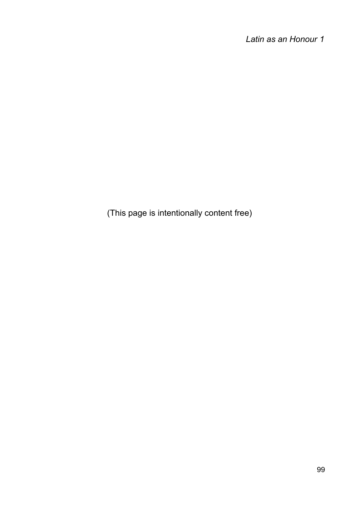*Latin as an Honour 1*

(This page is intentionally content free)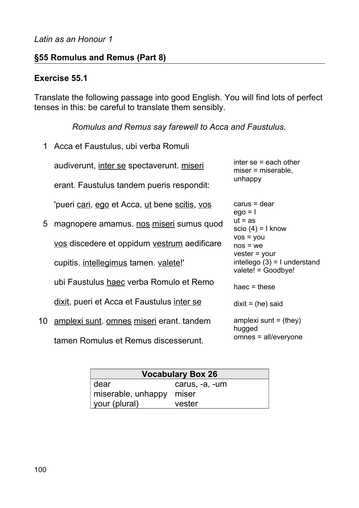#### **§55 Romulus and Remus (Part 8)**

#### **Exercise 55.1**

Translate the following passage into good English. You will find lots of perfect tenses in this: be careful to translate them sensibly.

*Romulus and Remus say farewell to Acca and Faustulus.*

1 Acca et Faustulus, ubi verba Romuli

audiverunt, inter se spectaverunt. miseri

erant. Faustulus tandem pueris respondit:

'pueri cari, ego et Acca, ut bene scitis, vos

- 5 magnopere amamus. nos miseri sumus quod vos discedere et oppidum vestrum aedificare cupitis. intellegimus tamen. valete!' ubi Faustulus haec verba Romulo et Remo dixit, pueri et Acca et Faustulus inter se
- 10 amplexi sunt. omnes miseri erant. tandem tamen Romulus et Remus discesserunt.

inter se = each other miser = miserable, unhappy

carus = dear  $ego = 1$  $ut = as$ scio  $(4) = 1$  know vos = you nos = we vester = your  $intelleqo(3) = I$  understand valete! = Goodbye! haec  $=$  these  $dix$ it = (he) said amplexi sunt  $=$  (they)

hugged omnes = all/everyone

|                    | <b>Vocabulary Box 26</b> |
|--------------------|--------------------------|
| dear               | carus, -a, -um           |
| miserable, unhappy | miser                    |
| your (plural)      | vester                   |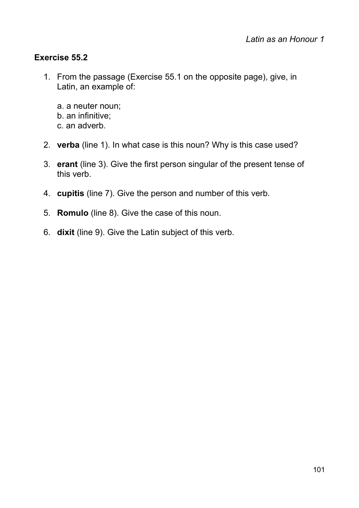## **Exercise 55.2**

- 1. From the passage (Exercise 55.1 on the opposite page), give, in Latin, an example of:
	- a. a neuter noun; b. an infinitive; c. an adverb.
- 2. **verba** (line 1). In what case is this noun? Why is this case used?
- 3. **erant** (line 3). Give the first person singular of the present tense of this verb.
- 4. **cupitis** (line 7). Give the person and number of this verb.
- 5. **Romulo** (line 8). Give the case of this noun.
- 6. **dixit** (line 9). Give the Latin subject of this verb.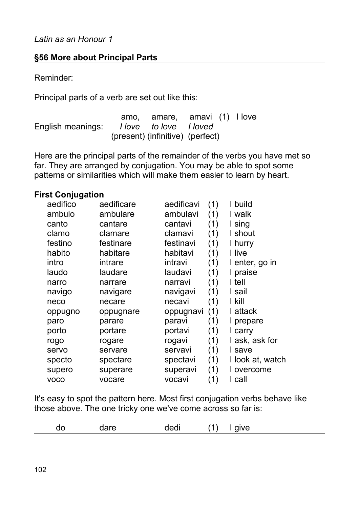## **§56 More about Principal Parts**

Reminder:

Principal parts of a verb are set out like this:

amo, amare, amavi (1) I love English meanings: *I love to love I loved* (present) (infinitive) (perfect)

Here are the principal parts of the remainder of the verbs you have met so far. They are arranged by conjugation. You may be able to spot some patterns or similarities which will make them easier to learn by heart.

#### **First Conjugation**

| aedifico    | aedificare | aedificavi | (1) | I build          |
|-------------|------------|------------|-----|------------------|
| ambulo      | ambulare   | ambulavi   | (1) | I walk           |
| canto       | cantare    | cantavi    | (1) | I sing           |
| clamo       | clamare    | clamavi    | (1) | I shout          |
| festino     | festinare  | festinavi  | (1) | I hurry          |
| habito      | habitare   | habitavi   | (1) | I live           |
| intro       | intrare    | intravi    | (1) | I enter, go in   |
| laudo       | laudare    | laudavi    | (1) | I praise         |
| narro       | narrare    | narravi    | (1) | I tell           |
| navigo      | navigare   | navigavi   | (1) | I sail           |
| neco        | necare     | necavi     | (1) | I kill           |
| oppugno     | oppugnare  | oppugnavi  | (1) | I attack         |
| paro        | parare     | paravi     | (1) | I prepare        |
| porto       | portare    | portavi    | (1) | I carry          |
| rogo        | rogare     | rogavi     | (1) | I ask, ask for   |
| servo       | servare    | servavi    | (1) | I save           |
| specto      | spectare   | spectavi   | (1) | I look at, watch |
| supero      | superare   | superavi   | (1) | I overcome       |
| <b>VOCO</b> | vocare     | vocavi     | (1) | I call           |

It's easy to spot the pattern here. Most first conjugation verbs behave like those above. The one tricky one we've come across so far is:

| do | dare | dedi | (1) | give |  |
|----|------|------|-----|------|--|
|----|------|------|-----|------|--|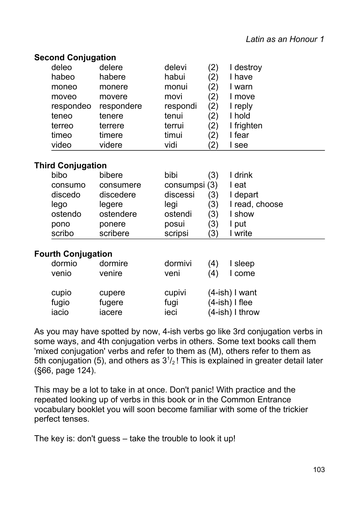| <b>Second Conjugation</b> |  |
|---------------------------|--|
|---------------------------|--|

| deleo     | delere     | delevi   | 2)                | I destroy  |
|-----------|------------|----------|-------------------|------------|
| habeo     | habere     | habui    | $\left( 2\right)$ | have       |
| moneo     | monere     | monui    | $^{\prime}$ 2)    | warn       |
| moveo     | movere     | movi     | $\mathbf{Z})$     | move       |
| respondeo | respondere | respondi | 2)                | reply      |
| teneo     | tenere     | tenui    | 2)                | hold       |
| terreo    | terrere    | terrui   | 2)                | I frighten |
| timeo     | timere     | timui    | $\left( 2\right)$ | fear       |
| video     | videre     | vidi     | $^{\prime}$ 2)    | see        |
|           |            |          |                   |            |

#### **Third Conjugation**

| bibo    | bibere    | bibi          | $\left( 3\right)$ | drink          |
|---------|-----------|---------------|-------------------|----------------|
| consumo | consumere | consumpsi (3) |                   | eat            |
| discedo | discedere | discessi      | 3)                | l depart       |
| lego    | legere    | legi          | (3)               | I read, choose |
| ostendo | ostendere | ostendi       | (3)               | show           |
| pono    | ponere    | posui         | (3)               | put            |
| scribo  | scribere  | scripsi       | $\left(3\right)$  | write          |

#### **Fourth Conjugation**

| dormio | dormire | dormivi | (4) | I sleep              |
|--------|---------|---------|-----|----------------------|
| venio  | venire  | veni    | (4) | I come               |
| cupio  | cupere  | cupivi  |     | $(4$ -ish $)$ I want |
| fugio  | fugere  | fugi    |     | $(4$ -ish $)$ I flee |
| iacio  | iacere  | ieci    |     | $(4$ -ish) I throw   |

As you may have spotted by now, 4-ish verbs go like 3rd conjugation verbs in some ways, and 4th conjugation verbs in others. Some text books call them 'mixed conjugation' verbs and refer to them as (M), others refer to them as 5th conjugation (5), and others as  $3<sup>1</sup>/2$ ! This is explained in greater detail later (§66, page 124).

This may be a lot to take in at once. Don't panic! With practice and the repeated looking up of verbs in this book or in the Common Entrance vocabulary booklet you will soon become familiar with some of the trickier perfect tenses.

The key is: don't guess – take the trouble to look it up!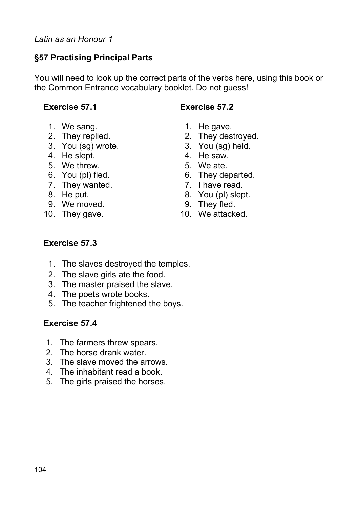## **§57 Practising Principal Parts**

You will need to look up the correct parts of the verbs here, using this book or the Common Entrance vocabulary booklet. Do not guess!

#### **Exercise 57.1 Exercise 57.2**

- 1. We sang. 1. He gave.
- 
- 3. You (sg) wrote. 3. You (sg) held.
- 4. He slept. 4. He saw.
- 5. We threw. 5. We ate.
- 
- 7. They wanted. They wanted. They wanted.
- 
- 9. We moved. 9. They fled.
- 
- 
- 
- 2. They replied. 2. They destroyed.
	-
	-
	-
- 6. You (pl) fled. 6. They departed.
	-
- 8. He put. 6. September 2016. A September 2016. A Vou (pl) slept.
	-
- 10. They gave. 10. We attacked.

#### **Exercise 57.3**

- 1. The slaves destroyed the temples.
- 2. The slave girls ate the food.
- 3. The master praised the slave.
- 4. The poets wrote books.
- 5. The teacher frightened the boys.

#### **Exercise 57.4**

- 1. The farmers threw spears.
- 2. The horse drank water.
- 3. The slave moved the arrows.
- 4. The inhabitant read a book.
- 5. The girls praised the horses.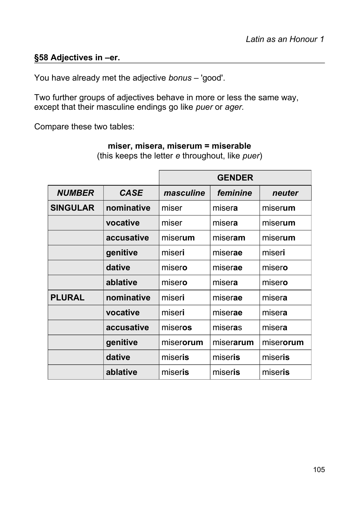## **§58 Adjectives in –er.**

You have already met the adjective *bonus* – 'good'.

Two further groups of adjectives behave in more or less the same way, except that their masculine endings go like *puer* or *ager.*

Compare these two tables:

|                 |             | <b>GENDER</b> |           |           |
|-----------------|-------------|---------------|-----------|-----------|
| <b>NUMBER</b>   | <b>CASE</b> | masculine     | feminine  | neuter    |
| <b>SINGULAR</b> | nominative  | miser         | misera    | miserum   |
|                 | vocative    | miser         | misera    | miserum   |
|                 | accusative  | miserum       | miseram   | miserum   |
|                 | genitive    | miseri        | miserae   | miseri    |
|                 | dative      | misero        | miserae   | misero    |
|                 | ablative    | misero        | misera    | misero    |
| <b>PLURAL</b>   | nominative  | miseri        | miserae   | misera    |
|                 | vocative    | miseri        | miserae   | misera    |
|                 | accusative  | miseros       | miseras   | misera    |
|                 | genitive    | miserorum     | miserarum | miserorum |
|                 | dative      | miseris       | miseris   | miseris   |
|                 | ablative    | miseris       | miseris   | miseris   |

**miser, misera, miserum = miserable**

(this keeps the letter *e* throughout, like *puer*)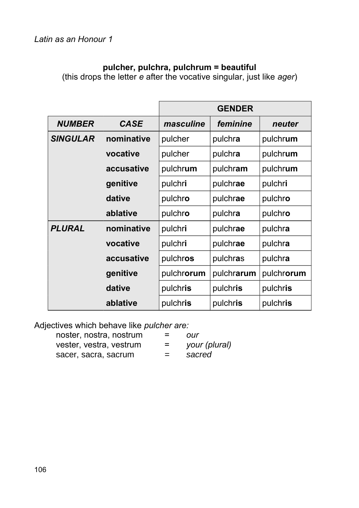# **pulcher, pulchra, pulchrum = beautiful**

(this drops the letter *e* after the vocative singular, just like *ager*)

|                 |             | <b>GENDER</b> |            |            |
|-----------------|-------------|---------------|------------|------------|
| <b>NUMBER</b>   | <b>CASE</b> | masculine     | feminine   | neuter     |
| <b>SINGULAR</b> | nominative  | pulcher       | pulchra    | pulchrum   |
|                 | vocative    | pulcher       | pulchra    | pulchrum   |
|                 | accusative  | pulchrum      | pulchram   | pulchrum   |
|                 | genitive    | pulchri       | pulchrae   | pulchri    |
|                 | dative      | pulchro       | pulchrae   | pulchro    |
|                 | ablative    | pulchro       | pulchra    | pulchro    |
| <b>PLURAL</b>   | nominative  | pulchri       | pulchrae   | pulchra    |
|                 | vocative    | pulchri       | pulchrae   | pulchra    |
|                 | accusative  | pulchros      | pulchras   | pulchra    |
|                 | genitive    | pulchrorum    | pulchrarum | pulchrorum |
|                 | dative      | pulchris      | pulchris   | pulchris   |
|                 | ablative    | pulchris      | pulchris   | pulchris   |

Adjectives which behave like *pulcher are:*

| noster, nostra, nostrum | = | OUr           |
|-------------------------|---|---------------|
| vester, vestra, vestrum | = | your (plural) |
| sacer, sacra, sacrum    | ≕ | sacred        |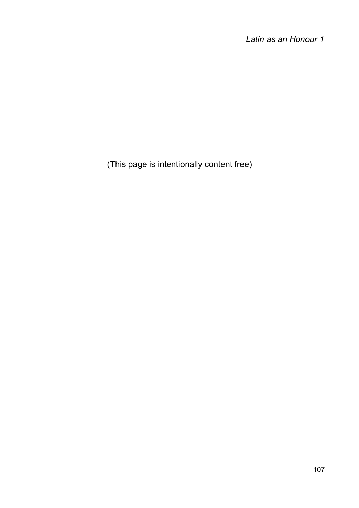*Latin as an Honour 1*

(This page is intentionally content free)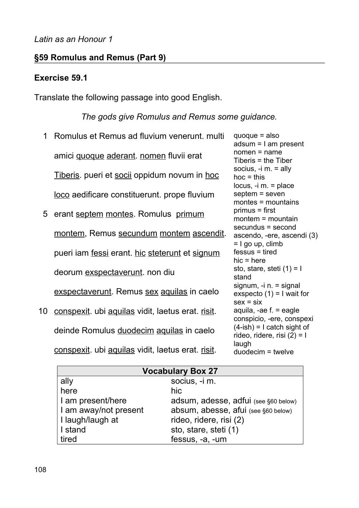# **§59 Romulus and Remus (Part 9)**

## **Exercise 59.1**

Translate the following passage into good English.

# *The gods give Romulus and Remus some guidance.*

| 1  | Romulus et Remus ad fluvium venerunt. multi          | $quoque = also$<br>$adsum = I$ am present                              |
|----|------------------------------------------------------|------------------------------------------------------------------------|
|    | amici quoque aderant. nomen fluvii erat              | $nomen = name$<br>Tiberis $=$ the Tiber                                |
|    | <u>Tiberis</u> . pueri et socii oppidum novum in hoc | socius, $-i$ m. $=$ ally<br>$hoc = this$                               |
|    | loco aedificare constituerunt. prope fluvium         | locus, $-i$ m. $=$ place<br>septem = seven<br>$montes = mountains$     |
| 5  | erant septem montes. Romulus primum                  | $primus = first$<br>montem = mountain                                  |
|    | montem, Remus secundum montem ascendit.              | secundus = second<br>ascendo, -ere, ascendi (3)<br>$=$ I go up, climb  |
|    | pueri iam fessi erant. hic steterunt et signum       | $fessus = tired$<br>$hic = here$                                       |
|    | deorum exspectaverunt. non diu                       | sto, stare, steti $(1) = I$<br>stand                                   |
|    | exspectaverunt. Remus sex aquilas in caelo           | signum, $-i$ n. = signal<br>exspecto $(1) = I$ wait for<br>$sex = six$ |
| 10 | conspexit. ubi aquilas vidit, laetus erat. risit.    | aquila, -ae $f =$ eagle<br>conspicio, -ere, conspexi                   |
|    | deinde Romulus duodecim aquilas in caelo             | $(4-ish) = I$ catch sight of<br>rideo, ridere, risi $(2) = I$          |
|    | conspexit. ubi aquilas vidit, laetus erat. risit.    | laugh<br>$duodecim = twelve$                                           |

| <b>Vocabulary Box 27</b> |                                      |  |
|--------------------------|--------------------------------------|--|
| ally                     | socius, -i m.                        |  |
| here                     | hic                                  |  |
| I am present/here        | adsum, adesse, adfui (see §60 below) |  |
| I am away/not present    | absum, abesse, afui (see §60 below)  |  |
| I laugh/laugh at         | rideo, ridere, risi (2)              |  |
| I stand                  | sto, stare, steti (1)                |  |
| tired                    | fessus, -a, -um                      |  |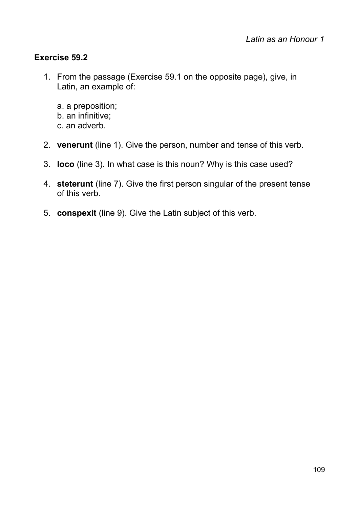# **Exercise 59.2**

- 1. From the passage (Exercise 59.1 on the opposite page), give, in Latin, an example of:
	- a. a preposition; b. an infinitive; c. an adverb.
- 2. **venerunt** (line 1). Give the person, number and tense of this verb.
- 3. **loco** (line 3). In what case is this noun? Why is this case used?
- 4. **steterunt** (line 7). Give the first person singular of the present tense of this verb.
- 5. **conspexit** (line 9). Give the Latin subject of this verb.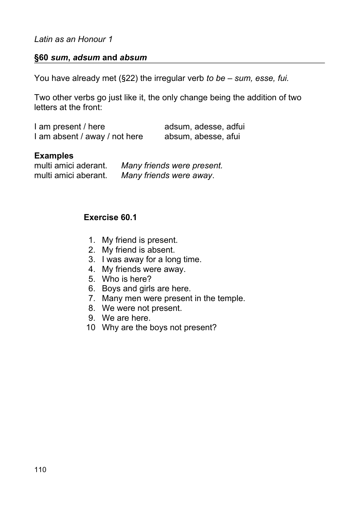## **§60** *sum***,** *adsum* **and** *absum*

You have already met (§22) the irregular verb *to be – sum, esse, fui.*

Two other verbs go just like it, the only change being the addition of two letters at the front:

| I am present / here           | adsum, adesse, adfui |  |
|-------------------------------|----------------------|--|
| I am absent / away / not here | absum, abesse, afui  |  |

## **Examples**

multi amici aderant. *Many friends were present.* multi amici aberant. *Many friends were away*.

# **Exercise 60.1**

- 1. My friend is present.
- 2. My friend is absent.
- 3. I was away for a long time.
- 4. My friends were away.
- 5. Who is here?
- 6. Boys and girls are here.
- 7. Many men were present in the temple.
- 8. We were not present.
- 9. We are here.
- 10 Why are the boys not present?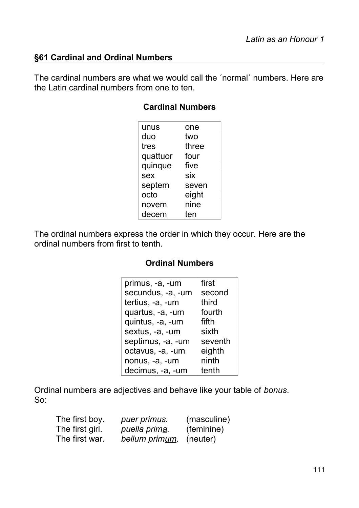# **§61 Cardinal and Ordinal Numbers**

The cardinal numbers are what we would call the ´normal´ numbers. Here are the Latin cardinal numbers from one to ten.

## **Cardinal Numbers**

| unus     | one   |
|----------|-------|
| duo      | two   |
| tres     | three |
| quattuor | four  |
| quinque  | five  |
| sex      | six   |
| septem   | seven |
| octo     | eight |
| novem    | nine  |
| decem    | ten   |

The ordinal numbers express the order in which they occur. Here are the ordinal numbers from first to tenth.

# **Ordinal Numbers**

| primus, -a, -um   | first   |
|-------------------|---------|
| secundus, -a, -um | second  |
| tertius, -a, -um  | third   |
| quartus, -a, -um  | fourth  |
| quintus, -a, -um  | fifth   |
| sextus, -a, -um   | sixth   |
| septimus, -a, -um | seventh |
| octavus, -a, -um  | eighth  |
| nonus, -a, -um    | ninth   |
| decimus, -a, -um  | tenth   |

Ordinal numbers are adjectives and behave like your table of *bonus*.  $S_0$ :

| The first boy.  | puer primus.   | (masculine) |
|-----------------|----------------|-------------|
| The first girl. | puella prima.  | (feminine)  |
| The first war.  | bellum primum. | (neuter)    |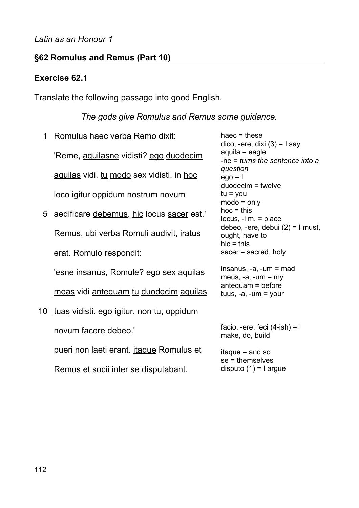# **§62 Romulus and Remus (Part 10)**

# **Exercise 62.1**

Translate the following passage into good English.

*The gods give Romulus and Remus some guidance.*

| 1  | Romulus haec verba Remo dixit:            | haec $=$ these<br>$dico, -ere, dixi (3) = I say$                     |
|----|-------------------------------------------|----------------------------------------------------------------------|
|    | 'Reme, aquilasne vidisti? ego duodecim    | $a$ quila = eagle<br>-ne $=$ turns the sentence into a               |
|    | aquilas vidi. tu modo sex vidisti. in hoc | question<br>$eqo = 1$                                                |
|    | loco igitur oppidum nostrum novum         | $duodecim = twelve$<br>$tu = you$<br>$mode = only$                   |
| 5  | aedificare debemus. hic locus sacer est.' | $hoc = this$<br>$locus, -i$ m. = place                               |
|    | Remus, ubi verba Romuli audivit, iratus   | debeo, -ere, debui $(2)$ = 1 must,<br>ought, have to<br>$hic = this$ |
|    | erat. Romulo respondit:                   | sacer $=$ sacred, holy                                               |
|    | 'esne insanus, Romule? ego sex aquilas    | $insanus, -a, -um = mad$<br>meus, $-a$ , $-um = my$                  |
|    | meas vidi antequam tu duodecim aquilas    | $antequam = before$<br>tuus, $-a$ , $-um = your$                     |
| 10 | tuas vidisti. ego igitur, non tu, oppidum |                                                                      |
|    | novum facere debeo.'                      | facio, -ere, feci $(4$ -ish $) = 1$<br>make, do, build               |
|    | pueri non laeti erant. itaque Romulus et  | $i$ taque = and so<br>$se =$ themselves                              |
|    | Remus et socii inter se disputabant.      | disputo $(1) = I$ argue                                              |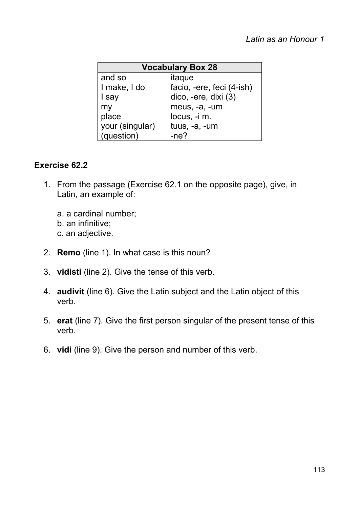| <b>Vocabulary Box 28</b> |                           |  |
|--------------------------|---------------------------|--|
| and so                   | itaque                    |  |
| I make, I do             | facio, -ere, feci (4-ish) |  |
| I say                    | dico, -ere, dixi (3)      |  |
| my                       | meus, -a, -um             |  |
| place                    | locus, -i m.              |  |
| your (singular)          | $t$ uus, $-a$ , $-um$     |  |
| (question)               | $-ne?$                    |  |

# **Exercise 62.2**

- 1. From the passage (Exercise 62.1 on the opposite page), give, in Latin, an example of:
	- a. a cardinal number;
	- b. an infinitive;
	- c. an adjective.
- 2. **Remo** (line 1). In what case is this noun?
- 3. **vidisti** (line 2). Give the tense of this verb.
- 4. **audivit** (line 6). Give the Latin subject and the Latin object of this verb.
- 5. **erat** (line 7). Give the first person singular of the present tense of this verb.
- 6. **vidi** (line 9). Give the person and number of this verb.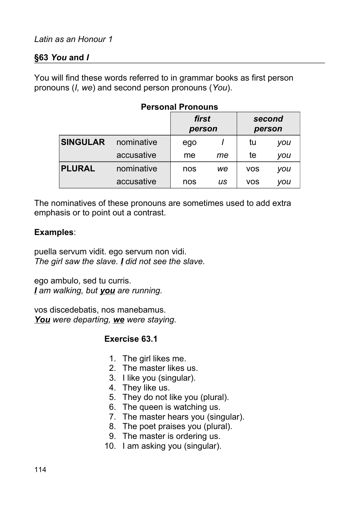# **§63** *You* **and** *I*

You will find these words referred to in grammar books as first person pronouns (*I, we*) and second person pronouns (*You*).

| I GISUNGI I IUNUGIIS |            |                 |    |            |                  |
|----------------------|------------|-----------------|----|------------|------------------|
|                      |            | first<br>person |    |            | second<br>person |
| <b>SINGULAR</b>      | nominative | ego             |    | tu         | you              |
|                      | accusative | me              | me | te         | you              |
| <b>PLURAL</b>        | nominative | nos             | we | <b>VOS</b> | you              |
|                      | accusative | nos             | us | <b>VOS</b> | you              |

## **Personal Pronouns**

The nominatives of these pronouns are sometimes used to add extra emphasis or to point out a contrast.

## **Examples**:

puella servum vidit. ego servum non vidi. *The girl saw the slave. I did not see the slave.*

ego ambulo, sed tu curris. *I am walking, but you are running.*

vos discedebatis, nos manebamus. *You were departing, we were staying.*

# **Exercise 63.1**

- 1. The girl likes me.
- 2. The master likes us.
- 3. I like you (singular).
- 4. They like us.
- 5. They do not like you (plural).
- 6. The queen is watching us.
- 7. The master hears you (singular).
- 8. The poet praises you (plural).
- 9. The master is ordering us.
- 10. I am asking you (singular).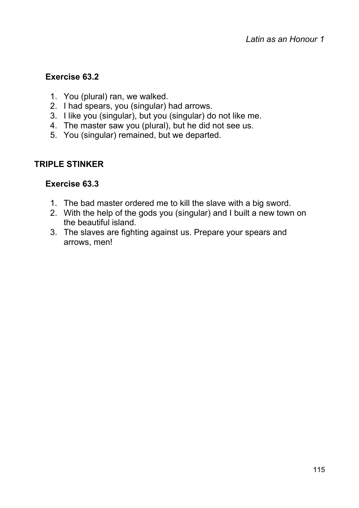# **Exercise 63.2**

- 1. You (plural) ran, we walked.
- 2. I had spears, you (singular) had arrows.
- 3. I like you (singular), but you (singular) do not like me.
- 4. The master saw you (plural), but he did not see us.
- 5. You (singular) remained, but we departed.

# **TRIPLE STINKER**

# **Exercise 63.3**

- 1. The bad master ordered me to kill the slave with a big sword.
- 2. With the help of the gods you (singular) and I built a new town on the beautiful island.
- 3. The slaves are fighting against us. Prepare your spears and arrows, men!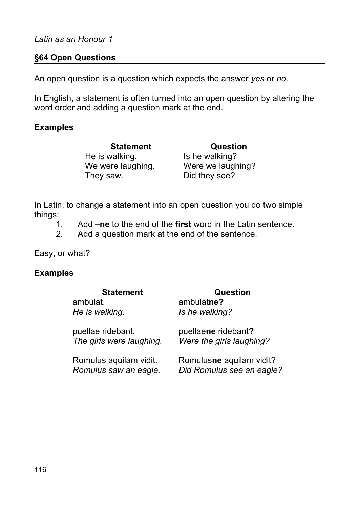## **§64 Open Questions**

An open question is a question which expects the answer *yes* or *no*.

In English, a statement is often turned into an open question by altering the word order and adding a question mark at the end.

## **Examples**

He is walking. Is he walking? We were laughing. Were we laughing? They saw. Did they see?

**Statement Question**

In Latin, to change a statement into an open question you do two simple things:

- 1. Add **–ne** to the end of the **first** word in the Latin sentence.
- 2. Add a question mark at the end of the sentence.

Easy, or what?

# **Examples**

## **Statement Question**

#### ambulat. *He is walking.* ambulat**ne?** *Is he walking?* puellae ridebant. *The girls were laughing.* puellae**ne** ridebant**?** *Were the girls laughing?* Romulus aquilam vidit. Romulus**ne** aquilam vidit? *Romulus saw an eagle. Did Romulus see an eagle?*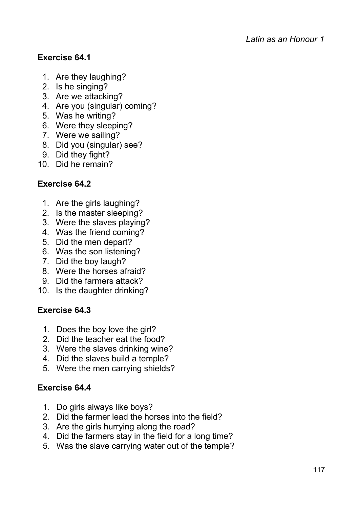# **Exercise 64.1**

- 1. Are they laughing?
- 2. Is he singing?
- 3. Are we attacking?
- 4. Are you (singular) coming?
- 5. Was he writing?
- 6. Were they sleeping?
- 7. Were we sailing?
- 8. Did you (singular) see?
- 9. Did they fight?
- 10. Did he remain?

# **Exercise 64.2**

- 1. Are the girls laughing?
- 2. Is the master sleeping?
- 3. Were the slaves playing?
- 4. Was the friend coming?
- 5. Did the men depart?
- 6. Was the son listening?
- 7. Did the boy laugh?
- 8. Were the horses afraid?
- 9. Did the farmers attack?
- 10. Is the daughter drinking?

# **Exercise 64.3**

- 1. Does the boy love the girl?
- 2. Did the teacher eat the food?
- 3. Were the slaves drinking wine?
- 4. Did the slaves build a temple?
- 5. Were the men carrying shields?

# **Exercise 64.4**

- 1. Do girls always like boys?
- 2. Did the farmer lead the horses into the field?
- 3. Are the girls hurrying along the road?
- 4. Did the farmers stay in the field for a long time?
- 5. Was the slave carrying water out of the temple?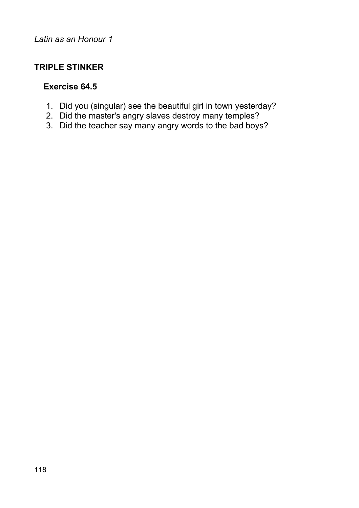# **TRIPLE STINKER**

# **Exercise 64.5**

- 1. Did you (singular) see the beautiful girl in town yesterday?
- 2. Did the master's angry slaves destroy many temples?
- 3. Did the teacher say many angry words to the bad boys?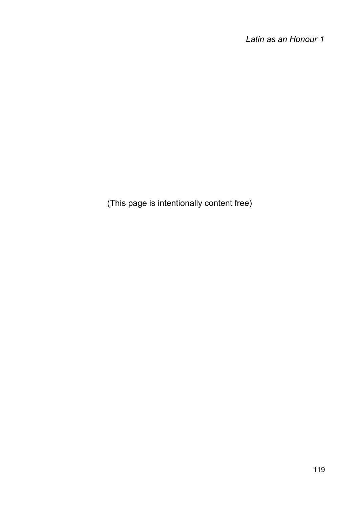(This page is intentionally content free)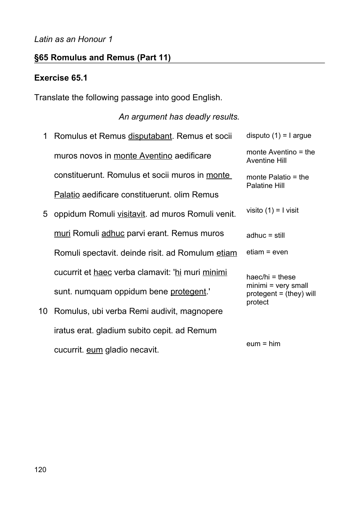# **§65 Romulus and Remus (Part 11)**

## **Exercise 65.1**

Translate the following passage into good English.

## *An argument has deadly results.*

- 1 Romulus et Remus disputabant. Remus et socii muros novos in monte Aventino aedificare constituerunt. Romulus et socii muros in monte Palatio aedificare constituerunt. olim Remus disputo  $(1) = 1$  argue monte Aventino = the Aventine Hill monte Palatio = the Palatine Hill
- 5 oppidum Romuli visitavit. ad muros Romuli venit. muri Romuli adhuc parvi erant. Remus muros Romuli spectavit. deinde risit. ad Romulum etiam cucurrit et haec verba clamavit: 'hi muri minimi sunt. numquam oppidum bene protegent.'
- 10 Romulus, ubi verba Remi audivit, magnopere iratus erat. gladium subito cepit. ad Remum cucurrit. eum gladio necavit.

| monte Aventino $=$ the<br><b>Aventine Hill</b> |
|------------------------------------------------|
| monte Palatio $=$ the<br><b>Palatine Hill</b>  |
| visito $(1) = 1$ visit                         |
| $adhuc = still$                                |
| etiam = even                                   |
| haec/hi = these<br>minimi = yery small         |

minimi = very small  $protegent = (they) will$ protect

 $e$ um = him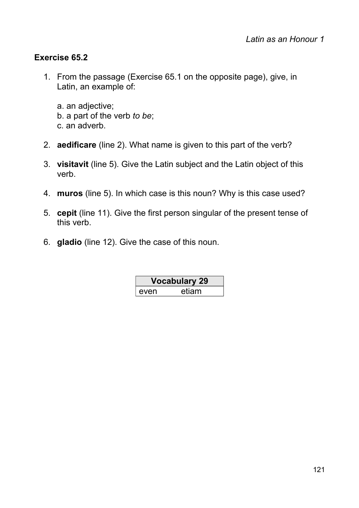# **Exercise 65.2**

- 1. From the passage (Exercise 65.1 on the opposite page), give, in Latin, an example of:
	- a. an adjective; b. a part of the verb *to be*; c. an adverb.
- 2. **aedificare** (line 2). What name is given to this part of the verb?
- 3. **visitavit** (line 5). Give the Latin subject and the Latin object of this verb.
- 4. **muros** (line 5). In which case is this noun? Why is this case used?
- 5. **cepit** (line 11). Give the first person singular of the present tense of this verb.
- 6. **gladio** (line 12). Give the case of this noun.

| Vocabulary 29 |       |
|---------------|-------|
| even          | etiam |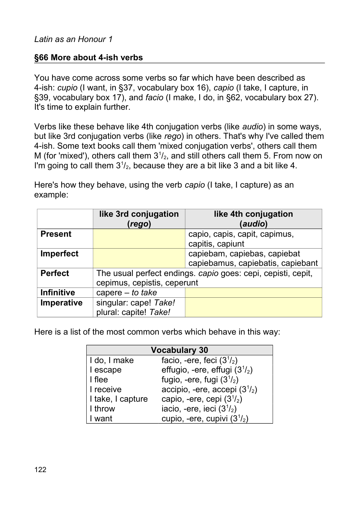# **§66 More about 4-ish verbs**

You have come across some verbs so far which have been described as 4-ish: *cupio* (I want, in §37, vocabulary box 16), *capio* (I take, I capture, in §39, vocabulary box 17), and *facio* (I make, I do, in §62, vocabulary box 27). It's time to explain further.

Verbs like these behave like 4th conjugation verbs (like *audio*) in some ways, but like 3rd conjugation verbs (like *rego*) in others. That's why I've called them 4-ish. Some text books call them 'mixed conjugation verbs', others call them M (for 'mixed'), others call them  $3<sup>1</sup>/<sub>2</sub>$ , and still others call them 5. From now on I'm going to call them  $3^{1}/_{2}$ , because they are a bit like 3 and a bit like 4.

Here's how they behave, using the verb *capio* (I take, I capture) as an example:

|                   | like 3rd conjugation<br>(rego)                               | like 4th conjugation<br>(audio)   |
|-------------------|--------------------------------------------------------------|-----------------------------------|
| <b>Present</b>    |                                                              | capio, capis, capit, capimus,     |
|                   |                                                              | capitis, capiunt                  |
| Imperfect         |                                                              | capiebam, capiebas, capiebat      |
|                   |                                                              | capiebamus, capiebatis, capiebant |
| <b>Perfect</b>    | The usual perfect endings. capio goes: cepi, cepisti, cepit, |                                   |
|                   | cepimus, cepistis, ceperunt                                  |                                   |
| <b>Infinitive</b> | capere $-$ to take                                           |                                   |
| Imperative        | singular: cape! Take!                                        |                                   |
|                   | plural: capite! Take!                                        |                                   |

Here is a list of the most common verbs which behave in this way:

| <b>Vocabulary 30</b> |                                      |  |
|----------------------|--------------------------------------|--|
| I do, I make         | facio, -ere, feci $(31/2)$           |  |
| I escape             | effugio, -ere, effugi $(31/2)$       |  |
| I flee               | fugio, -ere, fugi $(3^{1}/_{2})$     |  |
| I receive            | accipio, -ere, accepi $(3^{1}/_{2})$ |  |
| I take, I capture    | capio, -ere, cepi $(3^{1}/_{2})$     |  |
| I throw              | iacio, -ere, ieci $(31/2)$           |  |
| I want               | cupio, -ere, cupivi $(31/2)$         |  |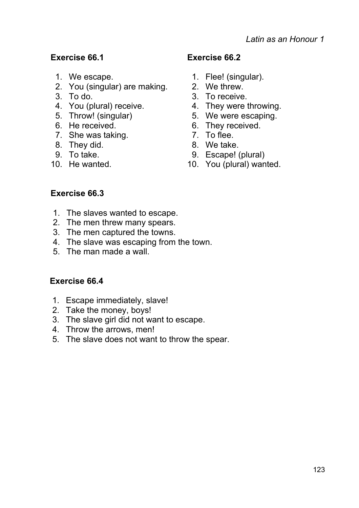# **Exercise 66.1 Exercise 66.2**

- 
- 2. You (singular) are making. 2. We threw.
- 
- 
- 
- 
- 7. She was taking. The manufacture of the 7. To flee.
- 8. They did. 6. a set of the Second Second Second Second Second Second Second Second Second Second Second Second Second Second Second Second Second Second Second Second Second Second Second Second Second Second Second Seco
- 
- 

- 1. We escape. 1. Flee! (singular).
	-
- 3. To do. 3. To receive.
- 4. You (plural) receive. 4. They were throwing.
- 5. Throw! (singular) 5. We were escaping.
- 6. He received. 6. They received.
	-
	-
- 9. To take. 9. Escape! (plural)
- 10. He wanted. 10. You (plural) wanted.

# **Exercise 66.3**

- 1. The slaves wanted to escape.
- 2. The men threw many spears.
- 3. The men captured the towns.
- 4. The slave was escaping from the town.
- 5. The man made a wall.

# **Exercise 66.4**

- 1. Escape immediately, slave!
- 2. Take the money, boys!
- 3. The slave girl did not want to escape.
- 4. Throw the arrows, men!
- 5. The slave does not want to throw the spear.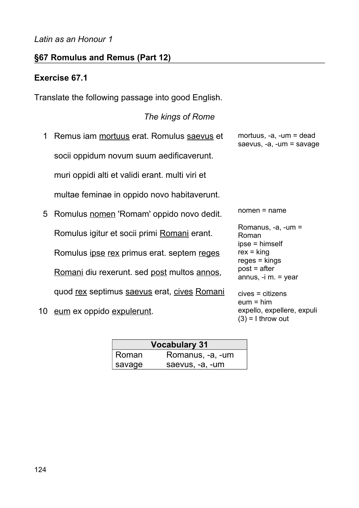# **§67 Romulus and Remus (Part 12)**

## **Exercise 67.1**

Translate the following passage into good English.

## *The kings of Rome*

- 1 Remus iam mortuus erat. Romulus saevus et socii oppidum novum suum aedificaverunt. muri oppidi alti et validi erant. multi viri et multae feminae in oppido novo habitaverunt.
- 5 Romulus nomen 'Romam' oppido novo dedit. Romulus igitur et socii primi Romani erant. Romulus ipse rex primus erat. septem reges Romani diu rexerunt. sed post multos annos, quod rex septimus saevus erat, cives Romani

10 eum ex oppido expulerunt.

mortuus, -a, -um = dead saevus, -a, -um = savage

nomen = name

Romanus, -a, -um = Roman ipse = himself  $rex = king$ reges = kings post = after annus, -i m. = year cives = citizens  $e$ um = him expello, expellere, expuli  $(3) = 1$  throw out

|        | <b>Vocabulary 31</b> |
|--------|----------------------|
| Roman  | Romanus, -a, -um     |
| savage | saevus, -a, -um      |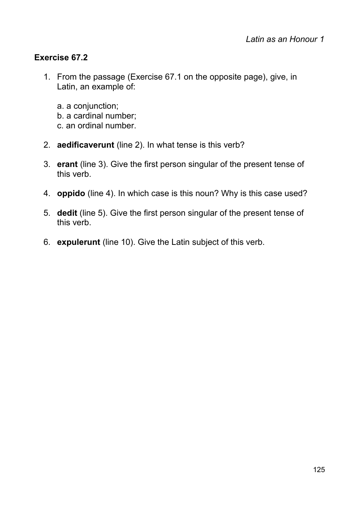# **Exercise 67.2**

- 1. From the passage (Exercise 67.1 on the opposite page), give, in Latin, an example of:
	- a. a conjunction;
	- b. a cardinal number;
	- c. an ordinal number.
- 2. **aedificaverunt** (line 2). In what tense is this verb?
- 3. **erant** (line 3). Give the first person singular of the present tense of this verb.
- 4. **oppido** (line 4). In which case is this noun? Why is this case used?
- 5. **dedit** (line 5). Give the first person singular of the present tense of this verb.
- 6. **expulerunt** (line 10). Give the Latin subject of this verb.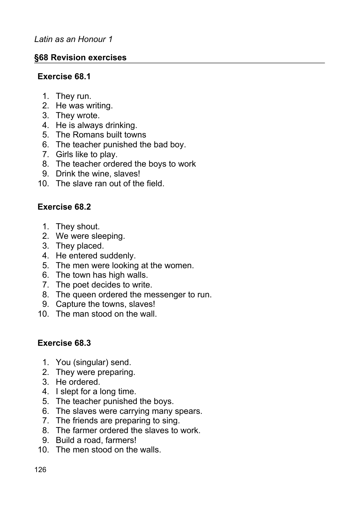## **§68 Revision exercises**

## **Exercise 68.1**

- 1. They run.
- 2. He was writing.
- 3. They wrote.
- 4. He is always drinking.
- 5. The Romans built towns
- 6. The teacher punished the bad boy.
- 7. Girls like to play.
- 8. The teacher ordered the boys to work
- 9. Drink the wine, slaves!
- 10. The slave ran out of the field.

# **Exercise 68.2**

- 1. They shout.
- 2. We were sleeping.
- 3. They placed.
- 4. He entered suddenly.
- 5. The men were looking at the women.
- 6. The town has high walls.
- 7. The poet decides to write.
- 8. The queen ordered the messenger to run.
- 9. Capture the towns, slaves!
- 10. The man stood on the wall.

# **Exercise 68.3**

- 1. You (singular) send.
- 2. They were preparing.
- 3. He ordered.
- 4. I slept for a long time.
- 5. The teacher punished the boys.
- 6. The slaves were carrying many spears.
- 7. The friends are preparing to sing.
- 8. The farmer ordered the slaves to work.
- 9. Build a road, farmers!
- 10. The men stood on the walls.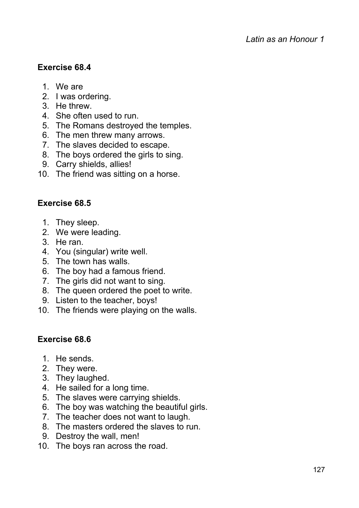# **Exercise 68.4**

- 1. We are
- 2. I was ordering.
- 3. He threw.
- 4. She often used to run.
- 5. The Romans destroyed the temples.
- 6. The men threw many arrows.
- 7. The slaves decided to escape.
- 8. The boys ordered the girls to sing.
- 9. Carry shields, allies!
- 10. The friend was sitting on a horse.

# **Exercise 68.5**

- 1. They sleep.
- 2. We were leading.
- 3. He ran.
- 4. You (singular) write well.
- 5. The town has walls.
- 6. The boy had a famous friend.
- 7. The girls did not want to sing.
- 8. The queen ordered the poet to write.
- 9. Listen to the teacher, boys!
- 10. The friends were playing on the walls.

# **Exercise 68.6**

- 1. He sends.
- 2. They were.
- 3. They laughed.
- 4. He sailed for a long time.
- 5. The slaves were carrying shields.
- 6. The boy was watching the beautiful girls.
- 7. The teacher does not want to laugh.
- 8. The masters ordered the slaves to run.
- 9. Destroy the wall, men!
- 10. The boys ran across the road.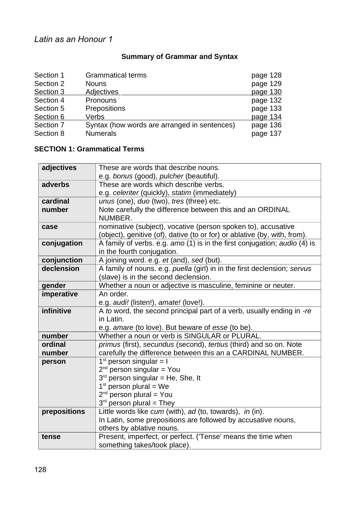# **Summary of Grammar and Syntax**

| <b>Grammatical terms</b>                     | page 128 |
|----------------------------------------------|----------|
| <b>Nouns</b>                                 | page 129 |
| <b>Adjectives</b>                            | page 130 |
| Pronouns                                     | page 132 |
| Prepositions                                 | page 133 |
| Verbs                                        | page 134 |
| Syntax (how words are arranged in sentences) | page 136 |
| <b>Numerals</b>                              | page 137 |
|                                              |          |

#### **SECTION 1: Grammatical Terms**

| adjectives   | These are words that describe nouns.                                      |
|--------------|---------------------------------------------------------------------------|
|              | e.g. bonus (good), pulcher (beautiful).                                   |
| adverbs      | These are words which describe verbs.                                     |
|              | e.g. celeriter (quickly), statim (immediately)                            |
| cardinal     | unus (one), duo (two), tres (three) etc.                                  |
| number       | Note carefully the difference between this and an ORDINAL                 |
|              | NUMBER.                                                                   |
| case         | nominative (subject), vocative (person spoken to), accusative             |
|              | (object), genitive (of), dative (to or for) or ablative (by, with, from). |
| conjugation  | A family of verbs. e.g. amo (1) is in the first conjugation; audio (4) is |
|              | in the fourth conjugation.                                                |
| conjunction  | A joining word. e.g. et (and), sed (but).                                 |
| declension   | A family of nouns. e.g. puella (girl) in in the first declension; servus  |
|              | (slave) is in the second declension.                                      |
| gender       | Whether a noun or adjective is masculine, feminine or neuter.             |
| imperative   | An order.                                                                 |
|              | e.g. audi! (listen!), amate! (love!).                                     |
| infinitive   | A to word, the second principal part of a verb, usually ending in -re     |
|              | in Latin.                                                                 |
|              | e.g. amare (to love). But beware of esse (to be).                         |
| number       | Whether a noun or verb is SINGULAR or PLURAL.                             |
| ordinal      | primus (first), secundus (second), tertius (third) and so on. Note        |
| number       | carefully the difference between this an a CARDINAL NUMBER.               |
| person       | $1st$ person singular = I                                                 |
|              | $2nd$ person singular = You                                               |
|              | $3rd$ person singular = He, She, It                                       |
|              | $1st$ person plural = We                                                  |
|              | $2^{nd}$ person plural = You                                              |
|              | $3rd$ person plural = They                                                |
| prepositions | Little words like cum (with), ad (to, towards), in (in).                  |
|              | In Latin, some prepositions are followed by accusative nouns,             |
|              | others by ablative nouns.                                                 |
| tense        | Present, imperfect, or perfect. ('Tense' means the time when              |
|              | something takes/took place).                                              |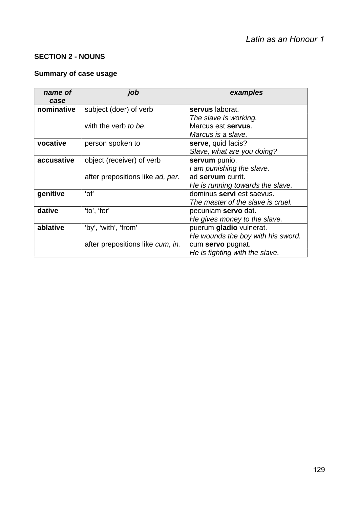#### **SECTION 2 - NOUNS**

# **Summary of case usage**

| name of<br>case | job                              | examples                          |
|-----------------|----------------------------------|-----------------------------------|
| nominative      | subject (doer) of verb           | servus laborat.                   |
|                 |                                  | The slave is working.             |
|                 | with the verb to be.             | Marcus est servus.                |
|                 |                                  | Marcus is a slave.                |
| vocative        | person spoken to                 | serve, quid facis?                |
|                 |                                  | Slave, what are you doing?        |
| accusative      | object (receiver) of verb        | servum punio.                     |
|                 |                                  | I am punishing the slave.         |
|                 | after prepositions like ad, per. | ad servum currit.                 |
|                 |                                  | He is running towards the slave.  |
| genitive        | ʻof'                             | dominus <b>servi</b> est saevus.  |
|                 |                                  | The master of the slave is cruel. |
| dative          | 'to', 'for'                      | pecuniam <b>servo</b> dat.        |
|                 |                                  | He gives money to the slave.      |
| ablative        | 'by', 'with', 'from'             | puerum gladio vulnerat.           |
|                 |                                  | He wounds the boy with his sword. |
|                 | after prepositions like cum, in. | cum servo pugnat.                 |
|                 |                                  | He is fighting with the slave.    |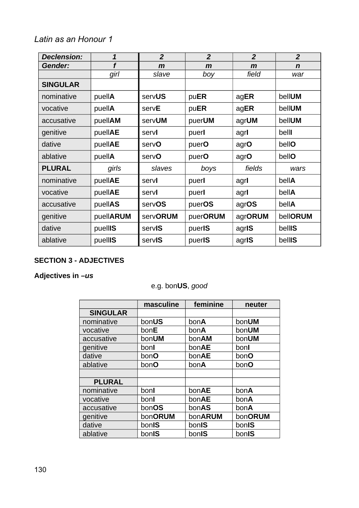| <b>Declension:</b> | $\mathbf{1}$ | $\overline{2}$  | $\overline{2}$ | $\overline{2}$ | $\overline{2}$ |
|--------------------|--------------|-----------------|----------------|----------------|----------------|
| Gender:            | f            | $\mathbf{m}$    | $\mathbf{m}$   | $\mathbf{m}$   | $\mathbf n$    |
|                    | girl         | slave           | boy            | field          | war            |
| <b>SINGULAR</b>    |              |                 |                |                |                |
| nominative         | puellA       | servUS          | puER           | agER           | bellUM         |
| vocative           | puellA       | servE           | puER           | agER           | bellUM         |
| accusative         | puellAM      | servUM          | puerUM         | agrUM          | bellUM         |
| genitive           | puellAE      | servl           | puerl          | agrl           | belll          |
| dative             | puellAE      | servO           | puerO          | agrO           | bellO          |
| ablative           | puellA       | servO           | puerO          | agrO           | bellO          |
| <b>PLURAL</b>      | girls        | slaves          | boys           | fields         | wars           |
| nominative         | puellAE      | servl           | puerl          | agrl           | bellA          |
| vocative           | puellAE      | servl           | puerl          | agrl           | bellA          |
| accusative         | puellAS      | servOS          | puerOS         | agrOS          | bellA          |
| genitive           | puellARUM    | <b>servORUM</b> | puerORUM       | agrORUM        | bellORUM       |
| dative             | puellIS      | servIS          | puerIS         | agris          | bellIS         |
| ablative           | puellIS      | servIS          | puerIS         | agris          | bellIS         |

#### **SECTION 3 - ADJECTIVES**

# **Adjectives in** *–us*

# e.g. bon**US**, *good*

|                 | masculine<br>feminine |         | neuter  |
|-----------------|-----------------------|---------|---------|
| <b>SINGULAR</b> |                       |         |         |
| nominative      | bonUS                 | bonA    | bonUM   |
| vocative        | bonE                  | bonA    | bonUM   |
| accusative      | bonUM                 | bonAM   | bonUM   |
| genitive        | bonl                  | bonAE   | bonl    |
| dative          | bonO                  | bonAE   | bonO    |
| ablative        | bonO                  | bonA    | bonO    |
|                 |                       |         |         |
| <b>PLURAL</b>   |                       |         |         |
| nominative      | bonl                  | bonAE   | bonA    |
| vocative        | bonl                  | bonAE   | bonA    |
| accusative      | bonOS                 | bonAS   | bonA    |
| genitive        | bonORUM               | bonARUM | bonORUM |
| dative          | bonIS                 | bonIS   | bonIS   |
| ablative        | bonIS                 | bonIS   | bonIS   |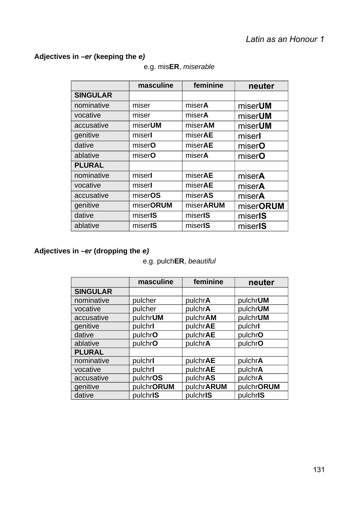# **Adjectives in** *–er* **(keeping the** *e)*

|                 | masculine | feminine        | neuter              |
|-----------------|-----------|-----------------|---------------------|
| <b>SINGULAR</b> |           |                 |                     |
| nominative      | miser     | miserA          | miser <b>UM</b>     |
| vocative        | miser     | miserA          | miserUM             |
| accusative      | miserUM   | miserAM         | miserUM             |
| genitive        | miserl    | miserAE         | miserl              |
| dative          | miserO    | miserAE         | miserO              |
| ablative        | miserO    | miserA          | miserO              |
| <b>PLURAL</b>   |           |                 |                     |
| nominative      | miserl    | miserAE         | miserA              |
| vocative        | miserl    | miserAE         | miserA              |
| accusative      | miserOS   | miserAS         | miserA              |
| genitive        | miserORUM | miserARUM       | miserORUM           |
| dative          | miserIS   | miserIS         | miserIS             |
| ablative        | miserIS   | miser <b>IS</b> | miser <sub>IS</sub> |

#### e.g. mis**ER**, *miserable*

# **Adjectives in** *–er* **(dropping the** *e)*

#### e.g. pulch**ER**, *beautiful*

|                 | masculine  | feminine   | neuter     |
|-----------------|------------|------------|------------|
| <b>SINGULAR</b> |            |            |            |
| nominative      | pulcher    | pulchrA    | pulchrUM   |
| vocative        | pulcher    | pulchrA    | pulchrUM   |
| accusative      | pulchrUM   | pulchrAM   | pulchrUM   |
| genitive        | pulchrl    | pulchrAE   | pulchrl    |
| dative          | pulchrO    | pulchrAE   | pulchrO    |
| ablative        | pulchrO    | pulchrA    | pulchrO    |
| <b>PLURAL</b>   |            |            |            |
| nominative      | pulchrl    | pulchrAE   | pulchrA    |
| vocative        | pulchrl    | pulchrAE   | pulchrA    |
| accusative      | pulchrOS   | pulchrAS   | pulchrA    |
| genitive        | pulchrORUM | pulchrARUM | pulchrORUM |
| dative          | pulchrIS   | pulchrIS   | pulchrIS   |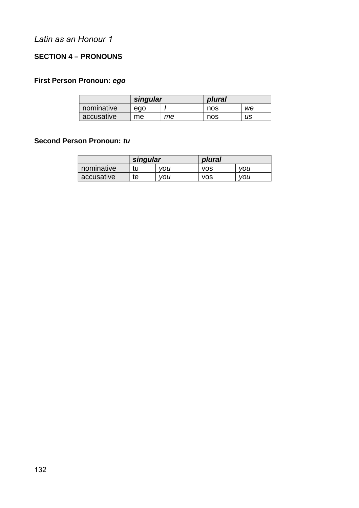#### **SECTION 4 – PRONOUNS**

#### **First Person Pronoun:** *ego*

|            | singular |    | plural |    |  |  |
|------------|----------|----|--------|----|--|--|
| nominative | ego      |    | nos    | we |  |  |
| accusative | me       | mе | nos    | us |  |  |

#### **Second Person Pronoun:** *tu*

|            | singular |     | plural     |     |
|------------|----------|-----|------------|-----|
| nominative | tu       | vou | <b>VOS</b> | vou |
| accusative | te       | vou | <b>VOS</b> | vou |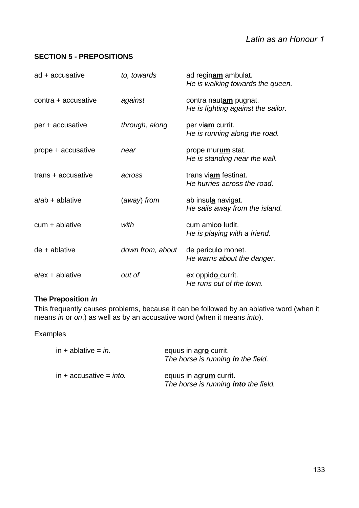#### **SECTION 5 - PREPOSITIONS**

| ad + accusative     | to, towards      | ad reginam ambulat.<br>He is walking towards the queen.      |
|---------------------|------------------|--------------------------------------------------------------|
| contra + accusative | against          | contra nautam pugnat.<br>He is fighting against the sailor.  |
| per + accusative    | through, along   | per viam currit.<br>He is running along the road.            |
| prope + accusative  | near             | prope murum stat.<br>He is standing near the wall.           |
| trans + accusative  | across           | trans viam festinat.<br>He hurries across the road.          |
| $a$ /ab + ablative  | (away) from      | ab insul <u>a</u> navigat.<br>He sails away from the island. |
| $cum + ablative$    | with             | cum amico ludit.<br>He is playing with a friend.             |
| $de + ab$ ablative  | down from, about | de periculo monet.<br>He warns about the danger.             |
| $e$ /ex + ablative  | out of           | ex oppido currit.<br>He runs out of the town.                |

#### **The Preposition** *in*

This frequently causes problems, because it can be followed by an ablative word (when it means *in* or *on*.) as well as by an accusative word (when it means *into*).

#### **Examples**

| in + ablative = <i>in</i> . | equus in agro currit.<br>The horse is running in the field.    |
|-----------------------------|----------------------------------------------------------------|
| in + accusative = $into$ .  | equus in agrum currit.<br>The horse is running into the field. |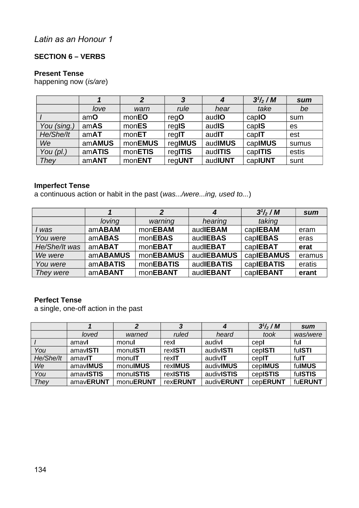#### **SECTION 6 – VERBS**

#### **Present Tense**

happening now (*is/are*)

|             |        |         | 3       | 4       | $3^{1}/_{2}$ / M | sum       |
|-------------|--------|---------|---------|---------|------------------|-----------|
|             | love   | warn    | rule    | hear    | take             | be        |
|             | amO    | monEO   | reqO    | audIO   | capIO            | sum       |
| You (sing.) | amAS   | monES   | regIS   | audIS   | capIS            | <b>es</b> |
| He/She/It   | amAT   | monET   | regIT   | audIT   | capIT            | est       |
| We          | amAMUS | monEMUS | regIMUS | audIMUS | capIMUS          | sumus     |
| You $(pl.)$ | amATIS | monETIS | regITIS | audITIS | capITIS          | estis     |
| They        | amANT  | monENT  | regUNT  | audIUNT | capIUNT          | sunt      |

#### **Imperfect Tense**

a continuous action or habit in the past (*was.../were...ing, used to...*)

|               |          |                  | 4          | $3^{1}/_{2}$ / M | sum    |
|---------------|----------|------------------|------------|------------------|--------|
|               | loving   | warning          | hearing    | taking           |        |
| l was         | amABAM   | monEBAM          | audIEBAM   | caplEBAM         | eram   |
| You were      | amABAS   | monEBAS          | audIEBAS   | caplEBAS         | eras   |
| He/She/It was | amABAT   | monEBAT          | audIEBAT   | caplEBAT         | erat   |
| We were       | amABAMUS | <b>monEBAMUS</b> | audIEBAMUS | capIEBAMUS       | eramus |
| You were      | amABATIS | <b>monEBATIS</b> | audIEBATIS | caplEBATIS       | eratis |
| They were     | amABANT  | monEBANT         | audIEBANT  | caplEBANT        | erant  |

#### **Perfect Tense**

a single, one-off action in the past

|           |           | 2         |                 | 4          | $3^{1}/_{2}$ / M | sum      |
|-----------|-----------|-----------|-----------------|------------|------------------|----------|
|           | loved     | warned    | ruled           | heard      | took             | was/were |
|           | amavl     | monul     | rexl            | audivl     | cepl             | ful      |
| You       | amavISTI  | monuISTI  | rexISTI         | audivISTI  | cepISTI          | fulSTI   |
| He/She/It | amavIT    | monulT    | rexIT           | audivIT    | cepIT            | fulT     |
| We        | amavIMUS  | monuIMUS  | rexIMUS         | audivIMUS  | cepIMUS          | fulMUS   |
| You       | amavISTIS | monulSTIS | rexISTIS        | audivISTIS | cepISTIS         | fulSTIS  |
| They      | amavERUNT | monuERUNT | <b>rexERUNT</b> | audivERUNT | cepERUNT         | fuERUNT  |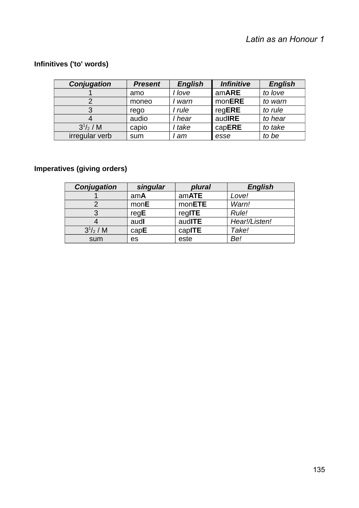# **Infinitives ('to' words)**

| Conjugation    | <b>Present</b> | <b>English</b> | <b>Infinitive</b> | <b>English</b> |
|----------------|----------------|----------------|-------------------|----------------|
|                | amo            | I love         | amARE             | to love        |
|                | moneo          | warn           | monERE            | to warn        |
|                | rego           | I rule         | regERE            | to rule        |
|                | audio          | I hear         | audIRE            | to hear        |
| $3^{1/2}$ / M  | capio          | l take         | capERE            | to take        |
| irregular verb | sum            | am             | esse              | to be          |

# **Imperatives (giving orders)**

| Conjugation   | singular | plural | <b>English</b> |
|---------------|----------|--------|----------------|
|               | amA      | amATE  | Love!          |
|               | monE     | monETE | Warn!          |
| 3             | reqE     | regITE | Rule!          |
|               | audl     | audITE | Hear!/Listen!  |
| $3^{1/2}$ / M | capE     | capITE | Take!          |
| sum           | es       | este   | Be!            |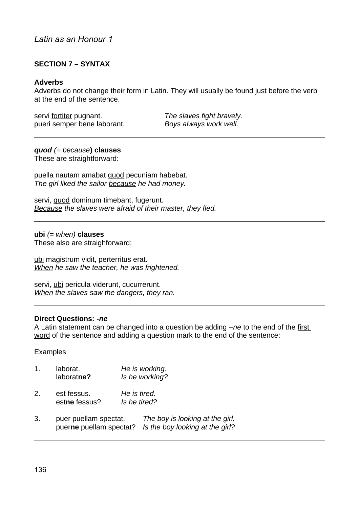#### **SECTION 7 – SYNTAX**

#### **Adverbs**

Adverbs do not change their form in Latin. They will usually be found just before the verb at the end of the sentence.

servi fortiter pugnant. *The slaves fight bravely.* pueri semper bene laborant. *Boys always work well.*

## *quod (= because***) clauses**

These are straightforward:

puella nautam amabat quod pecuniam habebat. *The girl liked the sailor because he had money.*

servi, quod dominum timebant, fugerunt. *Because the slaves were afraid of their master, they fled.*

#### **ubi** *(= when)* **clauses**

These also are straighforward:

ubi magistrum vidit, perterritus erat. *When he saw the teacher, he was frightened.*

servi, ubi pericula viderunt, cucurrerunt. *When the slaves saw the dangers, they ran.*

#### **Direct Questions:** *-ne*

A Latin statement can be changed into a question be adding *–ne* to the end of the first word of the sentence and adding a question mark to the end of the sentence:

#### **Examples**

- 1. laborat. *He is working.* laborat**ne?** *Is he working?*
- 2. est fessus. *He is tired.* est**ne** fessus? *Is he tired?*
- 3. puer puellam spectat. *The boy is looking at the girl.* puer**ne** puellam spectat? *Is the boy looking at the girl?*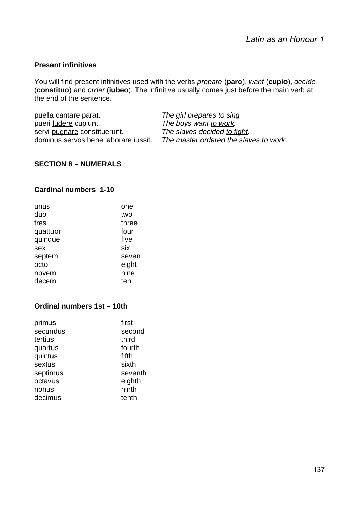#### **Present infinitives**

You will find present infinitives used with the verbs *prepare* (**paro**), *want* (**cupio**), *decide* (**constituo**) and *order* (**iubeo**). The infinitive usually comes just before the main verb at the end of the sentence.

| puella cantare parat.                | The girl prepares to sing              |
|--------------------------------------|----------------------------------------|
| pueri ludere cupiunt.                | The boys want <u>to work</u> .         |
| servi pugnare constituerunt.         | The slaves decided to fight.           |
| dominus servos bene laborare iussit. | The master ordered the slaves to work. |

#### **SECTION 8 – NUMERALS**

#### **Cardinal numbers 1-10**

| unus     | one   |
|----------|-------|
| duo      | two   |
| tres     | three |
| quattuor | four  |
| quinque  | five  |
| sex      | six   |
| septem   | seven |
| octo     | eight |
| novem    | nine  |
| decem    | ten   |

#### **Ordinal numbers 1st – 10th**

| primus   | first   |
|----------|---------|
| secundus | second  |
| tertius  | third   |
| quartus  | fourth  |
| quintus  | fifth   |
| sextus   | sixth   |
| septimus | seventh |
| octavus  | eighth  |
| nonus    | ninth   |
| decimus  | tenth   |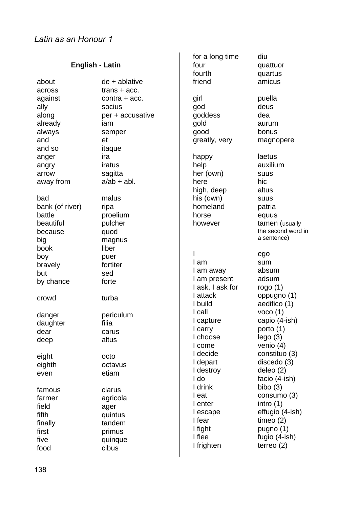|                        |                           | for a long time   | diu                |
|------------------------|---------------------------|-------------------|--------------------|
| <b>English - Latin</b> |                           | four              | quattuor           |
|                        |                           | fourth            | quartus            |
| about                  | $de + ab$ lative          | friend            | amicus             |
| across                 | $trans + acc.$            |                   |                    |
| against                | $contra + acc.$           | girl              | puella             |
| ally                   | socius                    | god               | deus               |
| along                  | per + accusative          | goddess           | dea                |
| already                | iam                       | gold              | aurum              |
| always                 | semper                    | good              | bonus              |
| and                    | et                        | greatly, very     | magnopere          |
| and so                 | itaque                    |                   |                    |
| anger                  | ira                       | happy             | laetus             |
|                        | iratus                    | help              | auxilium           |
| angry                  |                           |                   |                    |
| arrow                  | sagitta<br>$a$ /ab + abl. | her (own)<br>here | <b>SUUS</b>        |
| away from              |                           |                   | hic                |
|                        |                           | high, deep        | altus              |
| bad                    | malus                     | his (own)         | <b>SUUS</b>        |
| bank (of river)        | ripa                      | homeland          | patria             |
| battle                 | proelium                  | horse             | equus              |
| beautiful              | pulcher                   | however           | tamen (usually     |
| because                | quod                      |                   | the second word in |
| big                    | magnus                    |                   | a sentence)        |
| book                   | liber                     |                   |                    |
| boy                    | puer                      |                   | ego                |
| bravely                | fortiter                  | I am              | sum                |
| but                    | sed                       | I am away         | absum              |
| by chance              | forte                     | I am present      | adsum              |
|                        |                           | I ask, I ask for  | rogo $(1)$         |
| crowd                  | turba                     | I attack          | oppugno (1)        |
|                        |                           | I build           | aedifico (1)       |
| danger                 | periculum                 | I call            | $v_{0C0}$ $(1)$    |
| daughter               | filia                     | I capture         | capio (4-ish)      |
| dear                   | carus                     | I carry           | porto $(1)$        |
| deep                   | altus                     | I choose          | lego(3)            |
|                        |                           | I come            | venio $(4)$        |
| eight                  | octo                      | I decide          | constituo (3)      |
| eighth                 | octavus                   | I depart          | discedo (3)        |
| even                   | etiam                     | I destroy         | deleo (2)          |
|                        |                           | I do              | facio (4-ish)      |
| famous                 | clarus                    | I drink           | bibo $(3)$         |
| farmer                 |                           | I eat             | consumo (3)        |
|                        | agricola                  | I enter           | intro $(1)$        |
| field                  | ager                      | I escape          | effugio (4-ish)    |
| fifth                  | quintus                   | I fear            | timeo $(2)$        |
| finally                | tandem                    | I fight           | pugno $(1)$        |
| first                  | primus                    | I flee            | fugio (4-ish)      |
| five                   | quinque                   | I frighten        | terreo $(2)$       |
| food                   | cibus                     |                   |                    |
|                        |                           |                   |                    |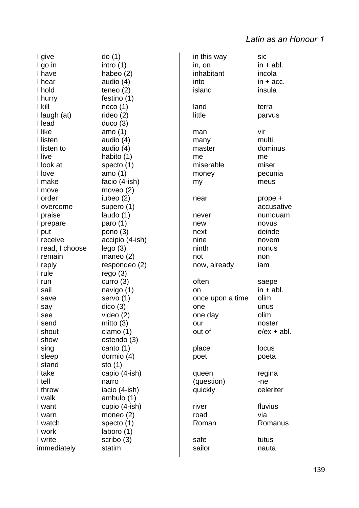I give do (1) I go in intro (1) I have habeo (2) I hear audio (4) I hold teneo (2) I hurry festino (1) I kill neco (1) I laugh (at) rideo (2) I lead duco (3) I like amo (1) I listen audio (4) I listen to audio (4) I live habito (1) I look at specto (1) I love amo (1) I make facio (4-ish) I move moveo (2) I order iubeo (2) I overcome supero (1) I praise laudo (1) I prepare paro (1) I put pono (3) I receive accipio (4-ish) I read, I choose lego (3) I remain maneo (2) I reply respondeo (2) I rule rego (3) I run curro (3) I sail navigo (1) I save servo (1) I say dico (3) I see video (2) I send mitto (3) I shout clamo (1) I show ostendo (3) I sing canto (1) I sleep dormio (4) I stand sto (1) I take capio (4-ish) I tell narro I throw iacio (4-ish) I walk ambulo (1) I want cupio (4-ish) I warn moneo (2) I watch specto (1) I work laboro (1) I write scribo (3) immediately statim

in this way sic  $in. on$   $in + abl.$ inhabitant incola  $into$  in  $+$  acc. island insula land terra little parvus man vir many multi master dominus me me miserable miser money pecunia my meus near prope + never numquam new novus next deinde nine novem ninth nonus not non now, already iam often saepe on  $in + ah$ . once upon a time olim one unus one day olim our noster out of  $e/ex + abl$ . place locus poet poeta queen regina (question) -ne quickly celeriter river fluvius road via Roman Romanus safe tutus sailor nauta

accusative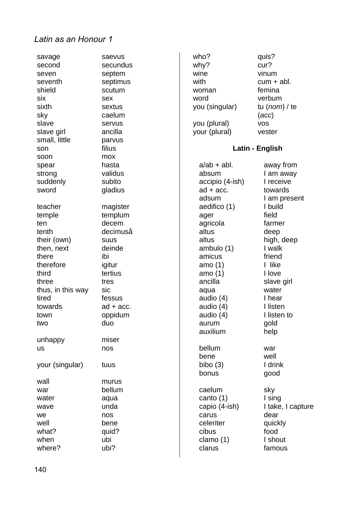| savage            | saevus      |
|-------------------|-------------|
| second            | secundus    |
| seven             | septem      |
| seventh           | septimus    |
| shield            | scutum      |
| six               | sex         |
| sixth             | sextus      |
| sky               | caelum      |
| slave             | servus      |
| slave girl        | ancilla     |
| small, little     | parvus      |
| son               | filius      |
| soon              | mox         |
| spear             | hasta       |
| strong            | validus     |
| suddenly          | subito      |
| sword             | gladius     |
|                   |             |
| teacher           | magister    |
| temple            | templum     |
| ten               | decem       |
| tenth             | decimuså    |
| their (own)       | <b>SUUS</b> |
| then, next        | deinde      |
| there             | ibi         |
| therefore         | igitur      |
| third             | tertius     |
| three             | tres        |
| thus, in this way | sic         |
| tired             | fessus      |
| towards           | $ad + acc.$ |
| town              | oppidum     |
| two               | duo         |
|                   |             |
| unhappy           | miser       |
| us                | nos         |
| your (singular)   | tuus        |
|                   |             |
| wall              | murus       |
| war               | bellum      |
| water             | aqua        |
| wave              | unda        |
| we                | nos         |
| well              | bene        |
| what?             | quid?       |
| when              | ubi         |
| where?            | ubi?        |
|                   |             |

| who?<br>why?<br>wine<br>with<br>woman<br>word<br>you (singular)<br>you (plural)<br>your (plural) | quis?<br>cur?<br>vinum<br>cum + abl.<br>femina<br>verbum<br>tu (nom) / te<br>(acc)<br><b>VOS</b><br>vester |
|--------------------------------------------------------------------------------------------------|------------------------------------------------------------------------------------------------------------|
|                                                                                                  | Latin - English                                                                                            |
| a/ab + abl.                                                                                      | away from                                                                                                  |
| absum                                                                                            | I am away                                                                                                  |
| accipio (4-ish)                                                                                  | I receive                                                                                                  |
| $ad + acc.$                                                                                      | towards                                                                                                    |
| adsum                                                                                            | I am present                                                                                               |
| aedifico (1)                                                                                     | I build                                                                                                    |
| ager                                                                                             | field                                                                                                      |
| agricola                                                                                         | farmer                                                                                                     |
| altus                                                                                            | deep                                                                                                       |
| altus                                                                                            | high, deep                                                                                                 |
| ambulo (1)                                                                                       | I walk                                                                                                     |
| amicus                                                                                           | friend                                                                                                     |
| amo (1)                                                                                          | I like                                                                                                     |
| amo (1)                                                                                          | I love                                                                                                     |
| ancilla                                                                                          | slave girl                                                                                                 |
| aqua                                                                                             | water                                                                                                      |
| audio (4)                                                                                        | I hear                                                                                                     |
| audio (4)                                                                                        | I listen                                                                                                   |
| audio (4)                                                                                        | I listen to                                                                                                |
| aurum                                                                                            | gold                                                                                                       |
| auxilium                                                                                         | help                                                                                                       |
| bellum                                                                                           | war                                                                                                        |
| bene                                                                                             | well                                                                                                       |
| bibo (3)                                                                                         | I drink                                                                                                    |
| bonus                                                                                            | good                                                                                                       |
| caelum                                                                                           | sky                                                                                                        |
| canto (1)                                                                                        | I sing                                                                                                     |
| capio (4-ish)                                                                                    | I take, I capture                                                                                          |
| carus                                                                                            | dear                                                                                                       |
| celeriter                                                                                        | quickly                                                                                                    |
| cibus                                                                                            | food                                                                                                       |
| clamo (1)                                                                                        | I shout                                                                                                    |
| clarus                                                                                           | famous                                                                                                     |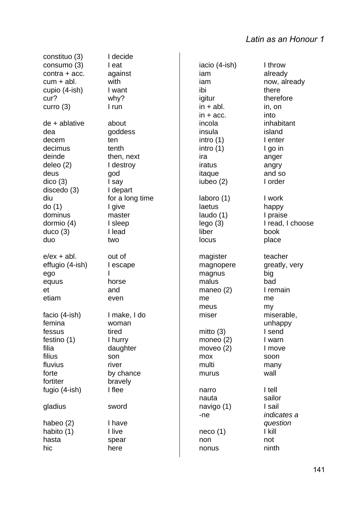constituo (3) I decide consumo (3) I eat contra + acc. against  $cum + abl.$  with cupio (4-ish) I want cur? why? curro (3) I run de + ablative about dea goddess decem ten decimus tenth deinde then, next deleo (2) I destroy deus god dico (3) I say discedo (3) I depart diu for a long time do (1) I give dominus master dormio (4) I sleep duco (3) I lead duo two  $e/ex + abl$ . out of effugio (4-ish) I escape ego I equus horse et and etiam even facio (4-ish) I make, I do femina woman fessus tired festino (1) I hurry filia daughter filius son fluvius river forte by chance fortiter bravely fugio (4-ish) I flee gladius sword habeo (2) I have habito (1) I live hasta spear hic here

iacio (4-ish) I throw iam already iam now, already ibi there igitur therefore  $in + abl$ . in, on  $in + acc.$  into incola inhabitant insula island intro (1) I enter intro (1) and I go in ira anger iratus angry itaque and so iubeo (2) I order laboro (1) I work laetus happy laudo (1) l praise lego (3) I read, I choose liber book locus place magister teacher magnopere greatly, very magnus big malus bad maneo (2) l remain me me meus my miser miserable, mitto (3) and I send moneo (2) I warn moveo (2) l move mox soon multi many murus wall narro I tell nauta sailor navigo (1) l sail -ne *indicates a*  neco (1) I kill

non not nonus ninth

unhappy *question*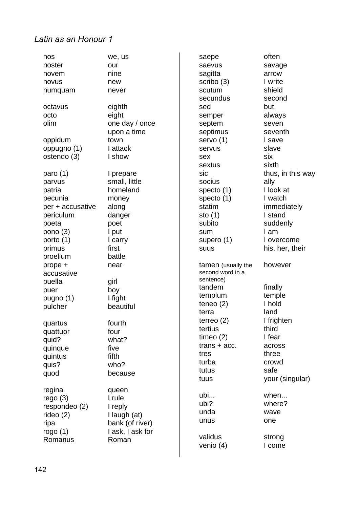| nos<br>noster<br>novem<br>novus<br>numquam | we, us<br>our<br>nine<br>new<br>never | saepe<br>saevus<br>sagitta<br>scribo (3)<br>scutum<br>secundus | often<br>savage<br>arrow<br>I write<br>shield<br>second |
|--------------------------------------------|---------------------------------------|----------------------------------------------------------------|---------------------------------------------------------|
| octavus                                    | eighth                                | sed                                                            | but                                                     |
| octo                                       | eight                                 | semper                                                         | always                                                  |
| olim                                       | one day / once<br>upon a time         | septem<br>septimus                                             | seven<br>seventh                                        |
| oppidum                                    | town                                  | $s$ ervo $(1)$                                                 | I save                                                  |
| oppugno (1)                                | I attack                              | servus                                                         | slave                                                   |
| ostendo (3)                                | I show                                | sex                                                            | six                                                     |
|                                            |                                       | sextus                                                         | sixth                                                   |
| paro $(1)$                                 | I prepare                             | sic                                                            | thus, in this way                                       |
| parvus                                     | small, little                         | socius                                                         | ally                                                    |
| patria                                     | homeland                              | specto $(1)$                                                   | I look at                                               |
| pecunia                                    | money                                 | specto $(1)$                                                   | I watch                                                 |
| per + accusative                           | along                                 | statim                                                         | immediately                                             |
| periculum                                  | danger                                | sto $(1)$                                                      | I stand                                                 |
| poeta                                      | poet                                  | subito                                                         | suddenly                                                |
| pono $(3)$                                 | I put                                 | sum                                                            | I am                                                    |
| porto $(1)$                                | I carry                               | supero $(1)$                                                   | I overcome                                              |
| primus                                     | first                                 | <b>SUUS</b>                                                    | his, her, their                                         |
| proelium                                   | battle                                |                                                                |                                                         |
| prope +                                    | near                                  | tamen (usually the                                             | however                                                 |
| accusative                                 |                                       | second word in a                                               |                                                         |
| puella                                     | girl                                  | sentence)<br>tandem                                            | finally                                                 |
| puer                                       | boy                                   | templum                                                        | temple                                                  |
| pugno (1)                                  | I fight                               | teneo $(2)$                                                    | I hold                                                  |
| pulcher                                    | beautiful                             | terra                                                          | land                                                    |
|                                            |                                       | terreo $(2)$                                                   | I frighten                                              |
| quartus                                    | fourth                                | tertius                                                        | third                                                   |
| quattuor<br>quid?                          | four<br>what?                         | timeo $(2)$                                                    | I fear                                                  |
| quinque                                    | five                                  | $trans + acc.$                                                 | across                                                  |
| quintus                                    | fifth                                 | tres                                                           | three                                                   |
| quis?                                      | who?                                  | turba                                                          | crowd                                                   |
| quod                                       | because                               | tutus                                                          | safe                                                    |
|                                            |                                       | tuus                                                           | your (singular)                                         |
| regina                                     | queen                                 |                                                                |                                                         |
| rego(3)                                    | I rule                                | ubi                                                            | when                                                    |
| respondeo (2)                              | I reply                               | ubi?                                                           | where?                                                  |
| rideo $(2)$                                | I laugh (at)                          | unda                                                           | wave                                                    |
| ripa                                       | bank (of river)                       | unus                                                           | one                                                     |
| rogo $(1)$                                 | I ask, I ask for                      |                                                                |                                                         |
| Romanus                                    | Roman                                 | validus                                                        | strong                                                  |
|                                            |                                       | venio $(4)$                                                    | I come                                                  |
|                                            |                                       |                                                                |                                                         |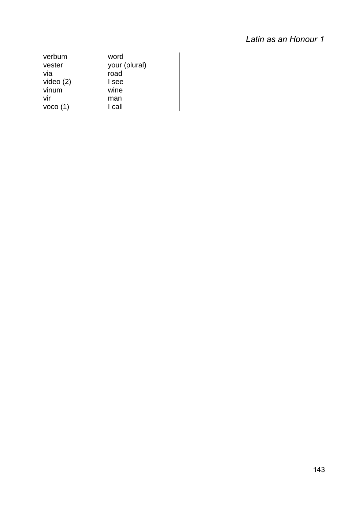| verbum          | word          |
|-----------------|---------------|
| vester          | your (plural) |
| via             | road          |
| video $(2)$     | I see         |
| vinum           | wine          |
| vir             | man           |
| $v_{0C0}$ $(1)$ | I call        |
|                 |               |